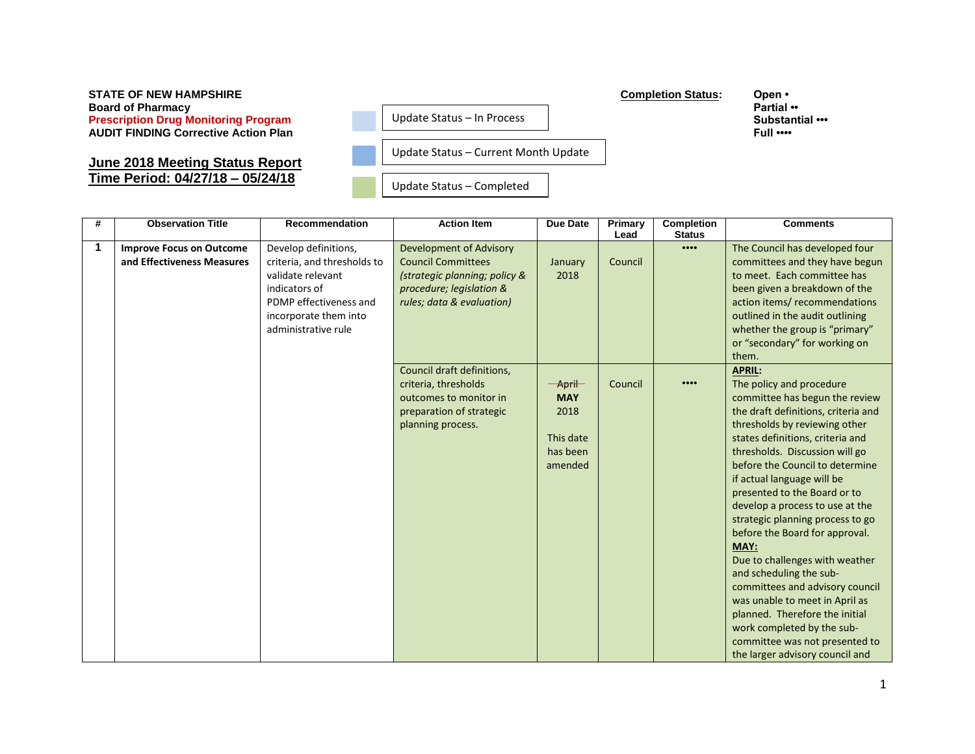## **STATE OF NEW HAMPSHIRE**<br>■ Board of Pharmacy <u>Completion Status</u>: Open •<br>● Partial **Board of Pharmacy Partial •• Prescription Drug Monitoring Program The Contract Optical Conducts In Process Program** Substantial ••• AUDIT FINDING Corrective Action Plan **Full ••••** Full •••• **Full ••••** Full •••• Full •••

**June 2018 Meeting Status Report Time Period: 04/27/18 – 05/24/18**

Update Status – In Process

Update Status – Current Month Update

Update Status – Completed

| # | <b>Observation Title</b>                                      | <b>Recommendation</b>                                                                                                                                               | <b>Action Item</b>                                                                                                                             | <b>Due Date</b>                                                               | Primary<br>Lead | <b>Completion</b><br><b>Status</b> | <b>Comments</b>                                                                                                                                                                                                                                                                                                                                                                                                                                                                                                                                                                                                                                                                                                    |
|---|---------------------------------------------------------------|---------------------------------------------------------------------------------------------------------------------------------------------------------------------|------------------------------------------------------------------------------------------------------------------------------------------------|-------------------------------------------------------------------------------|-----------------|------------------------------------|--------------------------------------------------------------------------------------------------------------------------------------------------------------------------------------------------------------------------------------------------------------------------------------------------------------------------------------------------------------------------------------------------------------------------------------------------------------------------------------------------------------------------------------------------------------------------------------------------------------------------------------------------------------------------------------------------------------------|
| 1 | <b>Improve Focus on Outcome</b><br>and Effectiveness Measures | Develop definitions,<br>criteria, and thresholds to<br>validate relevant<br>indicators of<br>PDMP effectiveness and<br>incorporate them into<br>administrative rule | Development of Advisory<br><b>Council Committees</b><br>(strategic planning; policy &<br>procedure; legislation &<br>rules; data & evaluation) | January<br>2018                                                               | Council         | $\bullet\bullet\bullet\bullet$     | The Council has developed four<br>committees and they have begun<br>to meet. Each committee has<br>been given a breakdown of the<br>action items/recommendations<br>outlined in the audit outlining<br>whether the group is "primary"<br>or "secondary" for working on<br>them.                                                                                                                                                                                                                                                                                                                                                                                                                                    |
|   |                                                               |                                                                                                                                                                     | Council draft definitions,<br>criteria, thresholds<br>outcomes to monitor in<br>preparation of strategic<br>planning process.                  | $\rightarrow$ April<br><b>MAY</b><br>2018<br>This date<br>has been<br>amended | Council         | $\bullet\bullet\bullet\bullet$     | <b>APRIL:</b><br>The policy and procedure<br>committee has begun the review<br>the draft definitions, criteria and<br>thresholds by reviewing other<br>states definitions, criteria and<br>thresholds. Discussion will go<br>before the Council to determine<br>if actual language will be<br>presented to the Board or to<br>develop a process to use at the<br>strategic planning process to go<br>before the Board for approval.<br>MAY:<br>Due to challenges with weather<br>and scheduling the sub-<br>committees and advisory council<br>was unable to meet in April as<br>planned. Therefore the initial<br>work completed by the sub-<br>committee was not presented to<br>the larger advisory council and |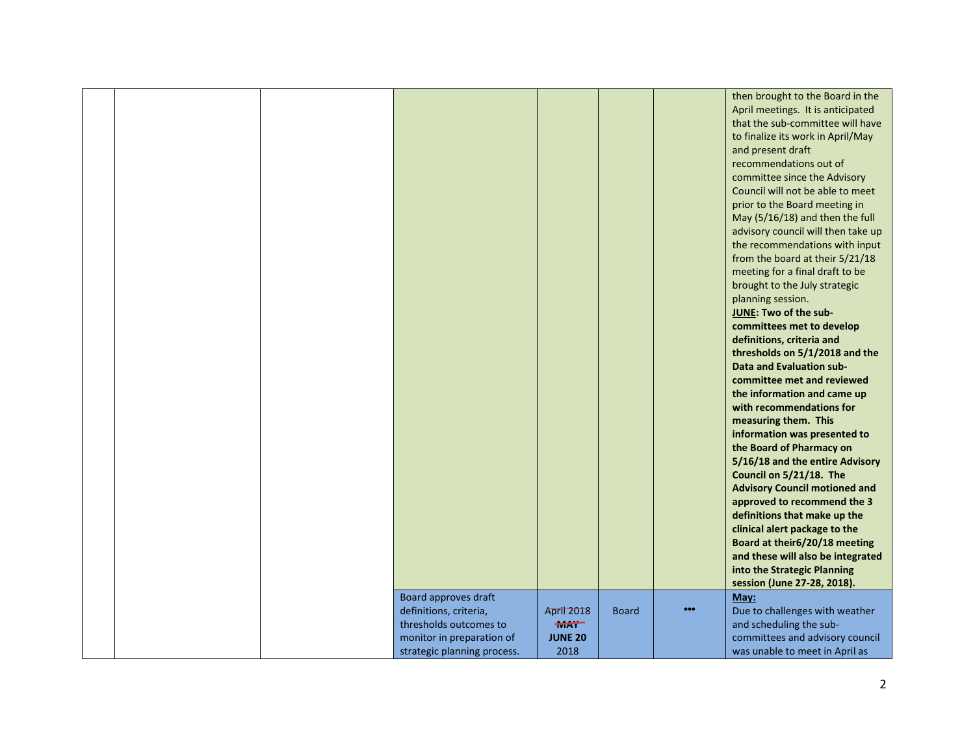|  |                             |                |              |                         | then brought to the Board in the     |
|--|-----------------------------|----------------|--------------|-------------------------|--------------------------------------|
|  |                             |                |              |                         | April meetings. It is anticipated    |
|  |                             |                |              |                         | that the sub-committee will have     |
|  |                             |                |              |                         | to finalize its work in April/May    |
|  |                             |                |              |                         | and present draft                    |
|  |                             |                |              |                         | recommendations out of               |
|  |                             |                |              |                         | committee since the Advisory         |
|  |                             |                |              |                         | Council will not be able to meet     |
|  |                             |                |              |                         | prior to the Board meeting in        |
|  |                             |                |              |                         | May (5/16/18) and then the full      |
|  |                             |                |              |                         | advisory council will then take up   |
|  |                             |                |              |                         | the recommendations with input       |
|  |                             |                |              |                         | from the board at their 5/21/18      |
|  |                             |                |              |                         | meeting for a final draft to be      |
|  |                             |                |              |                         | brought to the July strategic        |
|  |                             |                |              |                         | planning session.                    |
|  |                             |                |              |                         | JUNE: Two of the sub-                |
|  |                             |                |              |                         | committees met to develop            |
|  |                             |                |              |                         | definitions, criteria and            |
|  |                             |                |              |                         | thresholds on 5/1/2018 and the       |
|  |                             |                |              |                         | <b>Data and Evaluation sub-</b>      |
|  |                             |                |              |                         | committee met and reviewed           |
|  |                             |                |              |                         | the information and came up          |
|  |                             |                |              |                         | with recommendations for             |
|  |                             |                |              |                         | measuring them. This                 |
|  |                             |                |              |                         | information was presented to         |
|  |                             |                |              |                         | the Board of Pharmacy on             |
|  |                             |                |              |                         | 5/16/18 and the entire Advisory      |
|  |                             |                |              |                         | Council on 5/21/18. The              |
|  |                             |                |              |                         | <b>Advisory Council motioned and</b> |
|  |                             |                |              |                         | approved to recommend the 3          |
|  |                             |                |              |                         | definitions that make up the         |
|  |                             |                |              |                         | clinical alert package to the        |
|  |                             |                |              |                         | Board at their6/20/18 meeting        |
|  |                             |                |              |                         | and these will also be integrated    |
|  |                             |                |              |                         | into the Strategic Planning          |
|  |                             |                |              |                         | session (June 27-28, 2018).          |
|  | Board approves draft        |                |              | $\bullet\bullet\bullet$ | May:                                 |
|  | definitions, criteria,      | April 2018     | <b>Board</b> |                         | Due to challenges with weather       |
|  | thresholds outcomes to      | $+ +$          |              |                         | and scheduling the sub-              |
|  | monitor in preparation of   | <b>JUNE 20</b> |              |                         | committees and advisory council      |
|  | strategic planning process. | 2018           |              |                         | was unable to meet in April as       |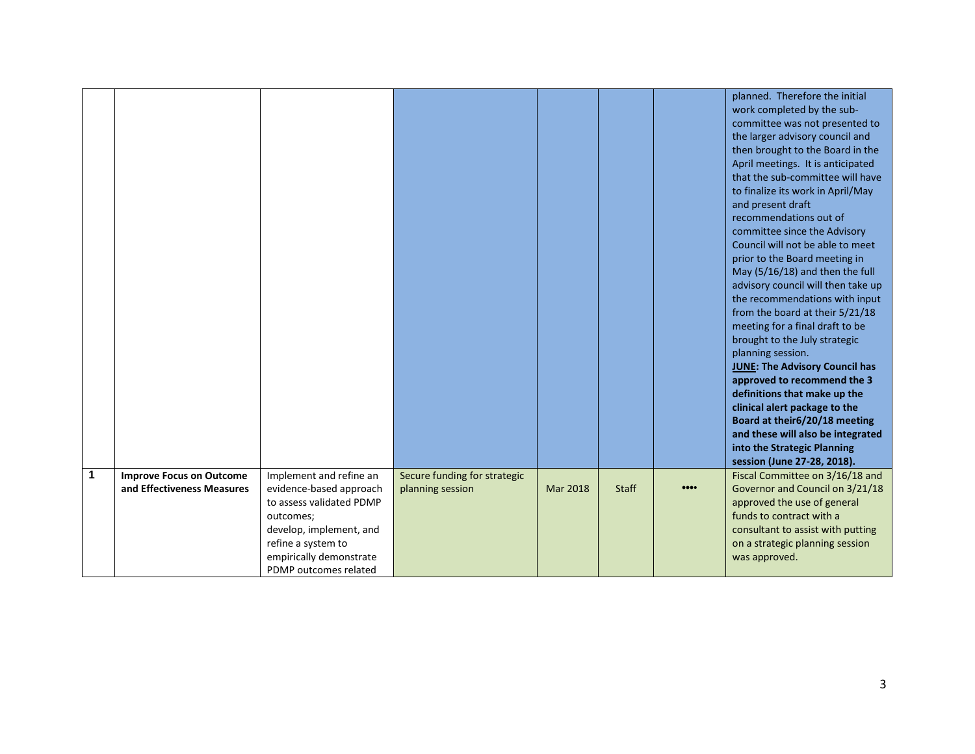|              |                                 |                          |                              |                 |              |      | planned. Therefore the initial<br>work completed by the sub-<br>committee was not presented to<br>the larger advisory council and<br>then brought to the Board in the<br>April meetings. It is anticipated<br>that the sub-committee will have<br>to finalize its work in April/May<br>and present draft<br>recommendations out of<br>committee since the Advisory<br>Council will not be able to meet<br>prior to the Board meeting in<br>May $(5/16/18)$ and then the full<br>advisory council will then take up<br>the recommendations with input<br>from the board at their 5/21/18<br>meeting for a final draft to be<br>brought to the July strategic<br>planning session.<br><b>JUNE: The Advisory Council has</b><br>approved to recommend the 3<br>definitions that make up the<br>clinical alert package to the<br>Board at their6/20/18 meeting<br>and these will also be integrated<br>into the Strategic Planning<br>session (June 27-28, 2018). |
|--------------|---------------------------------|--------------------------|------------------------------|-----------------|--------------|------|---------------------------------------------------------------------------------------------------------------------------------------------------------------------------------------------------------------------------------------------------------------------------------------------------------------------------------------------------------------------------------------------------------------------------------------------------------------------------------------------------------------------------------------------------------------------------------------------------------------------------------------------------------------------------------------------------------------------------------------------------------------------------------------------------------------------------------------------------------------------------------------------------------------------------------------------------------------|
| $\mathbf{1}$ | <b>Improve Focus on Outcome</b> | Implement and refine an  | Secure funding for strategic |                 |              |      | Fiscal Committee on 3/16/18 and                                                                                                                                                                                                                                                                                                                                                                                                                                                                                                                                                                                                                                                                                                                                                                                                                                                                                                                               |
|              | and Effectiveness Measures      | evidence-based approach  | planning session             | <b>Mar 2018</b> | <b>Staff</b> | 0000 | Governor and Council on 3/21/18                                                                                                                                                                                                                                                                                                                                                                                                                                                                                                                                                                                                                                                                                                                                                                                                                                                                                                                               |
|              |                                 | to assess validated PDMP |                              |                 |              |      | approved the use of general                                                                                                                                                                                                                                                                                                                                                                                                                                                                                                                                                                                                                                                                                                                                                                                                                                                                                                                                   |
|              |                                 | outcomes;                |                              |                 |              |      | funds to contract with a                                                                                                                                                                                                                                                                                                                                                                                                                                                                                                                                                                                                                                                                                                                                                                                                                                                                                                                                      |
|              |                                 | develop, implement, and  |                              |                 |              |      | consultant to assist with putting                                                                                                                                                                                                                                                                                                                                                                                                                                                                                                                                                                                                                                                                                                                                                                                                                                                                                                                             |
|              |                                 | refine a system to       |                              |                 |              |      | on a strategic planning session                                                                                                                                                                                                                                                                                                                                                                                                                                                                                                                                                                                                                                                                                                                                                                                                                                                                                                                               |
|              |                                 | empirically demonstrate  |                              |                 |              |      | was approved.                                                                                                                                                                                                                                                                                                                                                                                                                                                                                                                                                                                                                                                                                                                                                                                                                                                                                                                                                 |
|              |                                 | PDMP outcomes related    |                              |                 |              |      |                                                                                                                                                                                                                                                                                                                                                                                                                                                                                                                                                                                                                                                                                                                                                                                                                                                                                                                                                               |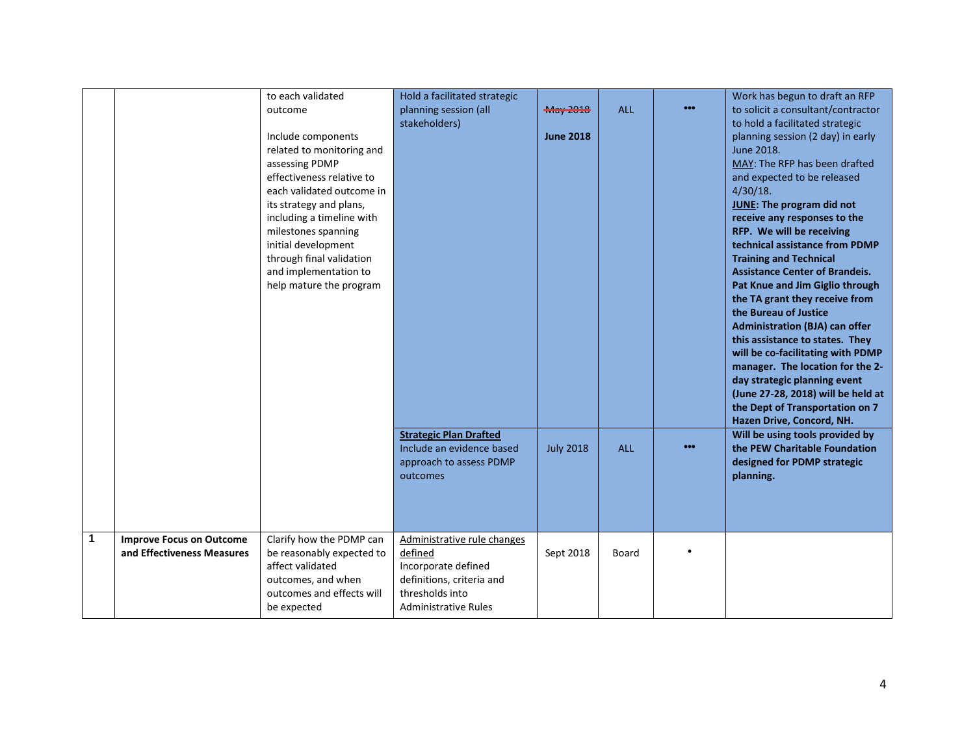|              |                                                               | to each validated<br>outcome<br>Include components<br>related to monitoring and<br>assessing PDMP<br>effectiveness relative to<br>each validated outcome in<br>its strategy and plans,<br>including a timeline with<br>milestones spanning<br>initial development<br>through final validation<br>and implementation to<br>help mature the program | Hold a facilitated strategic<br>planning session (all<br>stakeholders)<br><b>Strategic Plan Drafted</b>                                      | <b>May 2018</b><br><b>June 2018</b> | <b>ALL</b> | $\bullet\bullet\bullet$<br>• • • | Work has begun to draft an RFP<br>to solicit a consultant/contractor<br>to hold a facilitated strategic<br>planning session (2 day) in early<br>June 2018.<br>MAY: The RFP has been drafted<br>and expected to be released<br>$4/30/18$ .<br>JUNE: The program did not<br>receive any responses to the<br>RFP. We will be receiving<br>technical assistance from PDMP<br><b>Training and Technical</b><br><b>Assistance Center of Brandeis.</b><br>Pat Knue and Jim Giglio through<br>the TA grant they receive from<br>the Bureau of Justice<br><b>Administration (BJA) can offer</b><br>this assistance to states. They<br>will be co-facilitating with PDMP<br>manager. The location for the 2-<br>day strategic planning event<br>(June 27-28, 2018) will be held at<br>the Dept of Transportation on 7<br>Hazen Drive, Concord, NH.<br>Will be using tools provided by |
|--------------|---------------------------------------------------------------|---------------------------------------------------------------------------------------------------------------------------------------------------------------------------------------------------------------------------------------------------------------------------------------------------------------------------------------------------|----------------------------------------------------------------------------------------------------------------------------------------------|-------------------------------------|------------|----------------------------------|-----------------------------------------------------------------------------------------------------------------------------------------------------------------------------------------------------------------------------------------------------------------------------------------------------------------------------------------------------------------------------------------------------------------------------------------------------------------------------------------------------------------------------------------------------------------------------------------------------------------------------------------------------------------------------------------------------------------------------------------------------------------------------------------------------------------------------------------------------------------------------|
|              |                                                               |                                                                                                                                                                                                                                                                                                                                                   | Include an evidence based<br>approach to assess PDMP<br>outcomes                                                                             | <b>July 2018</b>                    | <b>ALL</b> |                                  | the PEW Charitable Foundation<br>designed for PDMP strategic<br>planning.                                                                                                                                                                                                                                                                                                                                                                                                                                                                                                                                                                                                                                                                                                                                                                                                   |
| $\mathbf{1}$ | <b>Improve Focus on Outcome</b><br>and Effectiveness Measures | Clarify how the PDMP can<br>be reasonably expected to<br>affect validated<br>outcomes, and when<br>outcomes and effects will<br>be expected                                                                                                                                                                                                       | Administrative rule changes<br>defined<br>Incorporate defined<br>definitions, criteria and<br>thresholds into<br><b>Administrative Rules</b> | Sept 2018                           | Board      |                                  |                                                                                                                                                                                                                                                                                                                                                                                                                                                                                                                                                                                                                                                                                                                                                                                                                                                                             |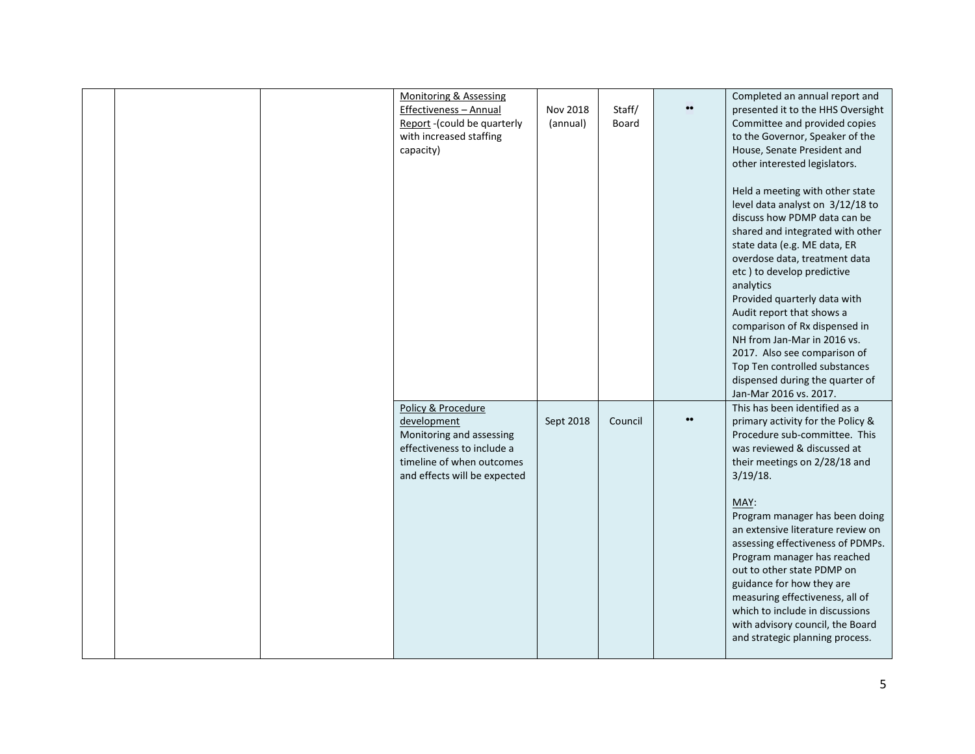|  | <b>Monitoring &amp; Assessing</b><br>Effectiveness - Annual<br>Report - (could be quarterly<br>with increased staffing<br>capacity)                      | Nov 2018<br>(annual) | Staff/<br>Board | Completed an annual report and<br>presented it to the HHS Oversight<br>Committee and provided copies<br>to the Governor, Speaker of the<br>House, Senate President and<br>other interested legislators.                                                                                                                                                                                                                                                                                                                                        |
|--|----------------------------------------------------------------------------------------------------------------------------------------------------------|----------------------|-----------------|------------------------------------------------------------------------------------------------------------------------------------------------------------------------------------------------------------------------------------------------------------------------------------------------------------------------------------------------------------------------------------------------------------------------------------------------------------------------------------------------------------------------------------------------|
|  |                                                                                                                                                          |                      |                 | Held a meeting with other state<br>level data analyst on 3/12/18 to<br>discuss how PDMP data can be<br>shared and integrated with other<br>state data (e.g. ME data, ER<br>overdose data, treatment data<br>etc) to develop predictive<br>analytics<br>Provided quarterly data with<br>Audit report that shows a<br>comparison of Rx dispensed in<br>NH from Jan-Mar in 2016 vs.<br>2017. Also see comparison of<br>Top Ten controlled substances<br>dispensed during the quarter of<br>Jan-Mar 2016 vs. 2017.                                 |
|  | Policy & Procedure<br>development<br>Monitoring and assessing<br>effectiveness to include a<br>timeline of when outcomes<br>and effects will be expected | Sept 2018            | Council         | <br>This has been identified as a<br>primary activity for the Policy &<br>Procedure sub-committee. This<br>was reviewed & discussed at<br>their meetings on 2/28/18 and<br>3/19/18.<br>MAY:<br>Program manager has been doing<br>an extensive literature review on<br>assessing effectiveness of PDMPs.<br>Program manager has reached<br>out to other state PDMP on<br>guidance for how they are<br>measuring effectiveness, all of<br>which to include in discussions<br>with advisory council, the Board<br>and strategic planning process. |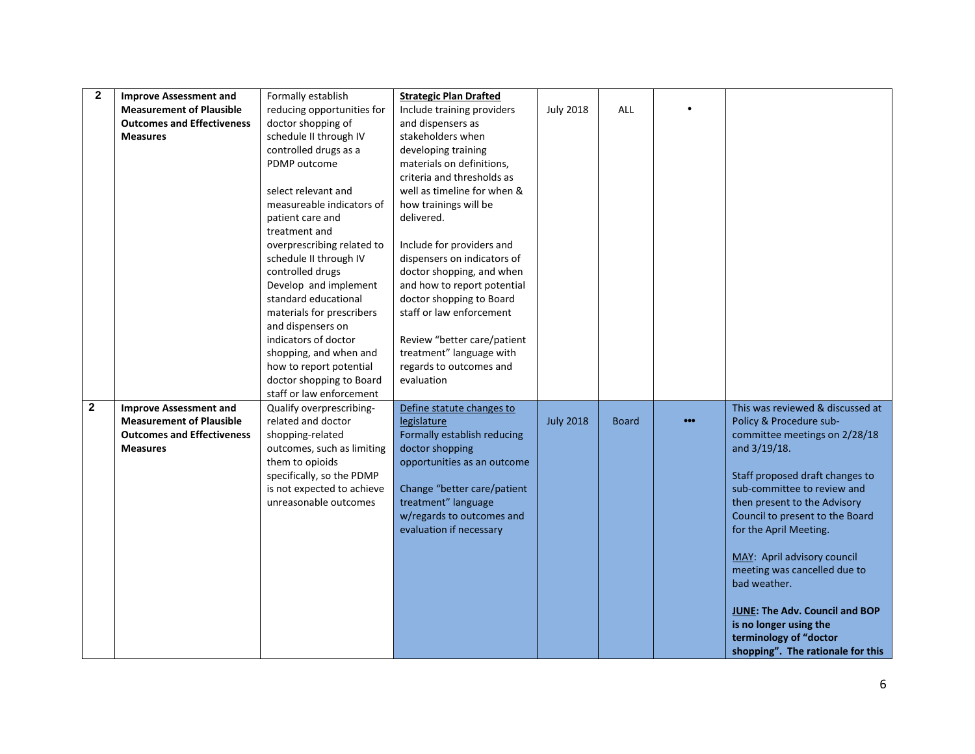| $\overline{2}$ | <b>Improve Assessment and</b>     | Formally establish         | <b>Strategic Plan Drafted</b> |                  |              |                         |                                       |
|----------------|-----------------------------------|----------------------------|-------------------------------|------------------|--------------|-------------------------|---------------------------------------|
|                | <b>Measurement of Plausible</b>   | reducing opportunities for | Include training providers    | <b>July 2018</b> | ALL          |                         |                                       |
|                | <b>Outcomes and Effectiveness</b> | doctor shopping of         | and dispensers as             |                  |              |                         |                                       |
|                | <b>Measures</b>                   | schedule II through IV     | stakeholders when             |                  |              |                         |                                       |
|                |                                   | controlled drugs as a      | developing training           |                  |              |                         |                                       |
|                |                                   | PDMP outcome               | materials on definitions,     |                  |              |                         |                                       |
|                |                                   |                            | criteria and thresholds as    |                  |              |                         |                                       |
|                |                                   | select relevant and        | well as timeline for when &   |                  |              |                         |                                       |
|                |                                   | measureable indicators of  | how trainings will be         |                  |              |                         |                                       |
|                |                                   | patient care and           | delivered.                    |                  |              |                         |                                       |
|                |                                   | treatment and              |                               |                  |              |                         |                                       |
|                |                                   | overprescribing related to | Include for providers and     |                  |              |                         |                                       |
|                |                                   | schedule II through IV     | dispensers on indicators of   |                  |              |                         |                                       |
|                |                                   | controlled drugs           | doctor shopping, and when     |                  |              |                         |                                       |
|                |                                   | Develop and implement      | and how to report potential   |                  |              |                         |                                       |
|                |                                   | standard educational       | doctor shopping to Board      |                  |              |                         |                                       |
|                |                                   | materials for prescribers  | staff or law enforcement      |                  |              |                         |                                       |
|                |                                   | and dispensers on          |                               |                  |              |                         |                                       |
|                |                                   | indicators of doctor       | Review "better care/patient   |                  |              |                         |                                       |
|                |                                   | shopping, and when and     | treatment" language with      |                  |              |                         |                                       |
|                |                                   | how to report potential    | regards to outcomes and       |                  |              |                         |                                       |
|                |                                   | doctor shopping to Board   | evaluation                    |                  |              |                         |                                       |
|                |                                   | staff or law enforcement   |                               |                  |              |                         |                                       |
| $\mathbf{2}$   | <b>Improve Assessment and</b>     | Qualify overprescribing-   | Define statute changes to     |                  |              |                         | This was reviewed & discussed at      |
|                | <b>Measurement of Plausible</b>   | related and doctor         | legislature                   | <b>July 2018</b> | <b>Board</b> | $\bullet\bullet\bullet$ | Policy & Procedure sub-               |
|                | <b>Outcomes and Effectiveness</b> | shopping-related           | Formally establish reducing   |                  |              |                         | committee meetings on 2/28/18         |
|                | <b>Measures</b>                   | outcomes, such as limiting | doctor shopping               |                  |              |                         | and $3/19/18$ .                       |
|                |                                   | them to opioids            | opportunities as an outcome   |                  |              |                         |                                       |
|                |                                   | specifically, so the PDMP  |                               |                  |              |                         | Staff proposed draft changes to       |
|                |                                   | is not expected to achieve | Change "better care/patient   |                  |              |                         | sub-committee to review and           |
|                |                                   | unreasonable outcomes      | treatment" language           |                  |              |                         | then present to the Advisory          |
|                |                                   |                            | w/regards to outcomes and     |                  |              |                         | Council to present to the Board       |
|                |                                   |                            | evaluation if necessary       |                  |              |                         | for the April Meeting.                |
|                |                                   |                            |                               |                  |              |                         | MAY: April advisory council           |
|                |                                   |                            |                               |                  |              |                         | meeting was cancelled due to          |
|                |                                   |                            |                               |                  |              |                         | bad weather.                          |
|                |                                   |                            |                               |                  |              |                         |                                       |
|                |                                   |                            |                               |                  |              |                         | <b>JUNE: The Adv. Council and BOP</b> |
|                |                                   |                            |                               |                  |              |                         | is no longer using the                |
|                |                                   |                            |                               |                  |              |                         | terminology of "doctor                |
|                |                                   |                            |                               |                  |              |                         | shopping". The rationale for this     |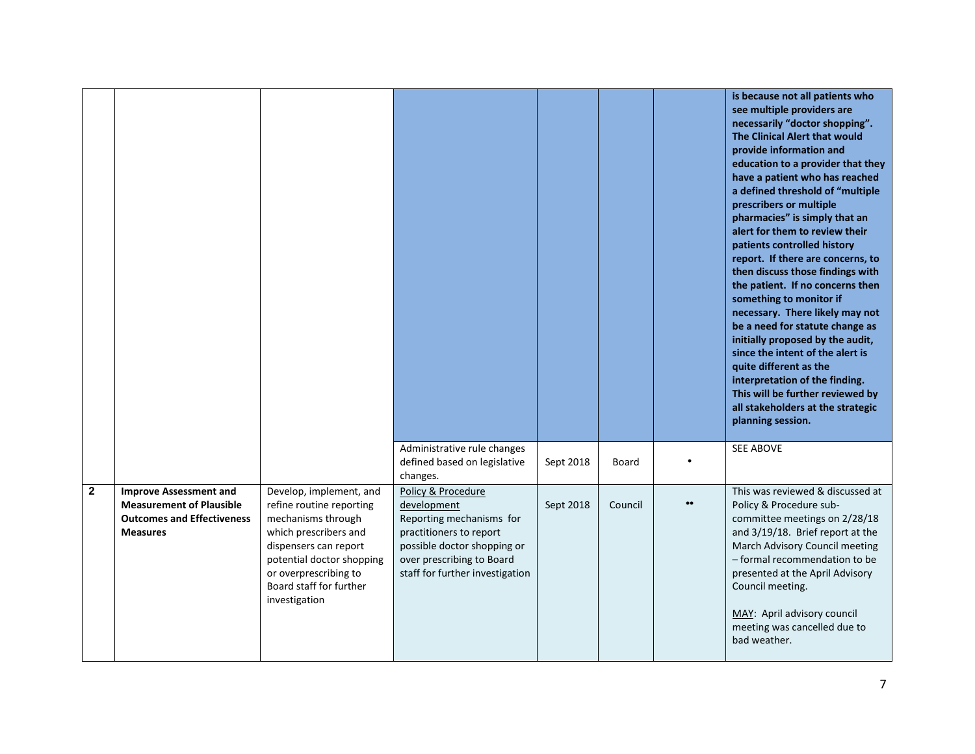|                |                                                                                                                          |                                                                                                                                                                                                                               |                                                                                                                                                                                         |           |         | is because not all patients who<br>see multiple providers are<br>necessarily "doctor shopping".<br>The Clinical Alert that would<br>provide information and<br>education to a provider that they<br>have a patient who has reached<br>a defined threshold of "multiple<br>prescribers or multiple<br>pharmacies" is simply that an<br>alert for them to review their<br>patients controlled history<br>report. If there are concerns, to<br>then discuss those findings with<br>the patient. If no concerns then<br>something to monitor if<br>necessary. There likely may not<br>be a need for statute change as<br>initially proposed by the audit,<br>since the intent of the alert is<br>quite different as the<br>interpretation of the finding.<br>This will be further reviewed by<br>all stakeholders at the strategic<br>planning session. |
|----------------|--------------------------------------------------------------------------------------------------------------------------|-------------------------------------------------------------------------------------------------------------------------------------------------------------------------------------------------------------------------------|-----------------------------------------------------------------------------------------------------------------------------------------------------------------------------------------|-----------|---------|-----------------------------------------------------------------------------------------------------------------------------------------------------------------------------------------------------------------------------------------------------------------------------------------------------------------------------------------------------------------------------------------------------------------------------------------------------------------------------------------------------------------------------------------------------------------------------------------------------------------------------------------------------------------------------------------------------------------------------------------------------------------------------------------------------------------------------------------------------|
|                |                                                                                                                          |                                                                                                                                                                                                                               | Administrative rule changes<br>defined based on legislative<br>changes.                                                                                                                 | Sept 2018 | Board   | SEE ABOVE                                                                                                                                                                                                                                                                                                                                                                                                                                                                                                                                                                                                                                                                                                                                                                                                                                           |
| $\overline{2}$ | <b>Improve Assessment and</b><br><b>Measurement of Plausible</b><br><b>Outcomes and Effectiveness</b><br><b>Measures</b> | Develop, implement, and<br>refine routine reporting<br>mechanisms through<br>which prescribers and<br>dispensers can report<br>potential doctor shopping<br>or overprescribing to<br>Board staff for further<br>investigation | Policy & Procedure<br>development<br>Reporting mechanisms for<br>practitioners to report<br>possible doctor shopping or<br>over prescribing to Board<br>staff for further investigation | Sept 2018 | Council | This was reviewed & discussed at<br>Policy & Procedure sub-<br>committee meetings on 2/28/18<br>and 3/19/18. Brief report at the<br>March Advisory Council meeting<br>- formal recommendation to be<br>presented at the April Advisory<br>Council meeting.<br>MAY: April advisory council<br>meeting was cancelled due to<br>bad weather.                                                                                                                                                                                                                                                                                                                                                                                                                                                                                                           |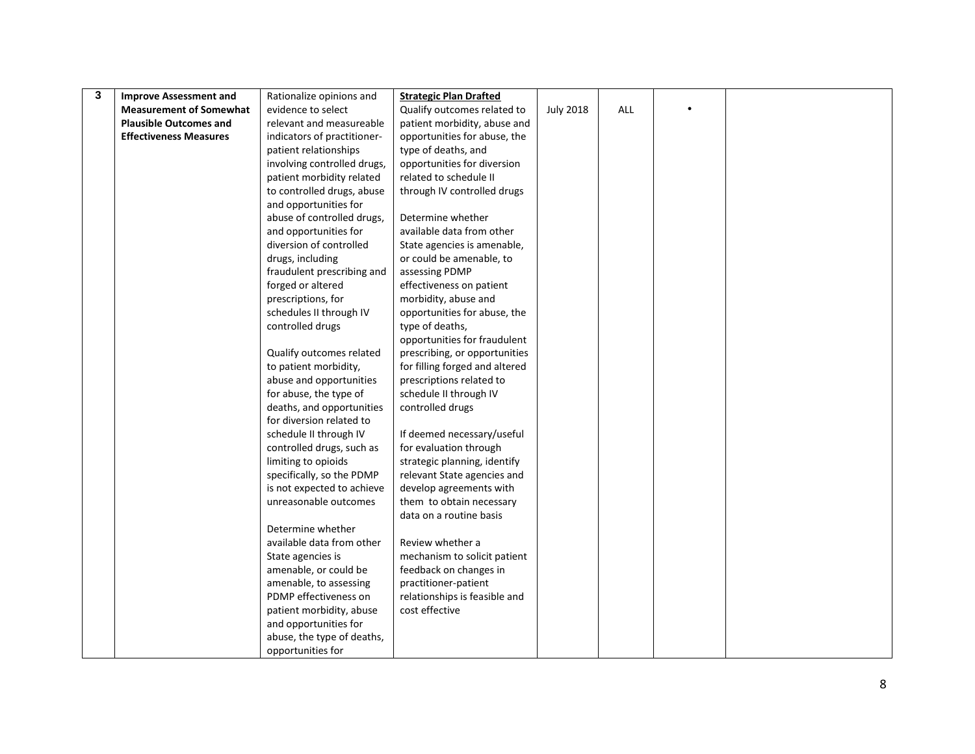| 3 | <b>Improve Assessment and</b>  | Rationalize opinions and                            | <b>Strategic Plan Drafted</b>  |                  |     |  |
|---|--------------------------------|-----------------------------------------------------|--------------------------------|------------------|-----|--|
|   | <b>Measurement of Somewhat</b> | evidence to select                                  | Qualify outcomes related to    | <b>July 2018</b> | ALL |  |
|   | <b>Plausible Outcomes and</b>  | relevant and measureable                            | patient morbidity, abuse and   |                  |     |  |
|   | <b>Effectiveness Measures</b>  | indicators of practitioner-                         | opportunities for abuse, the   |                  |     |  |
|   |                                | patient relationships                               | type of deaths, and            |                  |     |  |
|   |                                | involving controlled drugs,                         | opportunities for diversion    |                  |     |  |
|   |                                | patient morbidity related                           | related to schedule II         |                  |     |  |
|   |                                | to controlled drugs, abuse                          | through IV controlled drugs    |                  |     |  |
|   |                                | and opportunities for                               |                                |                  |     |  |
|   |                                | abuse of controlled drugs,                          | Determine whether              |                  |     |  |
|   |                                | and opportunities for                               | available data from other      |                  |     |  |
|   |                                | diversion of controlled                             | State agencies is amenable,    |                  |     |  |
|   |                                | drugs, including                                    | or could be amenable, to       |                  |     |  |
|   |                                | fraudulent prescribing and                          | assessing PDMP                 |                  |     |  |
|   |                                | forged or altered                                   | effectiveness on patient       |                  |     |  |
|   |                                | prescriptions, for                                  | morbidity, abuse and           |                  |     |  |
|   |                                | schedules II through IV                             | opportunities for abuse, the   |                  |     |  |
|   |                                | controlled drugs                                    | type of deaths,                |                  |     |  |
|   |                                |                                                     | opportunities for fraudulent   |                  |     |  |
|   |                                | Qualify outcomes related                            | prescribing, or opportunities  |                  |     |  |
|   |                                | to patient morbidity,                               | for filling forged and altered |                  |     |  |
|   |                                | abuse and opportunities                             | prescriptions related to       |                  |     |  |
|   |                                | for abuse, the type of                              | schedule II through IV         |                  |     |  |
|   |                                | deaths, and opportunities                           | controlled drugs               |                  |     |  |
|   |                                | for diversion related to                            |                                |                  |     |  |
|   |                                | schedule II through IV                              | If deemed necessary/useful     |                  |     |  |
|   |                                | controlled drugs, such as                           | for evaluation through         |                  |     |  |
|   |                                | limiting to opioids                                 | strategic planning, identify   |                  |     |  |
|   |                                | specifically, so the PDMP                           | relevant State agencies and    |                  |     |  |
|   |                                | is not expected to achieve                          | develop agreements with        |                  |     |  |
|   |                                | unreasonable outcomes                               | them to obtain necessary       |                  |     |  |
|   |                                |                                                     | data on a routine basis        |                  |     |  |
|   |                                | Determine whether                                   |                                |                  |     |  |
|   |                                | available data from other                           | Review whether a               |                  |     |  |
|   |                                | State agencies is                                   | mechanism to solicit patient   |                  |     |  |
|   |                                | amenable, or could be                               | feedback on changes in         |                  |     |  |
|   |                                | amenable, to assessing                              | practitioner-patient           |                  |     |  |
|   |                                | PDMP effectiveness on                               | relationships is feasible and  |                  |     |  |
|   |                                | patient morbidity, abuse                            | cost effective                 |                  |     |  |
|   |                                | and opportunities for<br>abuse, the type of deaths, |                                |                  |     |  |
|   |                                |                                                     |                                |                  |     |  |
|   |                                | opportunities for                                   |                                |                  |     |  |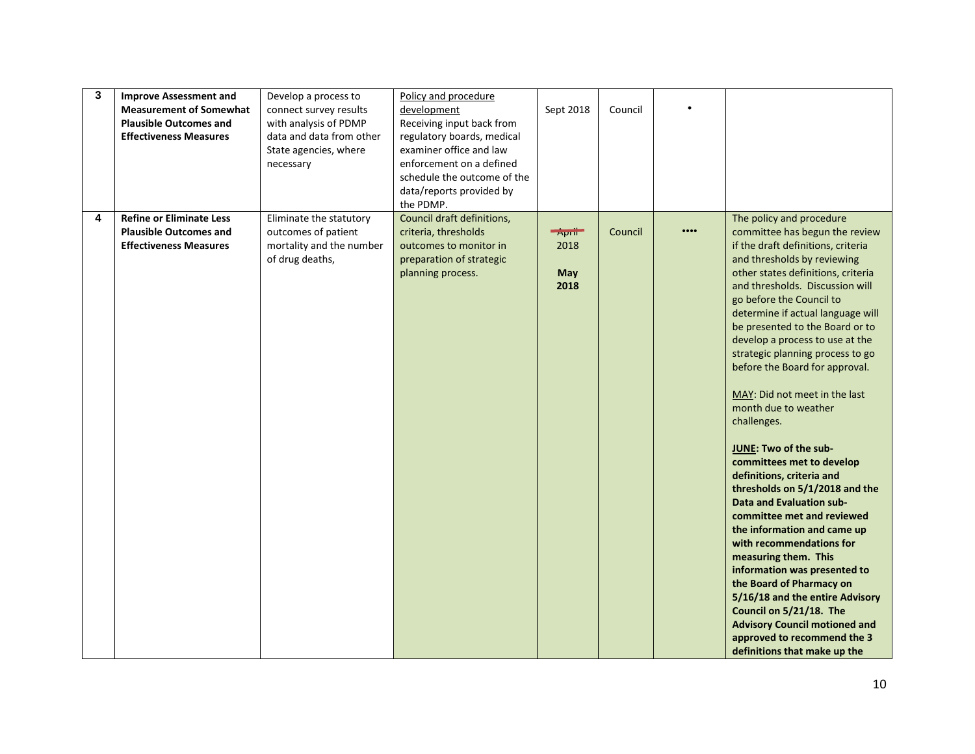| 3 | <b>Improve Assessment and</b><br><b>Measurement of Somewhat</b><br><b>Plausible Outcomes and</b><br><b>Effectiveness Measures</b> | Develop a process to<br>connect survey results<br>with analysis of PDMP<br>data and data from other<br>State agencies, where<br>necessary | Policy and procedure<br>development<br>Receiving input back from<br>regulatory boards, medical<br>examiner office and law<br>enforcement on a defined<br>schedule the outcome of the<br>data/reports provided by<br>the PDMP. | Sept 2018                                                 | Council |          |                                                                                                                                                                                                                                                                                                                                                                                                                                                                                                                                                                                                                                                                                                                                                                                                                                                                                                                                                                                                         |
|---|-----------------------------------------------------------------------------------------------------------------------------------|-------------------------------------------------------------------------------------------------------------------------------------------|-------------------------------------------------------------------------------------------------------------------------------------------------------------------------------------------------------------------------------|-----------------------------------------------------------|---------|----------|---------------------------------------------------------------------------------------------------------------------------------------------------------------------------------------------------------------------------------------------------------------------------------------------------------------------------------------------------------------------------------------------------------------------------------------------------------------------------------------------------------------------------------------------------------------------------------------------------------------------------------------------------------------------------------------------------------------------------------------------------------------------------------------------------------------------------------------------------------------------------------------------------------------------------------------------------------------------------------------------------------|
| 4 | <b>Refine or Eliminate Less</b><br><b>Plausible Outcomes and</b><br><b>Effectiveness Measures</b>                                 | Eliminate the statutory<br>outcomes of patient<br>mortality and the number<br>of drug deaths,                                             | Council draft definitions,<br>criteria, thresholds<br>outcomes to monitor in<br>preparation of strategic<br>planning process.                                                                                                 | $\overline{A}$ prii $\overline{C}$<br>2018<br>May<br>2018 | Council | $\cdots$ | The policy and procedure<br>committee has begun the review<br>if the draft definitions, criteria<br>and thresholds by reviewing<br>other states definitions, criteria<br>and thresholds. Discussion will<br>go before the Council to<br>determine if actual language will<br>be presented to the Board or to<br>develop a process to use at the<br>strategic planning process to go<br>before the Board for approval.<br>MAY: Did not meet in the last<br>month due to weather<br>challenges.<br>JUNE: Two of the sub-<br>committees met to develop<br>definitions, criteria and<br>thresholds on 5/1/2018 and the<br><b>Data and Evaluation sub-</b><br>committee met and reviewed<br>the information and came up<br>with recommendations for<br>measuring them. This<br>information was presented to<br>the Board of Pharmacy on<br>5/16/18 and the entire Advisory<br>Council on 5/21/18. The<br><b>Advisory Council motioned and</b><br>approved to recommend the 3<br>definitions that make up the |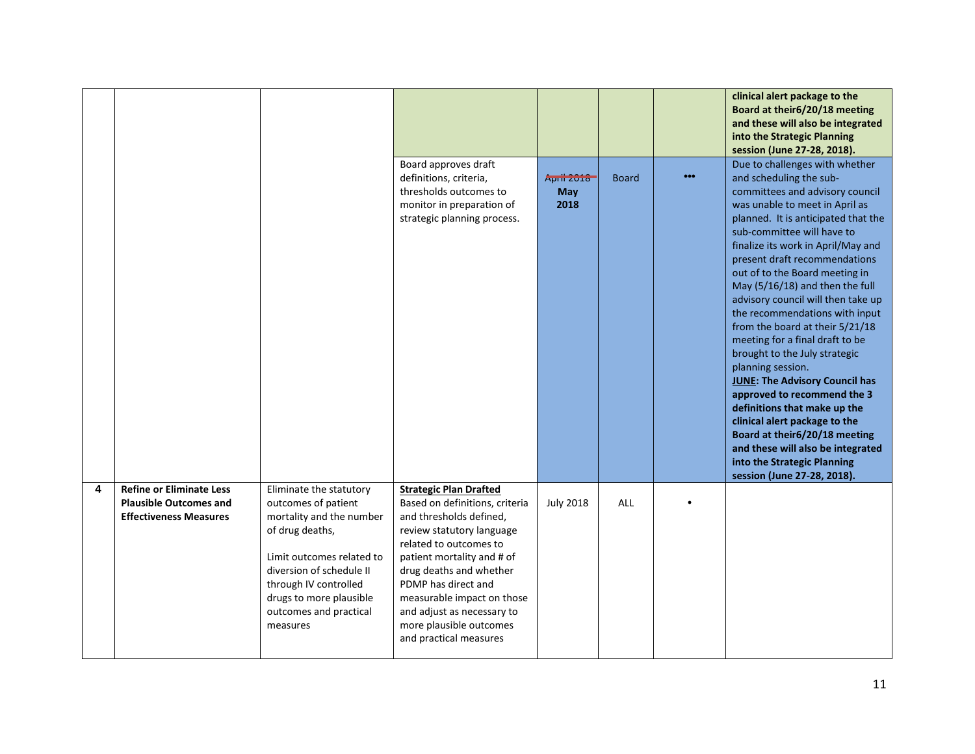|   |                                                                                                   |                                                                                                                                                                                                                                                  | Board approves draft<br>definitions, criteria,<br>thresholds outcomes to<br>monitor in preparation of<br>strategic planning process.                                                                                                                                                                                                               | <b>April 2018</b><br>May<br>2018 | <b>Board</b> | <br>clinical alert package to the<br>Board at their6/20/18 meeting<br>and these will also be integrated<br>into the Strategic Planning<br>session (June 27-28, 2018).<br>Due to challenges with whether<br>and scheduling the sub-<br>committees and advisory council<br>was unable to meet in April as<br>planned. It is anticipated that the<br>sub-committee will have to<br>finalize its work in April/May and<br>present draft recommendations<br>out of to the Board meeting in<br>May $(5/16/18)$ and then the full<br>advisory council will then take up<br>the recommendations with input<br>from the board at their 5/21/18<br>meeting for a final draft to be<br>brought to the July strategic<br>planning session.<br><b>JUNE: The Advisory Council has</b><br>approved to recommend the 3<br>definitions that make up the<br>clinical alert package to the<br>Board at their6/20/18 meeting |
|---|---------------------------------------------------------------------------------------------------|--------------------------------------------------------------------------------------------------------------------------------------------------------------------------------------------------------------------------------------------------|----------------------------------------------------------------------------------------------------------------------------------------------------------------------------------------------------------------------------------------------------------------------------------------------------------------------------------------------------|----------------------------------|--------------|----------------------------------------------------------------------------------------------------------------------------------------------------------------------------------------------------------------------------------------------------------------------------------------------------------------------------------------------------------------------------------------------------------------------------------------------------------------------------------------------------------------------------------------------------------------------------------------------------------------------------------------------------------------------------------------------------------------------------------------------------------------------------------------------------------------------------------------------------------------------------------------------------------|
|   |                                                                                                   |                                                                                                                                                                                                                                                  |                                                                                                                                                                                                                                                                                                                                                    |                                  |              | and these will also be integrated<br>into the Strategic Planning<br>session (June 27-28, 2018).                                                                                                                                                                                                                                                                                                                                                                                                                                                                                                                                                                                                                                                                                                                                                                                                          |
| 4 | <b>Refine or Eliminate Less</b><br><b>Plausible Outcomes and</b><br><b>Effectiveness Measures</b> | Eliminate the statutory<br>outcomes of patient<br>mortality and the number<br>of drug deaths,<br>Limit outcomes related to<br>diversion of schedule II<br>through IV controlled<br>drugs to more plausible<br>outcomes and practical<br>measures | <b>Strategic Plan Drafted</b><br>Based on definitions, criteria<br>and thresholds defined,<br>review statutory language<br>related to outcomes to<br>patient mortality and # of<br>drug deaths and whether<br>PDMP has direct and<br>measurable impact on those<br>and adjust as necessary to<br>more plausible outcomes<br>and practical measures | <b>July 2018</b>                 | ALL          |                                                                                                                                                                                                                                                                                                                                                                                                                                                                                                                                                                                                                                                                                                                                                                                                                                                                                                          |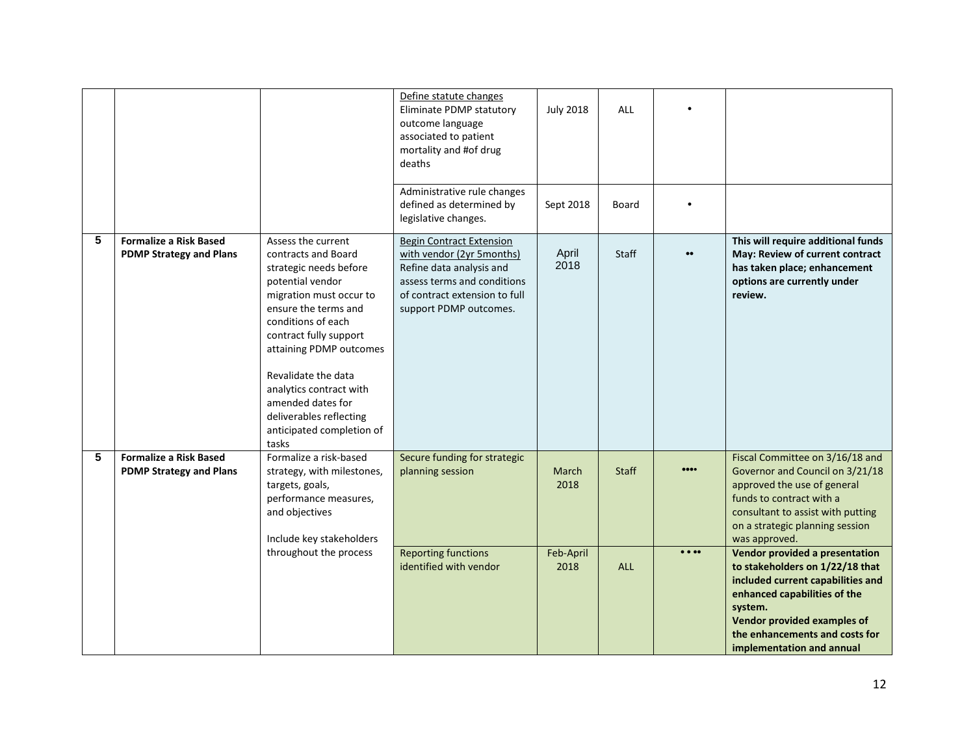|   |                                                                 |                                                                                                                                                                                                                                                                                                                                                               | Define statute changes<br>Eliminate PDMP statutory<br>outcome language<br>associated to patient<br>mortality and #of drug<br>deaths                                                | <b>July 2018</b>  | ALL          |                                |                                                                                                                                                                                                                                                 |
|---|-----------------------------------------------------------------|---------------------------------------------------------------------------------------------------------------------------------------------------------------------------------------------------------------------------------------------------------------------------------------------------------------------------------------------------------------|------------------------------------------------------------------------------------------------------------------------------------------------------------------------------------|-------------------|--------------|--------------------------------|-------------------------------------------------------------------------------------------------------------------------------------------------------------------------------------------------------------------------------------------------|
|   |                                                                 |                                                                                                                                                                                                                                                                                                                                                               | Administrative rule changes<br>defined as determined by<br>legislative changes.                                                                                                    | Sept 2018         | Board        |                                |                                                                                                                                                                                                                                                 |
| 5 | <b>Formalize a Risk Based</b><br><b>PDMP Strategy and Plans</b> | Assess the current<br>contracts and Board<br>strategic needs before<br>potential vendor<br>migration must occur to<br>ensure the terms and<br>conditions of each<br>contract fully support<br>attaining PDMP outcomes<br>Revalidate the data<br>analytics contract with<br>amended dates for<br>deliverables reflecting<br>anticipated completion of<br>tasks | <b>Begin Contract Extension</b><br>with vendor (2yr 5months)<br>Refine data analysis and<br>assess terms and conditions<br>of contract extension to full<br>support PDMP outcomes. | April<br>2018     | <b>Staff</b> | $\bullet\bullet$               | This will require additional funds<br>May: Review of current contract<br>has taken place; enhancement<br>options are currently under<br>review.                                                                                                 |
| 5 | <b>Formalize a Risk Based</b><br><b>PDMP Strategy and Plans</b> | Formalize a risk-based<br>strategy, with milestones,<br>targets, goals,<br>performance measures,<br>and objectives<br>Include key stakeholders                                                                                                                                                                                                                | Secure funding for strategic<br>planning session                                                                                                                                   | March<br>2018     | <b>Staff</b> | $\bullet\bullet\bullet\bullet$ | Fiscal Committee on 3/16/18 and<br>Governor and Council on 3/21/18<br>approved the use of general<br>funds to contract with a<br>consultant to assist with putting<br>on a strategic planning session<br>was approved.                          |
|   |                                                                 | throughout the process                                                                                                                                                                                                                                                                                                                                        | <b>Reporting functions</b><br>identified with vendor                                                                                                                               | Feb-April<br>2018 | <b>ALL</b>   | $\bullet$ $\bullet$ $\bullet$  | Vendor provided a presentation<br>to stakeholders on 1/22/18 that<br>included current capabilities and<br>enhanced capabilities of the<br>system.<br>Vendor provided examples of<br>the enhancements and costs for<br>implementation and annual |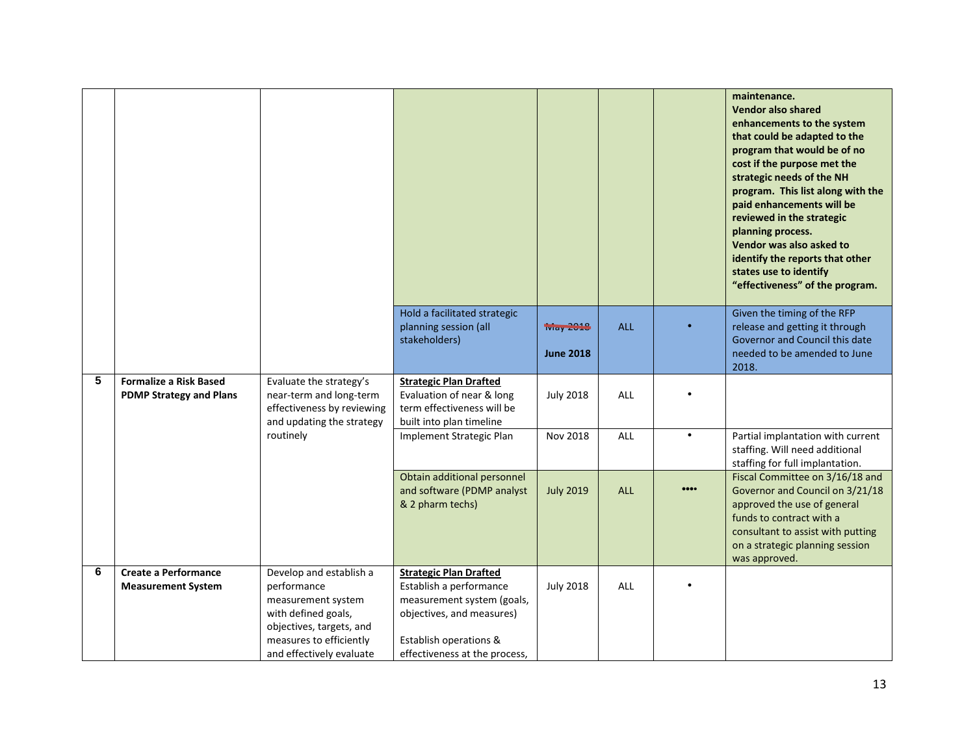|   |                                                                 |                                                                                                                                            |                                                                                                                                               |                                |            |                                | maintenance.<br><b>Vendor also shared</b><br>enhancements to the system<br>that could be adapted to the<br>program that would be of no<br>cost if the purpose met the<br>strategic needs of the NH<br>program. This list along with the<br>paid enhancements will be<br>reviewed in the strategic<br>planning process.<br>Vendor was also asked to<br>identify the reports that other<br>states use to identify<br>"effectiveness" of the program. |
|---|-----------------------------------------------------------------|--------------------------------------------------------------------------------------------------------------------------------------------|-----------------------------------------------------------------------------------------------------------------------------------------------|--------------------------------|------------|--------------------------------|----------------------------------------------------------------------------------------------------------------------------------------------------------------------------------------------------------------------------------------------------------------------------------------------------------------------------------------------------------------------------------------------------------------------------------------------------|
|   |                                                                 |                                                                                                                                            | Hold a facilitated strategic<br>planning session (all<br>stakeholders)                                                                        | Tviay 2018<br><b>June 2018</b> | <b>ALL</b> |                                | Given the timing of the RFP<br>release and getting it through<br>Governor and Council this date<br>needed to be amended to June<br>2018.                                                                                                                                                                                                                                                                                                           |
| 5 | <b>Formalize a Risk Based</b><br><b>PDMP Strategy and Plans</b> | Evaluate the strategy's<br>near-term and long-term<br>effectiveness by reviewing<br>and updating the strategy                              | <b>Strategic Plan Drafted</b><br>Evaluation of near & long<br>term effectiveness will be<br>built into plan timeline                          | <b>July 2018</b>               | <b>ALL</b> |                                |                                                                                                                                                                                                                                                                                                                                                                                                                                                    |
|   |                                                                 | routinely                                                                                                                                  | Implement Strategic Plan                                                                                                                      | Nov 2018                       | <b>ALL</b> | $\bullet$                      | Partial implantation with current<br>staffing. Will need additional<br>staffing for full implantation.                                                                                                                                                                                                                                                                                                                                             |
|   |                                                                 |                                                                                                                                            | Obtain additional personnel<br>and software (PDMP analyst<br>& 2 pharm techs)                                                                 | <b>July 2019</b>               | <b>ALL</b> | $\bullet\bullet\bullet\bullet$ | Fiscal Committee on 3/16/18 and<br>Governor and Council on 3/21/18<br>approved the use of general<br>funds to contract with a<br>consultant to assist with putting<br>on a strategic planning session<br>was approved.                                                                                                                                                                                                                             |
| 6 | <b>Create a Performance</b><br><b>Measurement System</b>        | Develop and establish a<br>performance<br>measurement system<br>with defined goals,<br>objectives, targets, and<br>measures to efficiently | <b>Strategic Plan Drafted</b><br>Establish a performance<br>measurement system (goals,<br>objectives, and measures)<br>Establish operations & | <b>July 2018</b>               | <b>ALL</b> |                                |                                                                                                                                                                                                                                                                                                                                                                                                                                                    |
|   |                                                                 | and effectively evaluate                                                                                                                   | effectiveness at the process,                                                                                                                 |                                |            |                                |                                                                                                                                                                                                                                                                                                                                                                                                                                                    |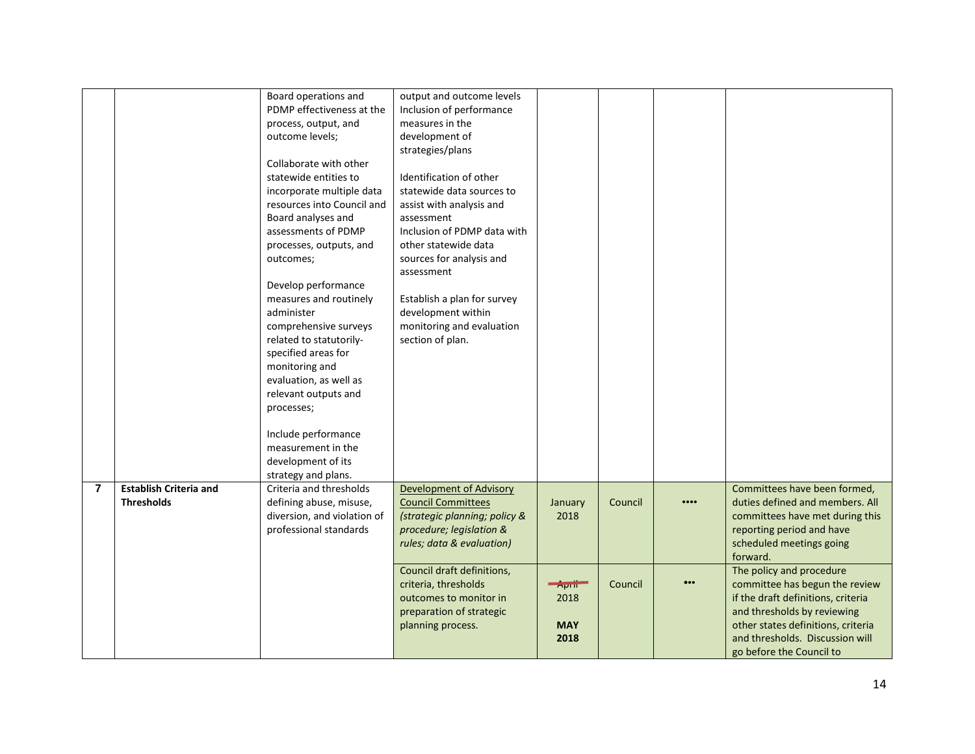|                |                                                    | Board operations and<br>PDMP effectiveness at the<br>process, output, and<br>outcome levels;<br>Collaborate with other<br>statewide entities to<br>incorporate multiple data<br>resources into Council and<br>Board analyses and<br>assessments of PDMP<br>processes, outputs, and<br>outcomes;<br>Develop performance<br>measures and routinely<br>administer<br>comprehensive surveys<br>related to statutorily-<br>specified areas for<br>monitoring and<br>evaluation, as well as<br>relevant outputs and<br>processes;<br>Include performance<br>measurement in the<br>development of its | output and outcome levels<br>Inclusion of performance<br>measures in the<br>development of<br>strategies/plans<br>Identification of other<br>statewide data sources to<br>assist with analysis and<br>assessment<br>Inclusion of PDMP data with<br>other statewide data<br>sources for analysis and<br>assessment<br>Establish a plan for survey<br>development within<br>monitoring and evaluation<br>section of plan. |                                                  |         |                                |                                                                                                                                                                                                                                      |
|----------------|----------------------------------------------------|------------------------------------------------------------------------------------------------------------------------------------------------------------------------------------------------------------------------------------------------------------------------------------------------------------------------------------------------------------------------------------------------------------------------------------------------------------------------------------------------------------------------------------------------------------------------------------------------|-------------------------------------------------------------------------------------------------------------------------------------------------------------------------------------------------------------------------------------------------------------------------------------------------------------------------------------------------------------------------------------------------------------------------|--------------------------------------------------|---------|--------------------------------|--------------------------------------------------------------------------------------------------------------------------------------------------------------------------------------------------------------------------------------|
|                |                                                    | strategy and plans.                                                                                                                                                                                                                                                                                                                                                                                                                                                                                                                                                                            |                                                                                                                                                                                                                                                                                                                                                                                                                         |                                                  |         |                                |                                                                                                                                                                                                                                      |
| $\overline{7}$ | <b>Establish Criteria and</b><br><b>Thresholds</b> | Criteria and thresholds<br>defining abuse, misuse,<br>diversion, and violation of<br>professional standards                                                                                                                                                                                                                                                                                                                                                                                                                                                                                    | Development of Advisory<br><b>Council Committees</b><br>(strategic planning; policy &<br>procedure; legislation &<br>rules; data & evaluation)                                                                                                                                                                                                                                                                          | January<br>2018                                  | Council | $\bullet\bullet\bullet\bullet$ | Committees have been formed,<br>duties defined and members. All<br>committees have met during this<br>reporting period and have<br>scheduled meetings going<br>forward.                                                              |
|                |                                                    |                                                                                                                                                                                                                                                                                                                                                                                                                                                                                                                                                                                                | Council draft definitions,<br>criteria, thresholds<br>outcomes to monitor in<br>preparation of strategic<br>planning process.                                                                                                                                                                                                                                                                                           | $\rightarrow$ pril<br>2018<br><b>MAY</b><br>2018 | Council | $\bullet\bullet\bullet$        | The policy and procedure<br>committee has begun the review<br>if the draft definitions, criteria<br>and thresholds by reviewing<br>other states definitions, criteria<br>and thresholds. Discussion will<br>go before the Council to |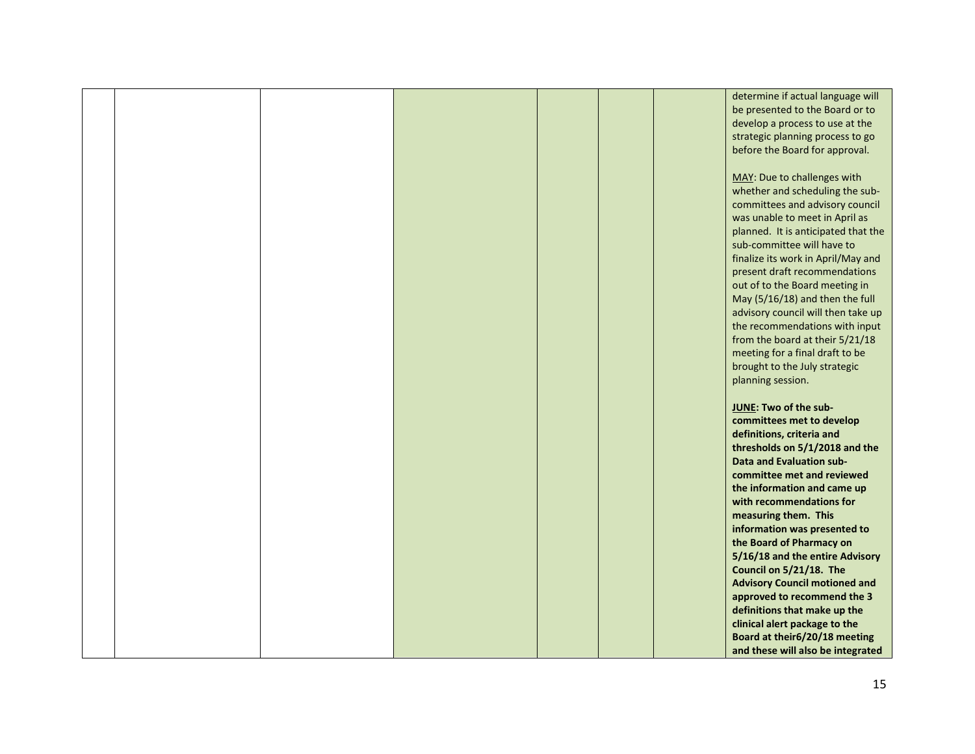|  |  |  | determine if actual language will    |
|--|--|--|--------------------------------------|
|  |  |  | be presented to the Board or to      |
|  |  |  | develop a process to use at the      |
|  |  |  | strategic planning process to go     |
|  |  |  |                                      |
|  |  |  | before the Board for approval.       |
|  |  |  |                                      |
|  |  |  | MAY: Due to challenges with          |
|  |  |  | whether and scheduling the sub-      |
|  |  |  | committees and advisory council      |
|  |  |  |                                      |
|  |  |  | was unable to meet in April as       |
|  |  |  | planned. It is anticipated that the  |
|  |  |  | sub-committee will have to           |
|  |  |  | finalize its work in April/May and   |
|  |  |  | present draft recommendations        |
|  |  |  | out of to the Board meeting in       |
|  |  |  | May (5/16/18) and then the full      |
|  |  |  |                                      |
|  |  |  | advisory council will then take up   |
|  |  |  | the recommendations with input       |
|  |  |  | from the board at their 5/21/18      |
|  |  |  | meeting for a final draft to be      |
|  |  |  | brought to the July strategic        |
|  |  |  | planning session.                    |
|  |  |  |                                      |
|  |  |  | JUNE: Two of the sub-                |
|  |  |  |                                      |
|  |  |  | committees met to develop            |
|  |  |  | definitions, criteria and            |
|  |  |  | thresholds on 5/1/2018 and the       |
|  |  |  | <b>Data and Evaluation sub-</b>      |
|  |  |  | committee met and reviewed           |
|  |  |  | the information and came up          |
|  |  |  |                                      |
|  |  |  | with recommendations for             |
|  |  |  | measuring them. This                 |
|  |  |  | information was presented to         |
|  |  |  | the Board of Pharmacy on             |
|  |  |  | 5/16/18 and the entire Advisory      |
|  |  |  | Council on 5/21/18. The              |
|  |  |  | <b>Advisory Council motioned and</b> |
|  |  |  |                                      |
|  |  |  | approved to recommend the 3          |
|  |  |  | definitions that make up the         |
|  |  |  | clinical alert package to the        |
|  |  |  | Board at their6/20/18 meeting        |
|  |  |  | and these will also be integrated    |
|  |  |  |                                      |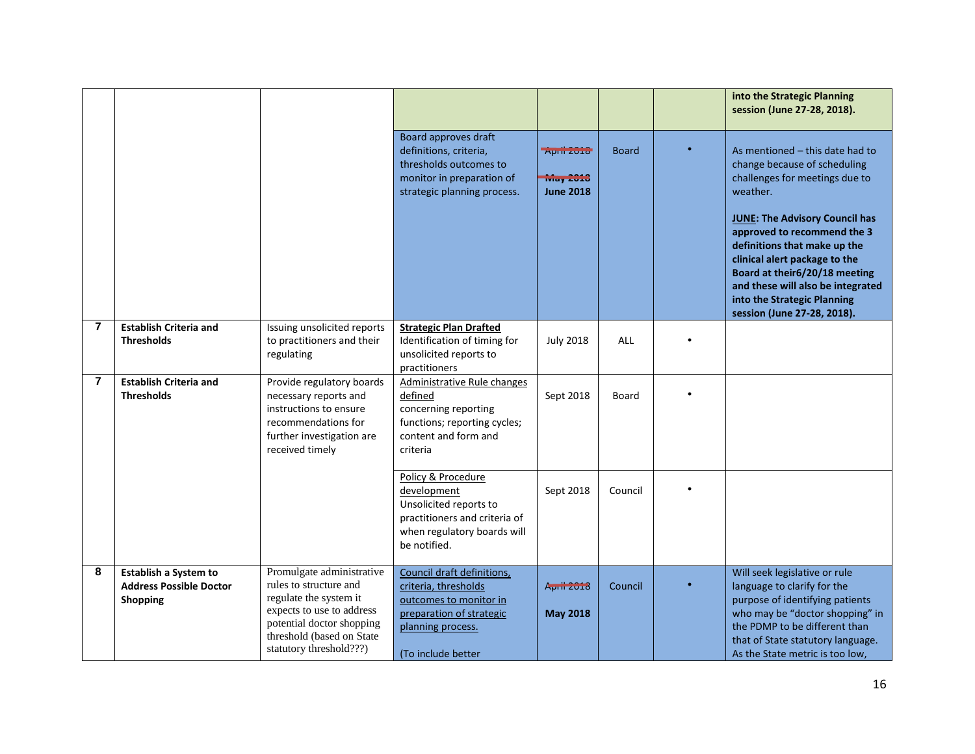|                |                                                                                   |                                                                                                                                                                                                 |                                                                                                                                                     |                                                   |              | into the Strategic Planning<br>session (June 27-28, 2018).                                                                                                                                                                                                                                                                                                                          |
|----------------|-----------------------------------------------------------------------------------|-------------------------------------------------------------------------------------------------------------------------------------------------------------------------------------------------|-----------------------------------------------------------------------------------------------------------------------------------------------------|---------------------------------------------------|--------------|-------------------------------------------------------------------------------------------------------------------------------------------------------------------------------------------------------------------------------------------------------------------------------------------------------------------------------------------------------------------------------------|
|                |                                                                                   |                                                                                                                                                                                                 | Board approves draft<br>definitions, criteria,<br>thresholds outcomes to<br>monitor in preparation of<br>strategic planning process.                | April 2016<br><b>May 2018</b><br><b>June 2018</b> | <b>Board</b> | As mentioned – this date had to<br>change because of scheduling<br>challenges for meetings due to<br>weather.<br>JUNE: The Advisory Council has<br>approved to recommend the 3<br>definitions that make up the<br>clinical alert package to the<br>Board at their6/20/18 meeting<br>and these will also be integrated<br>into the Strategic Planning<br>session (June 27-28, 2018). |
| 7              | <b>Establish Criteria and</b><br><b>Thresholds</b>                                | Issuing unsolicited reports<br>to practitioners and their<br>regulating                                                                                                                         | <b>Strategic Plan Drafted</b><br>Identification of timing for<br>unsolicited reports to<br>practitioners                                            | <b>July 2018</b>                                  | <b>ALL</b>   |                                                                                                                                                                                                                                                                                                                                                                                     |
| $\overline{7}$ | <b>Establish Criteria and</b><br><b>Thresholds</b>                                | Provide regulatory boards<br>necessary reports and<br>instructions to ensure<br>recommendations for<br>further investigation are<br>received timely                                             | Administrative Rule changes<br>defined<br>concerning reporting<br>functions; reporting cycles;<br>content and form and<br>criteria                  | Sept 2018                                         | Board        |                                                                                                                                                                                                                                                                                                                                                                                     |
|                |                                                                                   |                                                                                                                                                                                                 | Policy & Procedure<br>development<br>Unsolicited reports to<br>practitioners and criteria of<br>when regulatory boards will<br>be notified.         | Sept 2018                                         | Council      |                                                                                                                                                                                                                                                                                                                                                                                     |
| 8              | <b>Establish a System to</b><br><b>Address Possible Doctor</b><br><b>Shopping</b> | Promulgate administrative<br>rules to structure and<br>regulate the system it<br>expects to use to address<br>potential doctor shopping<br>threshold (based on State<br>statutory threshold???) | Council draft definitions,<br>criteria, thresholds<br>outcomes to monitor in<br>preparation of strategic<br>planning process.<br>(To include better | April 2018<br><b>May 2018</b>                     | Council      | Will seek legislative or rule<br>language to clarify for the<br>purpose of identifying patients<br>who may be "doctor shopping" in<br>the PDMP to be different than<br>that of State statutory language.<br>As the State metric is too low,                                                                                                                                         |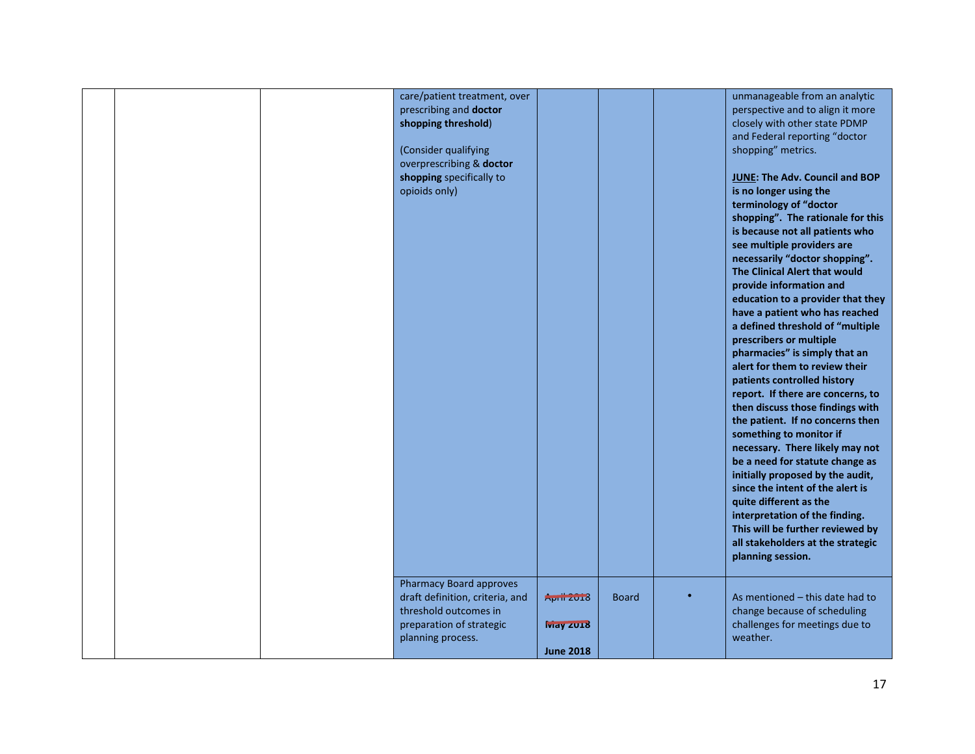| care/patient treatment, over<br>prescribing and doctor<br>shopping threshold)<br>(Consider qualifying<br>overprescribing & doctor<br>shopping specifically to<br>opioids only) |                                                                           | unmanageable from an analytic<br>perspective and to align it more<br>closely with other state PDMP<br>and Federal reporting "doctor<br>shopping" metrics.<br>JUNE: The Adv. Council and BOP<br>is no longer using the<br>terminology of "doctor<br>shopping". The rationale for this<br>is because not all patients who<br>see multiple providers are<br>necessarily "doctor shopping".<br>The Clinical Alert that would<br>provide information and<br>education to a provider that they<br>have a patient who has reached<br>a defined threshold of "multiple<br>prescribers or multiple<br>pharmacies" is simply that an<br>alert for them to review their<br>patients controlled history<br>report. If there are concerns, to<br>then discuss those findings with<br>the patient. If no concerns then<br>something to monitor if<br>necessary. There likely may not<br>be a need for statute change as<br>initially proposed by the audit,<br>since the intent of the alert is<br>quite different as the<br>interpretation of the finding.<br>This will be further reviewed by<br>all stakeholders at the strategic<br>planning session. |
|--------------------------------------------------------------------------------------------------------------------------------------------------------------------------------|---------------------------------------------------------------------------|---------------------------------------------------------------------------------------------------------------------------------------------------------------------------------------------------------------------------------------------------------------------------------------------------------------------------------------------------------------------------------------------------------------------------------------------------------------------------------------------------------------------------------------------------------------------------------------------------------------------------------------------------------------------------------------------------------------------------------------------------------------------------------------------------------------------------------------------------------------------------------------------------------------------------------------------------------------------------------------------------------------------------------------------------------------------------------------------------------------------------------------------|
| <b>Pharmacy Board approves</b><br>draft definition, criteria, and<br>threshold outcomes in<br>preparation of strategic<br>planning process.                                    | <b>April 2018</b><br><b>Board</b><br><b>Widy 2018</b><br><b>June 2018</b> | As mentioned - this date had to<br>change because of scheduling<br>challenges for meetings due to<br>weather.                                                                                                                                                                                                                                                                                                                                                                                                                                                                                                                                                                                                                                                                                                                                                                                                                                                                                                                                                                                                                               |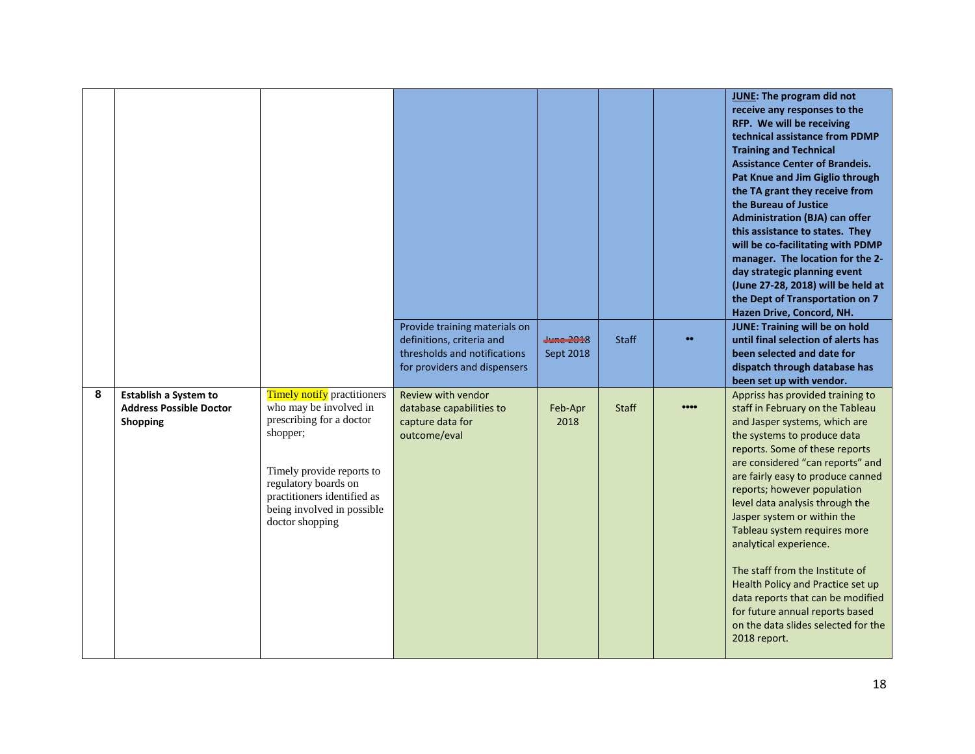|   |                                                                            |                                                                                                                                                                                                                                           |                                                                                                                            |                                |              |                                | <b>JUNE: The program did not</b><br>receive any responses to the<br>RFP. We will be receiving<br>technical assistance from PDMP<br><b>Training and Technical</b><br><b>Assistance Center of Brandeis.</b><br>Pat Knue and Jim Giglio through<br>the TA grant they receive from<br>the Bureau of Justice<br><b>Administration (BJA) can offer</b><br>this assistance to states. They<br>will be co-facilitating with PDMP<br>manager. The location for the 2-<br>day strategic planning event<br>(June 27-28, 2018) will be held at<br>the Dept of Transportation on 7<br>Hazen Drive, Concord, NH.                |
|---|----------------------------------------------------------------------------|-------------------------------------------------------------------------------------------------------------------------------------------------------------------------------------------------------------------------------------------|----------------------------------------------------------------------------------------------------------------------------|--------------------------------|--------------|--------------------------------|-------------------------------------------------------------------------------------------------------------------------------------------------------------------------------------------------------------------------------------------------------------------------------------------------------------------------------------------------------------------------------------------------------------------------------------------------------------------------------------------------------------------------------------------------------------------------------------------------------------------|
|   |                                                                            |                                                                                                                                                                                                                                           | Provide training materials on<br>definitions, criteria and<br>thresholds and notifications<br>for providers and dispensers | <b>June 201</b> 8<br>Sept 2018 | <b>Staff</b> |                                | <b>JUNE: Training will be on hold</b><br>until final selection of alerts has<br>been selected and date for<br>dispatch through database has<br>been set up with vendor.                                                                                                                                                                                                                                                                                                                                                                                                                                           |
| 8 | <b>Establish a System to</b><br><b>Address Possible Doctor</b><br>Shopping | <b>Timely notify</b> practitioners<br>who may be involved in<br>prescribing for a doctor<br>shopper;<br>Timely provide reports to<br>regulatory boards on<br>practitioners identified as<br>being involved in possible<br>doctor shopping | Review with vendor<br>database capabilities to<br>capture data for<br>outcome/eval                                         | Feb-Apr<br>2018                | <b>Staff</b> | $\bullet\bullet\bullet\bullet$ | Appriss has provided training to<br>staff in February on the Tableau<br>and Jasper systems, which are<br>the systems to produce data<br>reports. Some of these reports<br>are considered "can reports" and<br>are fairly easy to produce canned<br>reports; however population<br>level data analysis through the<br>Jasper system or within the<br>Tableau system requires more<br>analytical experience.<br>The staff from the Institute of<br>Health Policy and Practice set up<br>data reports that can be modified<br>for future annual reports based<br>on the data slides selected for the<br>2018 report. |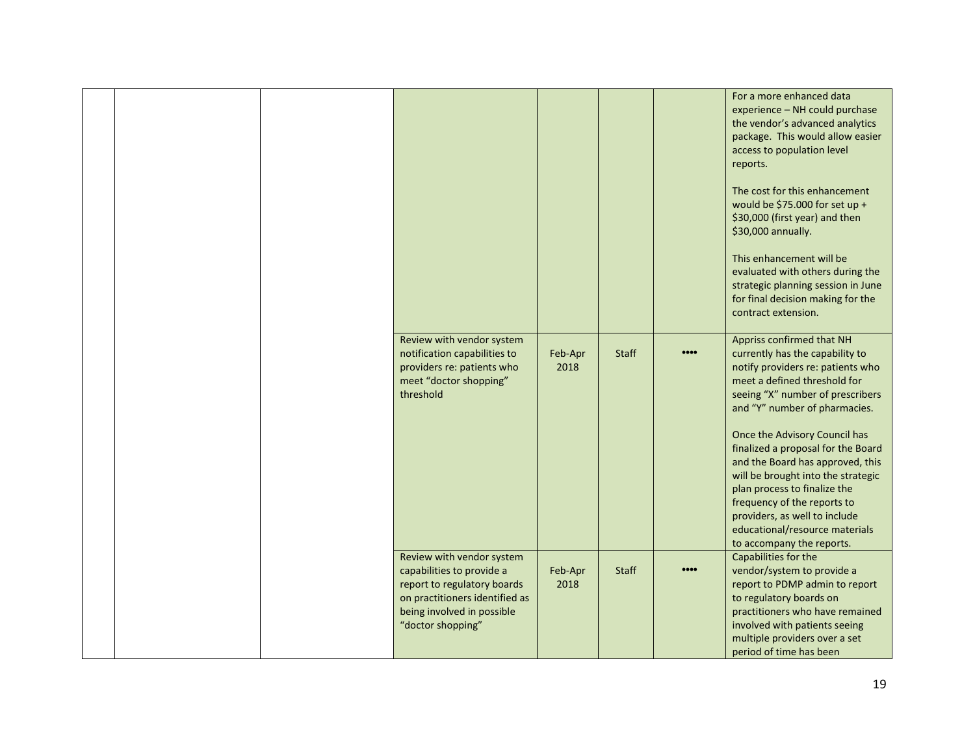|  |                                                                                                                                                                            |                 |              |                                | For a more enhanced data<br>experience - NH could purchase<br>the vendor's advanced analytics<br>package. This would allow easier<br>access to population level<br>reports.<br>The cost for this enhancement<br>would be \$75.000 for set up +<br>\$30,000 (first year) and then<br>\$30,000 annually.<br>This enhancement will be<br>evaluated with others during the<br>strategic planning session in June<br>for final decision making for the<br>contract extension.                                               |
|--|----------------------------------------------------------------------------------------------------------------------------------------------------------------------------|-----------------|--------------|--------------------------------|------------------------------------------------------------------------------------------------------------------------------------------------------------------------------------------------------------------------------------------------------------------------------------------------------------------------------------------------------------------------------------------------------------------------------------------------------------------------------------------------------------------------|
|  | Review with vendor system<br>notification capabilities to<br>providers re: patients who<br>meet "doctor shopping"<br>threshold                                             | Feb-Apr<br>2018 | <b>Staff</b> | $\bullet\bullet\bullet\bullet$ | Appriss confirmed that NH<br>currently has the capability to<br>notify providers re: patients who<br>meet a defined threshold for<br>seeing "X" number of prescribers<br>and "Y" number of pharmacies.<br>Once the Advisory Council has<br>finalized a proposal for the Board<br>and the Board has approved, this<br>will be brought into the strategic<br>plan process to finalize the<br>frequency of the reports to<br>providers, as well to include<br>educational/resource materials<br>to accompany the reports. |
|  | Review with vendor system<br>capabilities to provide a<br>report to regulatory boards<br>on practitioners identified as<br>being involved in possible<br>"doctor shopping" | Feb-Apr<br>2018 | <b>Staff</b> | $\bullet\bullet\bullet\bullet$ | Capabilities for the<br>vendor/system to provide a<br>report to PDMP admin to report<br>to regulatory boards on<br>practitioners who have remained<br>involved with patients seeing<br>multiple providers over a set<br>period of time has been                                                                                                                                                                                                                                                                        |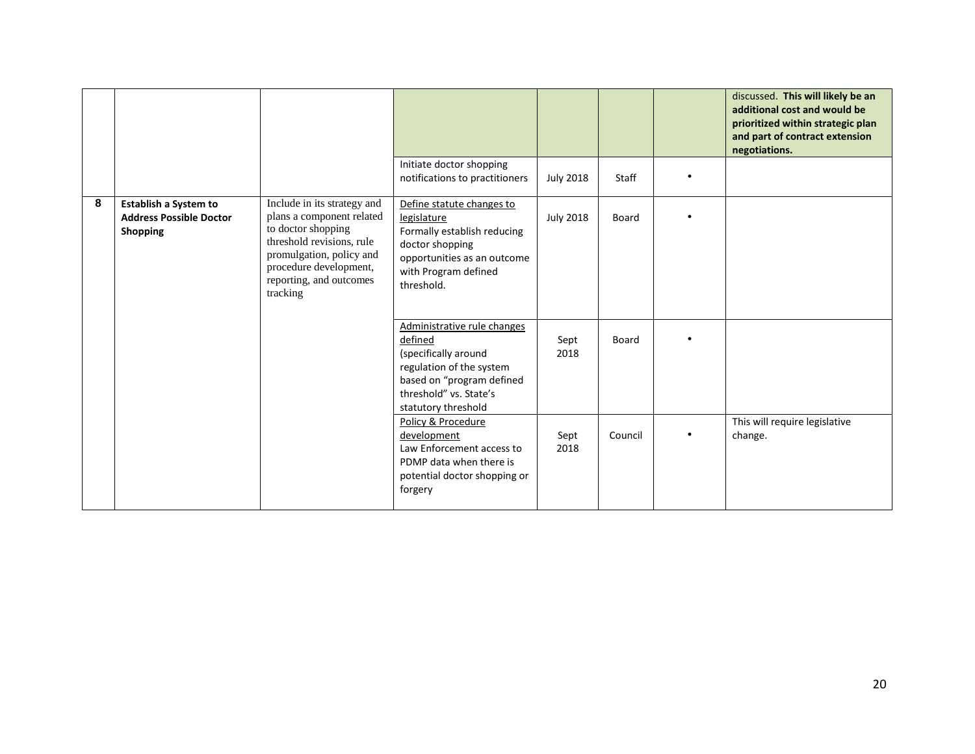|   |                                                                                   |                                                                                                                                                                                                          |                                                                                                                                                                                                               |                      |                  | discussed. This will likely be an<br>additional cost and would be<br>prioritized within strategic plan<br>and part of contract extension<br>negotiations. |
|---|-----------------------------------------------------------------------------------|----------------------------------------------------------------------------------------------------------------------------------------------------------------------------------------------------------|---------------------------------------------------------------------------------------------------------------------------------------------------------------------------------------------------------------|----------------------|------------------|-----------------------------------------------------------------------------------------------------------------------------------------------------------|
|   |                                                                                   |                                                                                                                                                                                                          | Initiate doctor shopping<br>notifications to practitioners                                                                                                                                                    | <b>July 2018</b>     | Staff            |                                                                                                                                                           |
| 8 | <b>Establish a System to</b><br><b>Address Possible Doctor</b><br><b>Shopping</b> | Include in its strategy and<br>plans a component related<br>to doctor shopping<br>threshold revisions, rule<br>promulgation, policy and<br>procedure development,<br>reporting, and outcomes<br>tracking | Define statute changes to<br>legislature<br>Formally establish reducing<br>doctor shopping<br>opportunities as an outcome<br>with Program defined<br>threshold.                                               | <b>July 2018</b>     | Board            |                                                                                                                                                           |
|   |                                                                                   |                                                                                                                                                                                                          | Administrative rule changes<br>defined<br>(specifically around<br>regulation of the system<br>based on "program defined<br>threshold" vs. State's<br>statutory threshold<br>Policy & Procedure<br>development | Sept<br>2018<br>Sept | Board<br>Council | This will require legislative<br>change.                                                                                                                  |
|   |                                                                                   |                                                                                                                                                                                                          | Law Enforcement access to<br>PDMP data when there is<br>potential doctor shopping or<br>forgery                                                                                                               | 2018                 |                  |                                                                                                                                                           |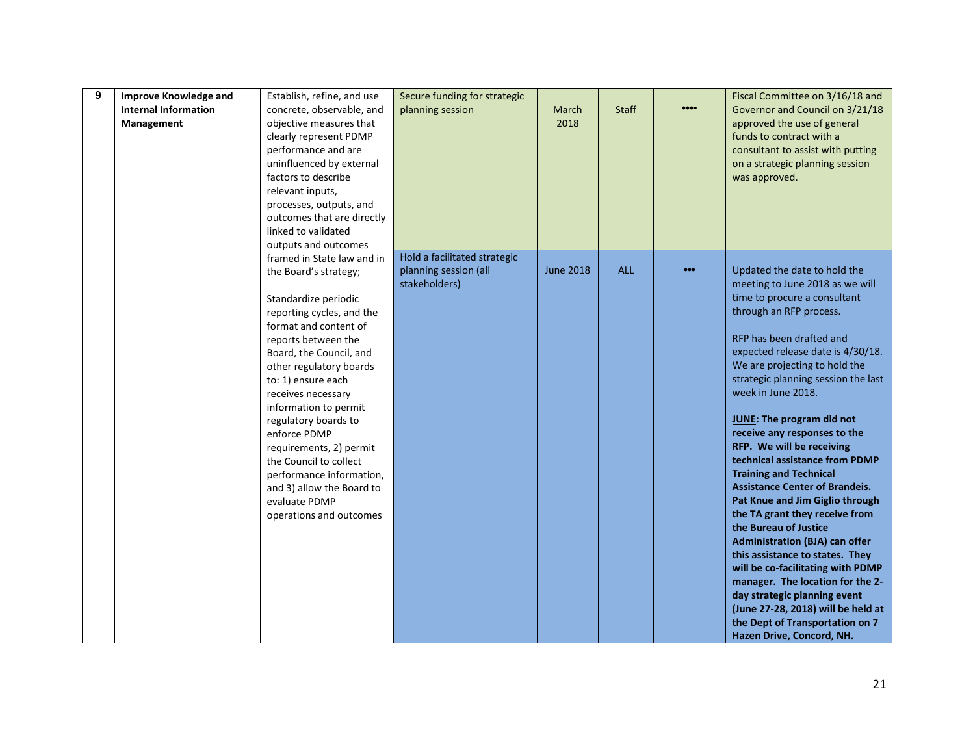| 9 | <b>Improve Knowledge and</b> | Establish, refine, and use | Secure funding for strategic |                  |              |                                | Fiscal Committee on 3/16/18 and                                          |
|---|------------------------------|----------------------------|------------------------------|------------------|--------------|--------------------------------|--------------------------------------------------------------------------|
|   | <b>Internal Information</b>  | concrete, observable, and  | planning session             | March            | <b>Staff</b> | $\bullet\bullet\bullet\bullet$ | Governor and Council on 3/21/18                                          |
|   | <b>Management</b>            | objective measures that    |                              | 2018             |              |                                | approved the use of general                                              |
|   |                              | clearly represent PDMP     |                              |                  |              |                                | funds to contract with a                                                 |
|   |                              | performance and are        |                              |                  |              |                                | consultant to assist with putting                                        |
|   |                              | uninfluenced by external   |                              |                  |              |                                | on a strategic planning session                                          |
|   |                              | factors to describe        |                              |                  |              |                                | was approved.                                                            |
|   |                              | relevant inputs,           |                              |                  |              |                                |                                                                          |
|   |                              | processes, outputs, and    |                              |                  |              |                                |                                                                          |
|   |                              | outcomes that are directly |                              |                  |              |                                |                                                                          |
|   |                              | linked to validated        |                              |                  |              |                                |                                                                          |
|   |                              | outputs and outcomes       |                              |                  |              |                                |                                                                          |
|   |                              | framed in State law and in | Hold a facilitated strategic |                  |              |                                |                                                                          |
|   |                              | the Board's strategy;      | planning session (all        | <b>June 2018</b> | ALL          | $\bullet\bullet\bullet$        | Updated the date to hold the                                             |
|   |                              |                            | stakeholders)                |                  |              |                                | meeting to June 2018 as we will                                          |
|   |                              | Standardize periodic       |                              |                  |              |                                | time to procure a consultant                                             |
|   |                              | reporting cycles, and the  |                              |                  |              |                                | through an RFP process.                                                  |
|   |                              | format and content of      |                              |                  |              |                                |                                                                          |
|   |                              | reports between the        |                              |                  |              |                                | RFP has been drafted and                                                 |
|   |                              | Board, the Council, and    |                              |                  |              |                                | expected release date is 4/30/18.                                        |
|   |                              | other regulatory boards    |                              |                  |              |                                | We are projecting to hold the                                            |
|   |                              | to: 1) ensure each         |                              |                  |              |                                | strategic planning session the last                                      |
|   |                              | receives necessary         |                              |                  |              |                                | week in June 2018.                                                       |
|   |                              | information to permit      |                              |                  |              |                                |                                                                          |
|   |                              | regulatory boards to       |                              |                  |              |                                | <b>JUNE: The program did not</b>                                         |
|   |                              | enforce PDMP               |                              |                  |              |                                | receive any responses to the                                             |
|   |                              | requirements, 2) permit    |                              |                  |              |                                | RFP. We will be receiving                                                |
|   |                              | the Council to collect     |                              |                  |              |                                | technical assistance from PDMP                                           |
|   |                              | performance information,   |                              |                  |              |                                | <b>Training and Technical</b>                                            |
|   |                              | and 3) allow the Board to  |                              |                  |              |                                | <b>Assistance Center of Brandeis.</b>                                    |
|   |                              | evaluate PDMP              |                              |                  |              |                                | Pat Knue and Jim Giglio through                                          |
|   |                              | operations and outcomes    |                              |                  |              |                                | the TA grant they receive from                                           |
|   |                              |                            |                              |                  |              |                                | the Bureau of Justice                                                    |
|   |                              |                            |                              |                  |              |                                | <b>Administration (BJA) can offer</b><br>this assistance to states. They |
|   |                              |                            |                              |                  |              |                                | will be co-facilitating with PDMP                                        |
|   |                              |                            |                              |                  |              |                                | manager. The location for the 2-                                         |
|   |                              |                            |                              |                  |              |                                | day strategic planning event                                             |
|   |                              |                            |                              |                  |              |                                | (June 27-28, 2018) will be held at                                       |
|   |                              |                            |                              |                  |              |                                | the Dept of Transportation on 7                                          |
|   |                              |                            |                              |                  |              |                                | Hazen Drive, Concord, NH.                                                |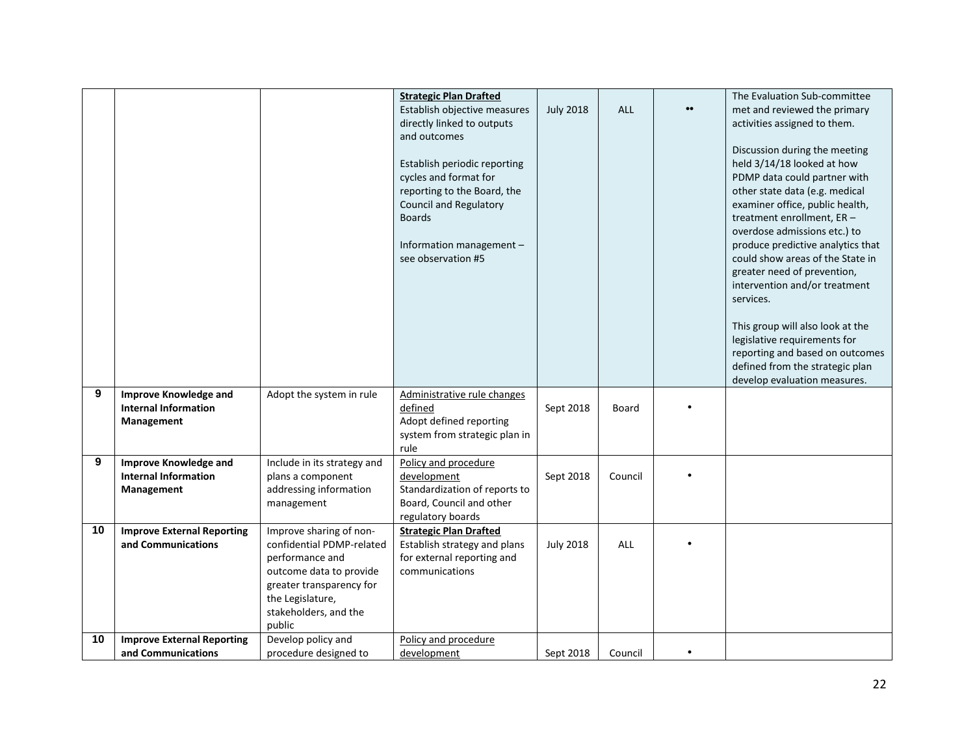|    |                                   |                             | <b>Strategic Plan Drafted</b> |                  |         |                  | The Evaluation Sub-committee      |
|----|-----------------------------------|-----------------------------|-------------------------------|------------------|---------|------------------|-----------------------------------|
|    |                                   |                             | Establish objective measures  | <b>July 2018</b> | ALL     | $\bullet\bullet$ | met and reviewed the primary      |
|    |                                   |                             | directly linked to outputs    |                  |         |                  | activities assigned to them.      |
|    |                                   |                             | and outcomes                  |                  |         |                  |                                   |
|    |                                   |                             |                               |                  |         |                  | Discussion during the meeting     |
|    |                                   |                             | Establish periodic reporting  |                  |         |                  | held 3/14/18 looked at how        |
|    |                                   |                             | cycles and format for         |                  |         |                  | PDMP data could partner with      |
|    |                                   |                             | reporting to the Board, the   |                  |         |                  | other state data (e.g. medical    |
|    |                                   |                             | <b>Council and Regulatory</b> |                  |         |                  | examiner office, public health,   |
|    |                                   |                             | <b>Boards</b>                 |                  |         |                  | treatment enrollment, ER-         |
|    |                                   |                             |                               |                  |         |                  | overdose admissions etc.) to      |
|    |                                   |                             |                               |                  |         |                  |                                   |
|    |                                   |                             | Information management -      |                  |         |                  | produce predictive analytics that |
|    |                                   |                             | see observation #5            |                  |         |                  | could show areas of the State in  |
|    |                                   |                             |                               |                  |         |                  | greater need of prevention,       |
|    |                                   |                             |                               |                  |         |                  | intervention and/or treatment     |
|    |                                   |                             |                               |                  |         |                  | services.                         |
|    |                                   |                             |                               |                  |         |                  |                                   |
|    |                                   |                             |                               |                  |         |                  | This group will also look at the  |
|    |                                   |                             |                               |                  |         |                  | legislative requirements for      |
|    |                                   |                             |                               |                  |         |                  | reporting and based on outcomes   |
|    |                                   |                             |                               |                  |         |                  | defined from the strategic plan   |
|    |                                   |                             |                               |                  |         |                  | develop evaluation measures.      |
| 9  | <b>Improve Knowledge and</b>      | Adopt the system in rule    | Administrative rule changes   |                  |         |                  |                                   |
|    | <b>Internal Information</b>       |                             | defined                       | Sept 2018        | Board   |                  |                                   |
|    | Management                        |                             | Adopt defined reporting       |                  |         |                  |                                   |
|    |                                   |                             | system from strategic plan in |                  |         |                  |                                   |
|    |                                   |                             | rule                          |                  |         |                  |                                   |
| 9  | <b>Improve Knowledge and</b>      | Include in its strategy and | Policy and procedure          |                  |         |                  |                                   |
|    | <b>Internal Information</b>       | plans a component           | development                   | Sept 2018        | Council |                  |                                   |
|    | Management                        | addressing information      | Standardization of reports to |                  |         |                  |                                   |
|    |                                   | management                  | Board, Council and other      |                  |         |                  |                                   |
|    |                                   |                             | regulatory boards             |                  |         |                  |                                   |
| 10 | <b>Improve External Reporting</b> | Improve sharing of non-     | <b>Strategic Plan Drafted</b> |                  |         |                  |                                   |
|    | and Communications                | confidential PDMP-related   | Establish strategy and plans  | <b>July 2018</b> | ALL     |                  |                                   |
|    |                                   | performance and             | for external reporting and    |                  |         |                  |                                   |
|    |                                   | outcome data to provide     | communications                |                  |         |                  |                                   |
|    |                                   | greater transparency for    |                               |                  |         |                  |                                   |
|    |                                   | the Legislature,            |                               |                  |         |                  |                                   |
|    |                                   | stakeholders, and the       |                               |                  |         |                  |                                   |
|    |                                   | public                      |                               |                  |         |                  |                                   |
| 10 | <b>Improve External Reporting</b> | Develop policy and          | Policy and procedure          |                  |         |                  |                                   |
|    | and Communications                | procedure designed to       | development                   | Sept 2018        | Council |                  |                                   |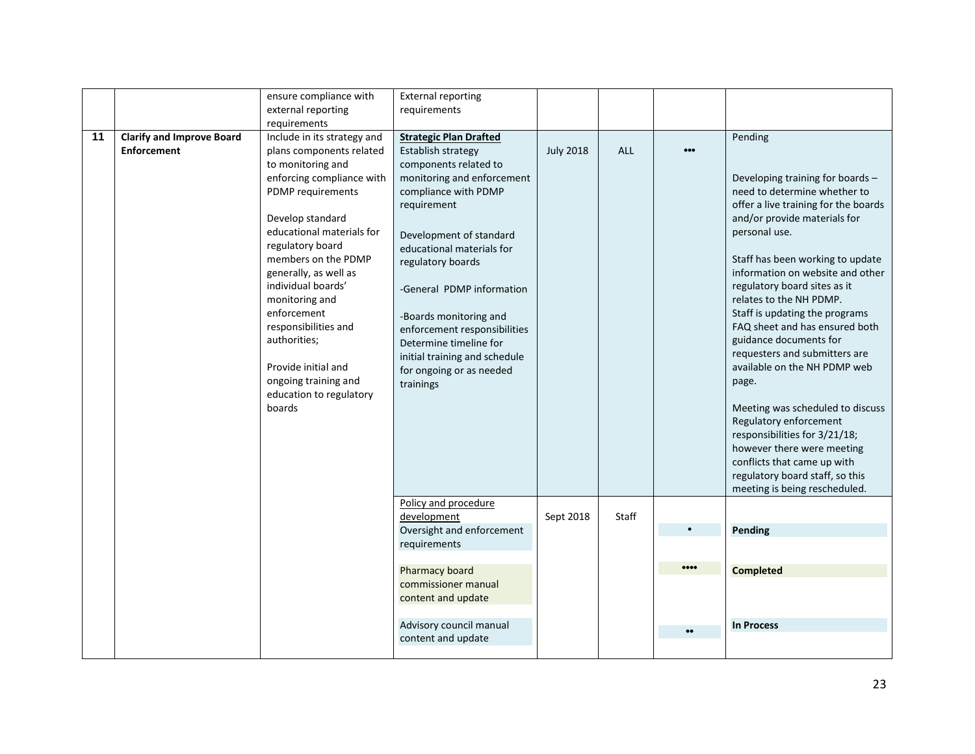|    |                                  | ensure compliance with      | <b>External reporting</b>     |                  |            |                                |                                                               |
|----|----------------------------------|-----------------------------|-------------------------------|------------------|------------|--------------------------------|---------------------------------------------------------------|
|    |                                  | external reporting          | requirements                  |                  |            |                                |                                                               |
|    |                                  | requirements                |                               |                  |            |                                |                                                               |
| 11 | <b>Clarify and Improve Board</b> | Include in its strategy and | <b>Strategic Plan Drafted</b> |                  |            |                                | Pending                                                       |
|    | <b>Enforcement</b>               | plans components related    | Establish strategy            | <b>July 2018</b> | <b>ALL</b> |                                |                                                               |
|    |                                  | to monitoring and           | components related to         |                  |            |                                |                                                               |
|    |                                  | enforcing compliance with   | monitoring and enforcement    |                  |            |                                | Developing training for boards -                              |
|    |                                  | PDMP requirements           | compliance with PDMP          |                  |            |                                | need to determine whether to                                  |
|    |                                  |                             | requirement                   |                  |            |                                | offer a live training for the boards                          |
|    |                                  | Develop standard            |                               |                  |            |                                | and/or provide materials for                                  |
|    |                                  | educational materials for   | Development of standard       |                  |            |                                | personal use.                                                 |
|    |                                  | regulatory board            | educational materials for     |                  |            |                                |                                                               |
|    |                                  | members on the PDMP         | regulatory boards             |                  |            |                                | Staff has been working to update                              |
|    |                                  | generally, as well as       |                               |                  |            |                                | information on website and other                              |
|    |                                  | individual boards'          | -General PDMP information     |                  |            |                                | regulatory board sites as it                                  |
|    |                                  | monitoring and              |                               |                  |            |                                | relates to the NH PDMP.                                       |
|    |                                  | enforcement                 | -Boards monitoring and        |                  |            |                                | Staff is updating the programs                                |
|    |                                  | responsibilities and        | enforcement responsibilities  |                  |            |                                | FAQ sheet and has ensured both                                |
|    |                                  | authorities;                | Determine timeline for        |                  |            |                                | guidance documents for                                        |
|    |                                  | Provide initial and         | initial training and schedule |                  |            |                                | requesters and submitters are<br>available on the NH PDMP web |
|    |                                  | ongoing training and        | for ongoing or as needed      |                  |            |                                |                                                               |
|    |                                  | education to regulatory     | trainings                     |                  |            |                                | page.                                                         |
|    |                                  | boards                      |                               |                  |            |                                | Meeting was scheduled to discuss                              |
|    |                                  |                             |                               |                  |            |                                | Regulatory enforcement                                        |
|    |                                  |                             |                               |                  |            |                                | responsibilities for 3/21/18;                                 |
|    |                                  |                             |                               |                  |            |                                | however there were meeting                                    |
|    |                                  |                             |                               |                  |            |                                | conflicts that came up with                                   |
|    |                                  |                             |                               |                  |            |                                | regulatory board staff, so this                               |
|    |                                  |                             |                               |                  |            |                                | meeting is being rescheduled.                                 |
|    |                                  |                             | Policy and procedure          |                  |            |                                |                                                               |
|    |                                  |                             | development                   | Sept 2018        | Staff      |                                |                                                               |
|    |                                  |                             | Oversight and enforcement     |                  |            |                                | Pending                                                       |
|    |                                  |                             | requirements                  |                  |            |                                |                                                               |
|    |                                  |                             |                               |                  |            | $\bullet\bullet\bullet\bullet$ |                                                               |
|    |                                  |                             | Pharmacy board                |                  |            |                                | <b>Completed</b>                                              |
|    |                                  |                             | commissioner manual           |                  |            |                                |                                                               |
|    |                                  |                             | content and update            |                  |            |                                |                                                               |
|    |                                  |                             | Advisory council manual       |                  |            |                                | <b>In Process</b>                                             |
|    |                                  |                             | content and update            |                  |            | $\bullet\bullet$               |                                                               |
|    |                                  |                             |                               |                  |            |                                |                                                               |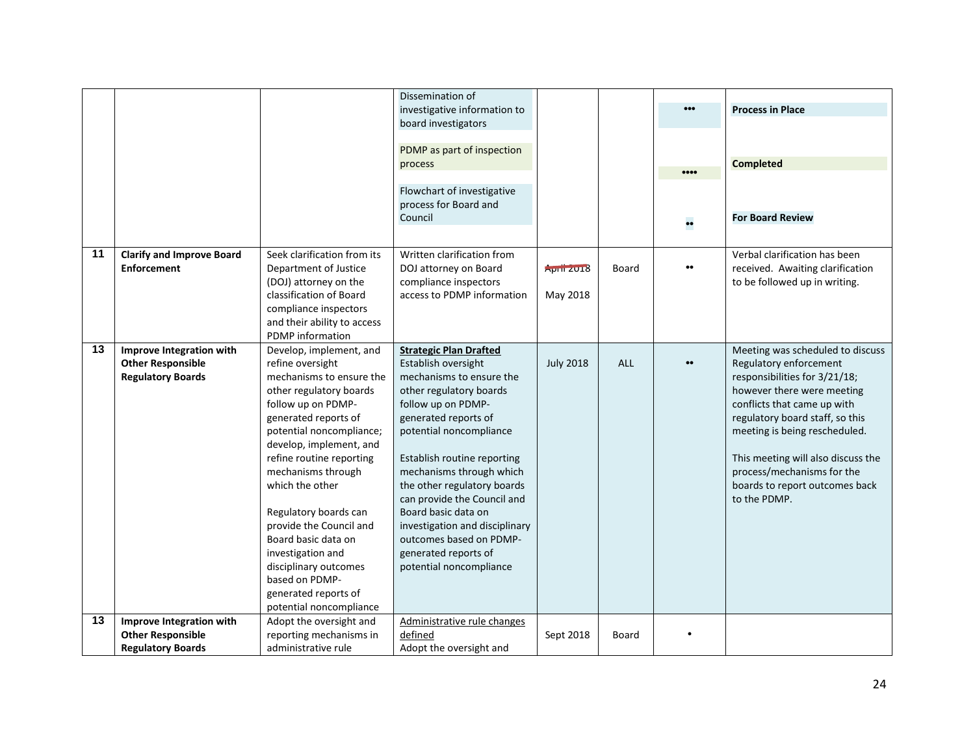|    |                                                                                  |                                                                                                                                                                                                                                                                                                                                                                                                                                                                            | Dissemination of<br>investigative information to<br>board investigators<br>PDMP as part of inspection<br>process<br>Flowchart of investigative<br>process for Board and<br>Council                                                                                                                                                                                                                                                                   |                        |       | $\bullet\bullet\bullet$<br>$\bullet\bullet\bullet\bullet$<br> | <b>Process in Place</b><br><b>Completed</b><br><b>For Board Review</b>                                                                                                                                                                                                                                                                             |
|----|----------------------------------------------------------------------------------|----------------------------------------------------------------------------------------------------------------------------------------------------------------------------------------------------------------------------------------------------------------------------------------------------------------------------------------------------------------------------------------------------------------------------------------------------------------------------|------------------------------------------------------------------------------------------------------------------------------------------------------------------------------------------------------------------------------------------------------------------------------------------------------------------------------------------------------------------------------------------------------------------------------------------------------|------------------------|-------|---------------------------------------------------------------|----------------------------------------------------------------------------------------------------------------------------------------------------------------------------------------------------------------------------------------------------------------------------------------------------------------------------------------------------|
| 11 | <b>Clarify and Improve Board</b><br><b>Enforcement</b>                           | Seek clarification from its<br>Department of Justice<br>(DOJ) attorney on the<br>classification of Board<br>compliance inspectors<br>and their ability to access<br><b>PDMP</b> information                                                                                                                                                                                                                                                                                | Written clarification from<br>DOJ attorney on Board<br>compliance inspectors<br>access to PDMP information                                                                                                                                                                                                                                                                                                                                           | April 2018<br>May 2018 | Board |                                                               | Verbal clarification has been<br>received. Awaiting clarification<br>to be followed up in writing.                                                                                                                                                                                                                                                 |
| 13 | Improve Integration with<br><b>Other Responsible</b><br><b>Regulatory Boards</b> | Develop, implement, and<br>refine oversight<br>mechanisms to ensure the<br>other regulatory boards<br>follow up on PDMP-<br>generated reports of<br>potential noncompliance;<br>develop, implement, and<br>refine routine reporting<br>mechanisms through<br>which the other<br>Regulatory boards can<br>provide the Council and<br>Board basic data on<br>investigation and<br>disciplinary outcomes<br>based on PDMP-<br>generated reports of<br>potential noncompliance | <b>Strategic Plan Drafted</b><br>Establish oversight<br>mechanisms to ensure the<br>other regulatory boards<br>follow up on PDMP-<br>generated reports of<br>potential noncompliance<br>Establish routine reporting<br>mechanisms through which<br>the other regulatory boards<br>can provide the Council and<br>Board basic data on<br>investigation and disciplinary<br>outcomes based on PDMP-<br>generated reports of<br>potential noncompliance | <b>July 2018</b>       | ALL   |                                                               | Meeting was scheduled to discuss<br>Regulatory enforcement<br>responsibilities for 3/21/18;<br>however there were meeting<br>conflicts that came up with<br>regulatory board staff, so this<br>meeting is being rescheduled.<br>This meeting will also discuss the<br>process/mechanisms for the<br>boards to report outcomes back<br>to the PDMP. |
| 13 | Improve Integration with<br><b>Other Responsible</b><br><b>Regulatory Boards</b> | Adopt the oversight and<br>reporting mechanisms in<br>administrative rule                                                                                                                                                                                                                                                                                                                                                                                                  | Administrative rule changes<br>defined<br>Adopt the oversight and                                                                                                                                                                                                                                                                                                                                                                                    | Sept 2018              | Board |                                                               |                                                                                                                                                                                                                                                                                                                                                    |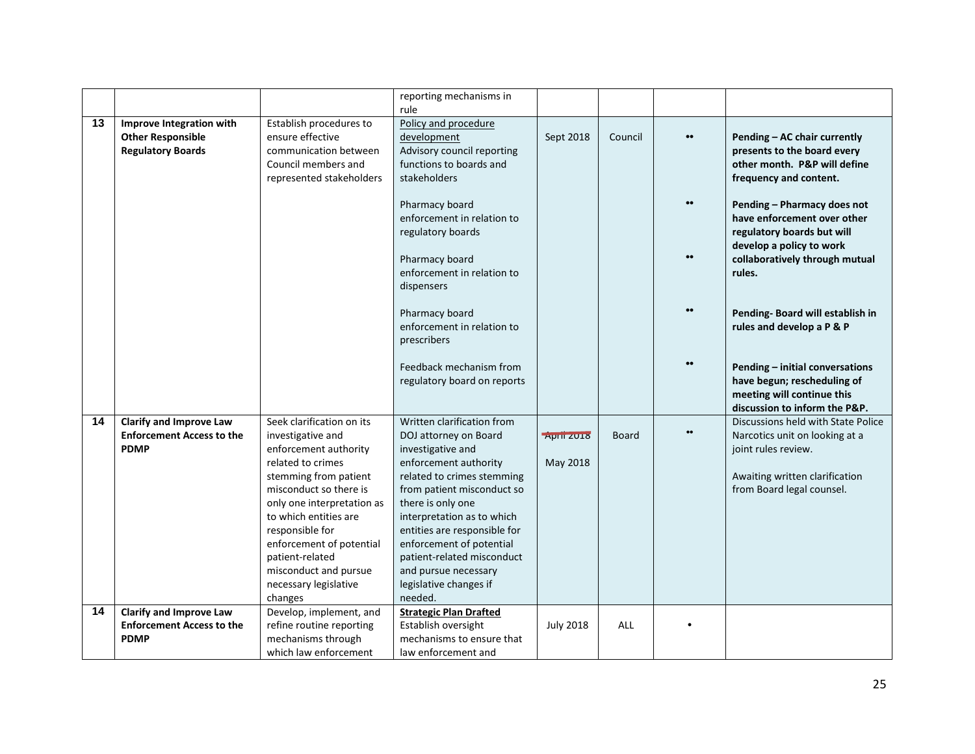|    |                                                                                   |                                                                                                                                                                                                                                                                                                                                       | reporting mechanisms in<br>rule                                                                                                                                                                                                                                                                                                                                         |                        |              |                  |                                                                                                                                                                  |
|----|-----------------------------------------------------------------------------------|---------------------------------------------------------------------------------------------------------------------------------------------------------------------------------------------------------------------------------------------------------------------------------------------------------------------------------------|-------------------------------------------------------------------------------------------------------------------------------------------------------------------------------------------------------------------------------------------------------------------------------------------------------------------------------------------------------------------------|------------------------|--------------|------------------|------------------------------------------------------------------------------------------------------------------------------------------------------------------|
| 13 | Improve Integration with<br><b>Other Responsible</b><br><b>Regulatory Boards</b>  | Establish procedures to<br>ensure effective<br>communication between<br>Council members and<br>represented stakeholders                                                                                                                                                                                                               | Policy and procedure<br>development<br>Advisory council reporting<br>functions to boards and<br>stakeholders                                                                                                                                                                                                                                                            | Sept 2018              | Council      | $\bullet\bullet$ | Pending - AC chair currently<br>presents to the board every<br>other month. P&P will define<br>frequency and content.                                            |
|    |                                                                                   |                                                                                                                                                                                                                                                                                                                                       | Pharmacy board<br>enforcement in relation to<br>regulatory boards<br>Pharmacy board<br>enforcement in relation to<br>dispensers                                                                                                                                                                                                                                         |                        |              |                  | Pending - Pharmacy does not<br>have enforcement over other<br>regulatory boards but will<br>develop a policy to work<br>collaboratively through mutual<br>rules. |
|    |                                                                                   |                                                                                                                                                                                                                                                                                                                                       | Pharmacy board<br>enforcement in relation to<br>prescribers                                                                                                                                                                                                                                                                                                             |                        |              |                  | Pending- Board will establish in<br>rules and develop a P & P                                                                                                    |
|    |                                                                                   |                                                                                                                                                                                                                                                                                                                                       | Feedback mechanism from<br>regulatory board on reports                                                                                                                                                                                                                                                                                                                  |                        |              |                  | Pending - initial conversations<br>have begun; rescheduling of<br>meeting will continue this<br>discussion to inform the P&P.                                    |
| 14 | <b>Clarify and Improve Law</b><br><b>Enforcement Access to the</b><br><b>PDMP</b> | Seek clarification on its<br>investigative and<br>enforcement authority<br>related to crimes<br>stemming from patient<br>misconduct so there is<br>only one interpretation as<br>to which entities are<br>responsible for<br>enforcement of potential<br>patient-related<br>misconduct and pursue<br>necessary legislative<br>changes | Written clarification from<br>DOJ attorney on Board<br>investigative and<br>enforcement authority<br>related to crimes stemming<br>from patient misconduct so<br>there is only one<br>interpretation as to which<br>entities are responsible for<br>enforcement of potential<br>patient-related misconduct<br>and pursue necessary<br>legislative changes if<br>needed. | April 2018<br>May 2018 | <b>Board</b> |                  | Discussions held with State Police<br>Narcotics unit on looking at a<br>joint rules review.<br>Awaiting written clarification<br>from Board legal counsel.       |
| 14 | <b>Clarify and Improve Law</b><br><b>Enforcement Access to the</b><br><b>PDMP</b> | Develop, implement, and<br>refine routine reporting<br>mechanisms through<br>which law enforcement                                                                                                                                                                                                                                    | <b>Strategic Plan Drafted</b><br>Establish oversight<br>mechanisms to ensure that<br>law enforcement and                                                                                                                                                                                                                                                                | <b>July 2018</b>       | ALL          |                  |                                                                                                                                                                  |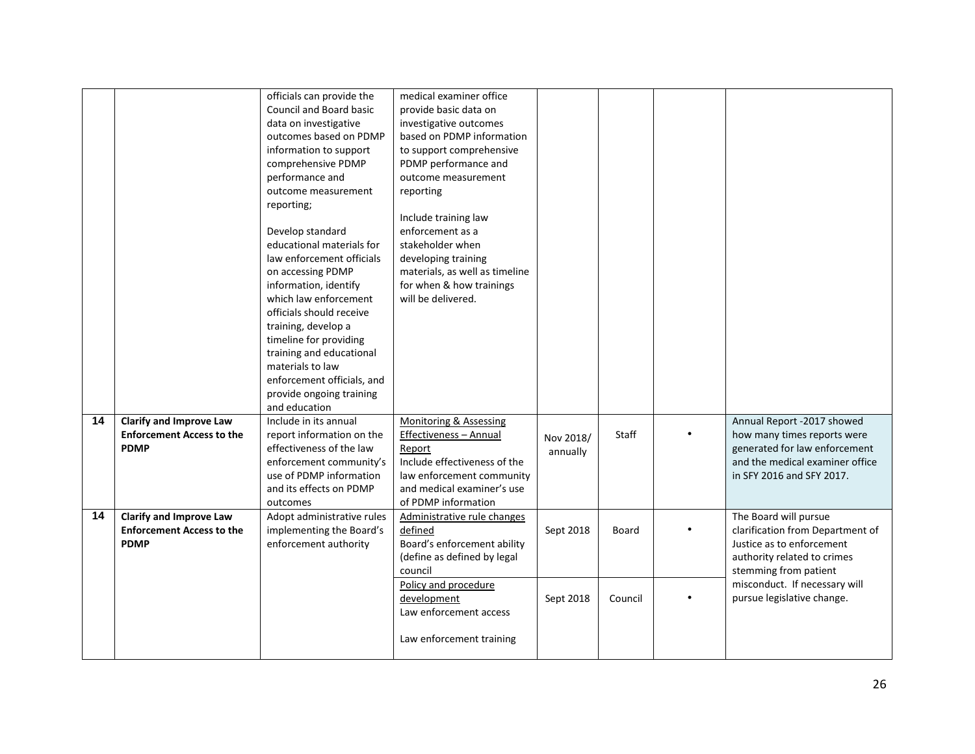|    |                                                                                   | outcomes based on PDMP<br>information to support<br>comprehensive PDMP<br>performance and<br>outcome measurement<br>reporting;<br>Develop standard<br>educational materials for<br>law enforcement officials<br>on accessing PDMP<br>information, identify<br>which law enforcement<br>officials should receive | based on PDMP information<br>to support comprehensive<br>PDMP performance and<br>outcome measurement<br>reporting<br>Include training law<br>enforcement as a<br>stakeholder when<br>developing training<br>materials, as well as timeline<br>for when & how trainings<br>will be delivered. |                        |                  |                                                                                                                                                                                                               |
|----|-----------------------------------------------------------------------------------|-----------------------------------------------------------------------------------------------------------------------------------------------------------------------------------------------------------------------------------------------------------------------------------------------------------------|----------------------------------------------------------------------------------------------------------------------------------------------------------------------------------------------------------------------------------------------------------------------------------------------|------------------------|------------------|---------------------------------------------------------------------------------------------------------------------------------------------------------------------------------------------------------------|
|    |                                                                                   | training, develop a<br>timeline for providing<br>training and educational<br>materials to law<br>enforcement officials, and<br>provide ongoing training<br>and education                                                                                                                                        |                                                                                                                                                                                                                                                                                              |                        |                  |                                                                                                                                                                                                               |
| 14 | <b>Clarify and Improve Law</b><br><b>Enforcement Access to the</b><br><b>PDMP</b> | Include in its annual<br>report information on the<br>effectiveness of the law<br>enforcement community's<br>use of PDMP information<br>and its effects on PDMP<br>outcomes                                                                                                                                     | <b>Monitoring &amp; Assessing</b><br>Effectiveness - Annual<br>Report<br>Include effectiveness of the<br>law enforcement community<br>and medical examiner's use<br>of PDMP information                                                                                                      | Nov 2018/<br>annually  | Staff            | Annual Report -2017 showed<br>how many times reports were<br>generated for law enforcement<br>and the medical examiner office<br>in SFY 2016 and SFY 2017.                                                    |
| 14 | <b>Clarify and Improve Law</b><br><b>Enforcement Access to the</b><br><b>PDMP</b> | Adopt administrative rules<br>implementing the Board's<br>enforcement authority                                                                                                                                                                                                                                 | Administrative rule changes<br>defined<br>Board's enforcement ability<br>(define as defined by legal<br>council<br>Policy and procedure<br>development<br>Law enforcement access<br>Law enforcement training                                                                                 | Sept 2018<br>Sept 2018 | Board<br>Council | The Board will pursue<br>clarification from Department of<br>Justice as to enforcement<br>authority related to crimes<br>stemming from patient<br>misconduct. If necessary will<br>pursue legislative change. |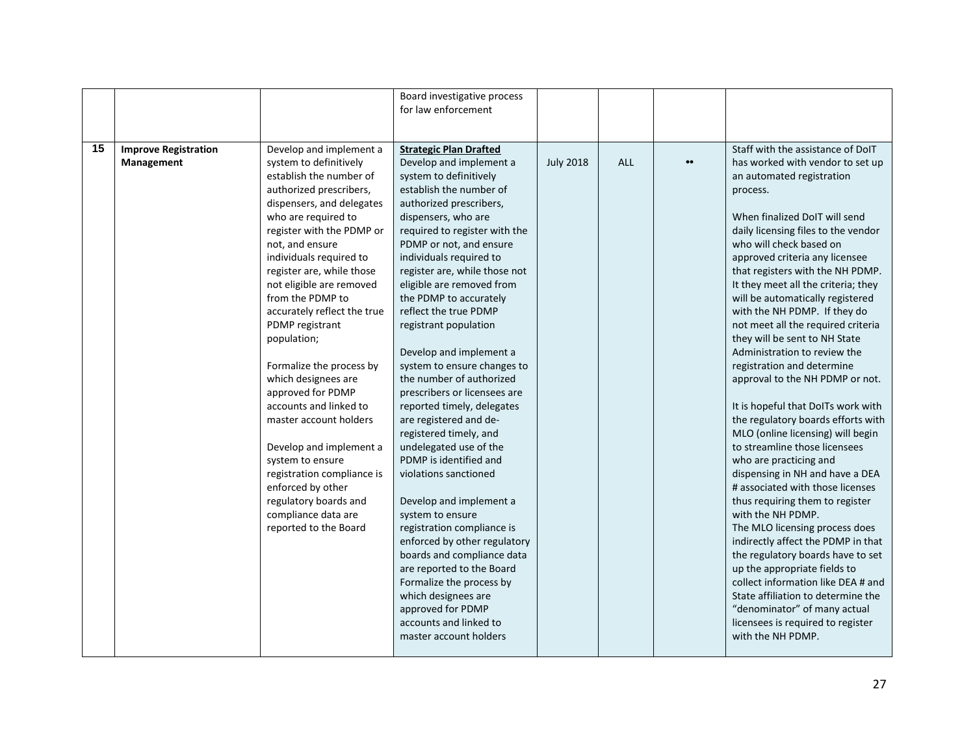|    |                             |                             | Board investigative process   |                  |     |                  |                                     |
|----|-----------------------------|-----------------------------|-------------------------------|------------------|-----|------------------|-------------------------------------|
|    |                             |                             | for law enforcement           |                  |     |                  |                                     |
|    |                             |                             |                               |                  |     |                  |                                     |
|    |                             |                             |                               |                  |     |                  |                                     |
| 15 | <b>Improve Registration</b> | Develop and implement a     | <b>Strategic Plan Drafted</b> |                  |     |                  | Staff with the assistance of DoIT   |
|    | Management                  | system to definitively      | Develop and implement a       | <b>July 2018</b> | ALL | $\bullet\bullet$ | has worked with vendor to set up    |
|    |                             | establish the number of     | system to definitively        |                  |     |                  | an automated registration           |
|    |                             | authorized prescribers,     | establish the number of       |                  |     |                  | process.                            |
|    |                             | dispensers, and delegates   | authorized prescribers,       |                  |     |                  |                                     |
|    |                             | who are required to         | dispensers, who are           |                  |     |                  | When finalized DoIT will send       |
|    |                             | register with the PDMP or   | required to register with the |                  |     |                  | daily licensing files to the vendor |
|    |                             | not, and ensure             | PDMP or not, and ensure       |                  |     |                  | who will check based on             |
|    |                             | individuals required to     | individuals required to       |                  |     |                  | approved criteria any licensee      |
|    |                             | register are, while those   | register are, while those not |                  |     |                  | that registers with the NH PDMP.    |
|    |                             | not eligible are removed    | eligible are removed from     |                  |     |                  | It they meet all the criteria; they |
|    |                             | from the PDMP to            | the PDMP to accurately        |                  |     |                  | will be automatically registered    |
|    |                             | accurately reflect the true | reflect the true PDMP         |                  |     |                  | with the NH PDMP. If they do        |
|    |                             | PDMP registrant             | registrant population         |                  |     |                  | not meet all the required criteria  |
|    |                             | population;                 |                               |                  |     |                  | they will be sent to NH State       |
|    |                             |                             | Develop and implement a       |                  |     |                  | Administration to review the        |
|    |                             | Formalize the process by    | system to ensure changes to   |                  |     |                  | registration and determine          |
|    |                             | which designees are         | the number of authorized      |                  |     |                  | approval to the NH PDMP or not.     |
|    |                             | approved for PDMP           | prescribers or licensees are  |                  |     |                  |                                     |
|    |                             | accounts and linked to      | reported timely, delegates    |                  |     |                  | It is hopeful that DoITs work with  |
|    |                             | master account holders      | are registered and de-        |                  |     |                  | the regulatory boards efforts with  |
|    |                             |                             | registered timely, and        |                  |     |                  | MLO (online licensing) will begin   |
|    |                             | Develop and implement a     | undelegated use of the        |                  |     |                  | to streamline those licensees       |
|    |                             | system to ensure            | PDMP is identified and        |                  |     |                  | who are practicing and              |
|    |                             | registration compliance is  | violations sanctioned         |                  |     |                  | dispensing in NH and have a DEA     |
|    |                             | enforced by other           |                               |                  |     |                  | # associated with those licenses    |
|    |                             | regulatory boards and       | Develop and implement a       |                  |     |                  | thus requiring them to register     |
|    |                             | compliance data are         | system to ensure              |                  |     |                  | with the NH PDMP.                   |
|    |                             | reported to the Board       | registration compliance is    |                  |     |                  | The MLO licensing process does      |
|    |                             |                             | enforced by other regulatory  |                  |     |                  | indirectly affect the PDMP in that  |
|    |                             |                             | boards and compliance data    |                  |     |                  | the regulatory boards have to set   |
|    |                             |                             | are reported to the Board     |                  |     |                  | up the appropriate fields to        |
|    |                             |                             | Formalize the process by      |                  |     |                  | collect information like DEA # and  |
|    |                             |                             | which designees are           |                  |     |                  | State affiliation to determine the  |
|    |                             |                             | approved for PDMP             |                  |     |                  | "denominator" of many actual        |
|    |                             |                             | accounts and linked to        |                  |     |                  | licensees is required to register   |
|    |                             |                             | master account holders        |                  |     |                  | with the NH PDMP.                   |
|    |                             |                             |                               |                  |     |                  |                                     |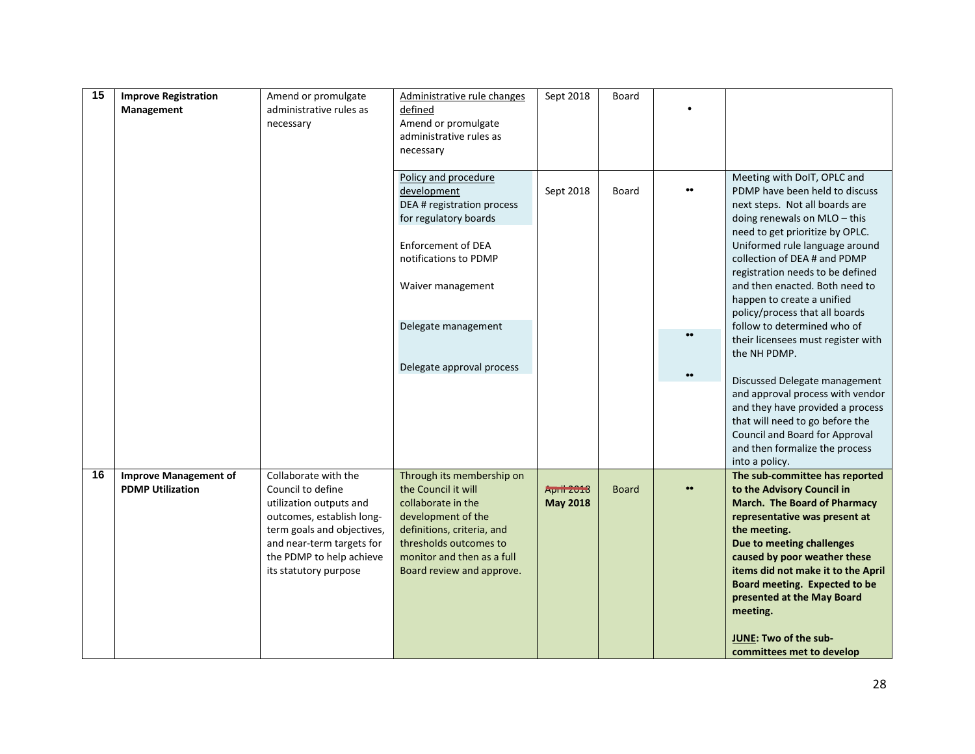| $\overline{15}$ |                                                         |                                                                                                                                                                                                                   |                                                                                                                                                                                                                           |                                      |              |                                                          |                                                                                                                                                                                                                                                                                                                                                                                                                                                                                                                                                                                                                                                                                                   |
|-----------------|---------------------------------------------------------|-------------------------------------------------------------------------------------------------------------------------------------------------------------------------------------------------------------------|---------------------------------------------------------------------------------------------------------------------------------------------------------------------------------------------------------------------------|--------------------------------------|--------------|----------------------------------------------------------|---------------------------------------------------------------------------------------------------------------------------------------------------------------------------------------------------------------------------------------------------------------------------------------------------------------------------------------------------------------------------------------------------------------------------------------------------------------------------------------------------------------------------------------------------------------------------------------------------------------------------------------------------------------------------------------------------|
|                 | <b>Improve Registration</b><br><b>Management</b>        | Amend or promulgate<br>administrative rules as<br>necessary                                                                                                                                                       | Administrative rule changes<br>defined<br>Amend or promulgate<br>administrative rules as<br>necessary                                                                                                                     | Sept 2018                            | Board        |                                                          |                                                                                                                                                                                                                                                                                                                                                                                                                                                                                                                                                                                                                                                                                                   |
|                 |                                                         |                                                                                                                                                                                                                   | Policy and procedure<br>development<br>DEA # registration process<br>for regulatory boards<br><b>Enforcement of DEA</b><br>notifications to PDMP<br>Waiver management<br>Delegate management<br>Delegate approval process | Sept 2018                            | Board        | $\bullet\bullet$<br>$\bullet\bullet$<br>$\bullet\bullet$ | Meeting with DoIT, OPLC and<br>PDMP have been held to discuss<br>next steps. Not all boards are<br>doing renewals on MLO - this<br>need to get prioritize by OPLC.<br>Uniformed rule language around<br>collection of DEA # and PDMP<br>registration needs to be defined<br>and then enacted. Both need to<br>happen to create a unified<br>policy/process that all boards<br>follow to determined who of<br>their licensees must register with<br>the NH PDMP.<br>Discussed Delegate management<br>and approval process with vendor<br>and they have provided a process<br>that will need to go before the<br>Council and Board for Approval<br>and then formalize the process<br>into a policy. |
| 16              | <b>Improve Management of</b><br><b>PDMP Utilization</b> | Collaborate with the<br>Council to define<br>utilization outputs and<br>outcomes, establish long-<br>term goals and objectives,<br>and near-term targets for<br>the PDMP to help achieve<br>its statutory purpose | Through its membership on<br>the Council it will<br>collaborate in the<br>development of the<br>definitions, criteria, and<br>thresholds outcomes to<br>monitor and then as a full<br>Board review and approve.           | <b>April 2013</b><br><b>May 2018</b> | <b>Board</b> | $\bullet\bullet$                                         | The sub-committee has reported<br>to the Advisory Council in<br><b>March. The Board of Pharmacy</b><br>representative was present at<br>the meeting.<br>Due to meeting challenges<br>caused by poor weather these<br>items did not make it to the April<br>Board meeting. Expected to be<br>presented at the May Board<br>meeting.<br>JUNE: Two of the sub-<br>committees met to develop                                                                                                                                                                                                                                                                                                          |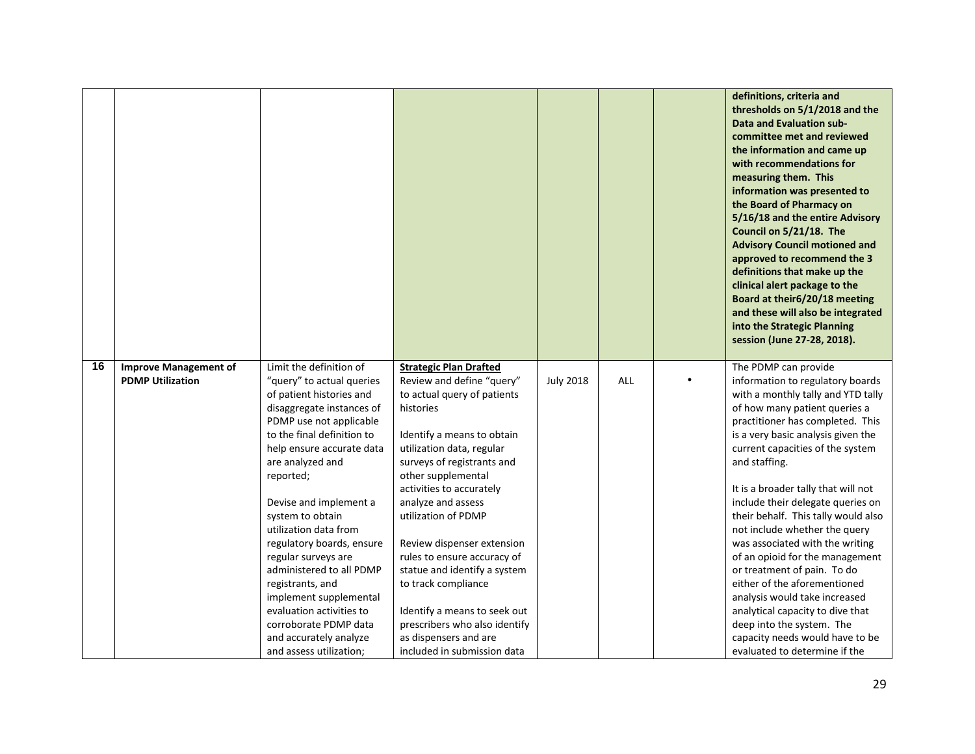|    |                                                         |                                                                                                                                                                                                                                                                                                                                                                                                                                                                                                                                                     |                                                                                                                                                                                                                                                                                                                                                                                                                                                                                                                                             |                  |     | definitions, criteria and<br>thresholds on 5/1/2018 and the<br><b>Data and Evaluation sub-</b><br>committee met and reviewed<br>the information and came up<br>with recommendations for<br>measuring them. This<br>information was presented to<br>the Board of Pharmacy on<br>5/16/18 and the entire Advisory<br>Council on 5/21/18. The<br><b>Advisory Council motioned and</b><br>approved to recommend the 3<br>definitions that make up the<br>clinical alert package to the<br>Board at their6/20/18 meeting<br>and these will also be integrated<br>into the Strategic Planning<br>session (June 27-28, 2018).                                                                                                         |
|----|---------------------------------------------------------|-----------------------------------------------------------------------------------------------------------------------------------------------------------------------------------------------------------------------------------------------------------------------------------------------------------------------------------------------------------------------------------------------------------------------------------------------------------------------------------------------------------------------------------------------------|---------------------------------------------------------------------------------------------------------------------------------------------------------------------------------------------------------------------------------------------------------------------------------------------------------------------------------------------------------------------------------------------------------------------------------------------------------------------------------------------------------------------------------------------|------------------|-----|-------------------------------------------------------------------------------------------------------------------------------------------------------------------------------------------------------------------------------------------------------------------------------------------------------------------------------------------------------------------------------------------------------------------------------------------------------------------------------------------------------------------------------------------------------------------------------------------------------------------------------------------------------------------------------------------------------------------------------|
| 16 | <b>Improve Management of</b><br><b>PDMP Utilization</b> | Limit the definition of<br>"query" to actual queries<br>of patient histories and<br>disaggregate instances of<br>PDMP use not applicable<br>to the final definition to<br>help ensure accurate data<br>are analyzed and<br>reported;<br>Devise and implement a<br>system to obtain<br>utilization data from<br>regulatory boards, ensure<br>regular surveys are<br>administered to all PDMP<br>registrants, and<br>implement supplemental<br>evaluation activities to<br>corroborate PDMP data<br>and accurately analyze<br>and assess utilization; | <b>Strategic Plan Drafted</b><br>Review and define "query"<br>to actual query of patients<br>histories<br>Identify a means to obtain<br>utilization data, regular<br>surveys of registrants and<br>other supplemental<br>activities to accurately<br>analyze and assess<br>utilization of PDMP<br>Review dispenser extension<br>rules to ensure accuracy of<br>statue and identify a system<br>to track compliance<br>Identify a means to seek out<br>prescribers who also identify<br>as dispensers and are<br>included in submission data | <b>July 2018</b> | ALL | The PDMP can provide<br>information to regulatory boards<br>with a monthly tally and YTD tally<br>of how many patient queries a<br>practitioner has completed. This<br>is a very basic analysis given the<br>current capacities of the system<br>and staffing.<br>It is a broader tally that will not<br>include their delegate queries on<br>their behalf. This tally would also<br>not include whether the query<br>was associated with the writing<br>of an opioid for the management<br>or treatment of pain. To do<br>either of the aforementioned<br>analysis would take increased<br>analytical capacity to dive that<br>deep into the system. The<br>capacity needs would have to be<br>evaluated to determine if the |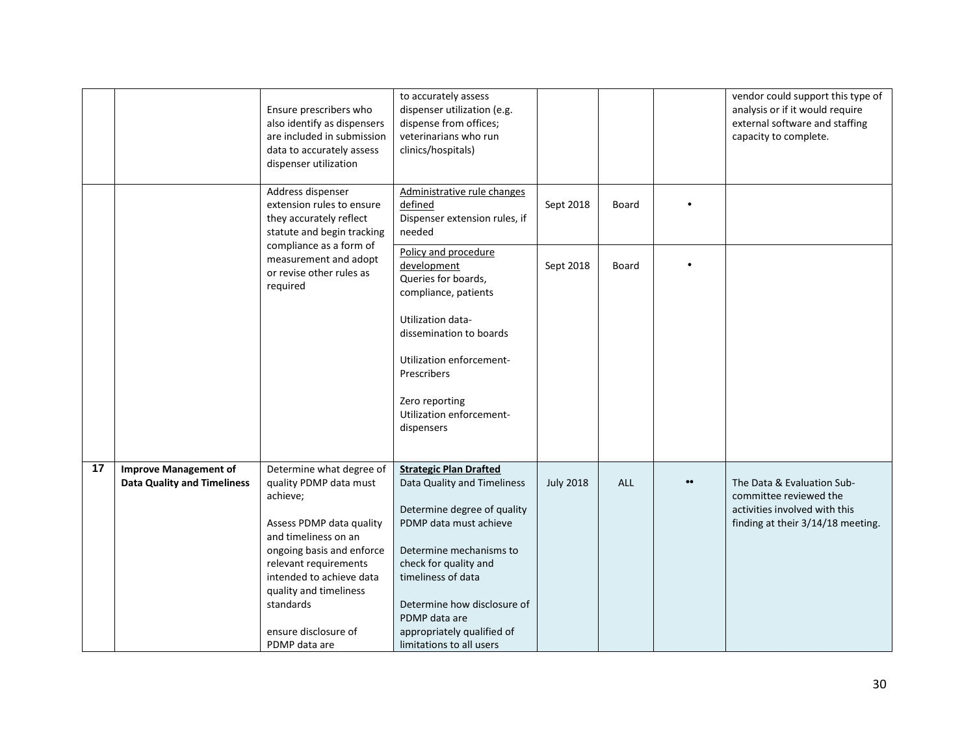|    |                                                                    | Ensure prescribers who<br>also identify as dispensers<br>are included in submission<br>data to accurately assess<br>dispenser utilization | to accurately assess<br>dispenser utilization (e.g.<br>dispense from offices;<br>veterinarians who run<br>clinics/hospitals) |                  |            | vendor could support this type of<br>analysis or if it would require<br>external software and staffing<br>capacity to complete. |
|----|--------------------------------------------------------------------|-------------------------------------------------------------------------------------------------------------------------------------------|------------------------------------------------------------------------------------------------------------------------------|------------------|------------|---------------------------------------------------------------------------------------------------------------------------------|
|    |                                                                    | Address dispenser<br>extension rules to ensure<br>they accurately reflect<br>statute and begin tracking<br>compliance as a form of        | Administrative rule changes<br>defined<br>Dispenser extension rules, if<br>needed                                            | Sept 2018        | Board      |                                                                                                                                 |
|    |                                                                    | measurement and adopt<br>or revise other rules as<br>required                                                                             | Policy and procedure<br>development<br>Queries for boards,<br>compliance, patients                                           | Sept 2018        | Board      |                                                                                                                                 |
|    |                                                                    |                                                                                                                                           | Utilization data-<br>dissemination to boards                                                                                 |                  |            |                                                                                                                                 |
|    |                                                                    |                                                                                                                                           | Utilization enforcement-<br>Prescribers                                                                                      |                  |            |                                                                                                                                 |
|    |                                                                    |                                                                                                                                           | Zero reporting<br>Utilization enforcement-<br>dispensers                                                                     |                  |            |                                                                                                                                 |
|    |                                                                    |                                                                                                                                           |                                                                                                                              |                  |            |                                                                                                                                 |
| 17 | <b>Improve Management of</b><br><b>Data Quality and Timeliness</b> | Determine what degree of<br>quality PDMP data must<br>achieve;<br>Assess PDMP data quality                                                | <b>Strategic Plan Drafted</b><br>Data Quality and Timeliness<br>Determine degree of quality<br>PDMP data must achieve        | <b>July 2018</b> | <b>ALL</b> | The Data & Evaluation Sub-<br>committee reviewed the<br>activities involved with this<br>finding at their 3/14/18 meeting.      |
|    |                                                                    | and timeliness on an                                                                                                                      |                                                                                                                              |                  |            |                                                                                                                                 |
|    |                                                                    | ongoing basis and enforce<br>relevant requirements                                                                                        | Determine mechanisms to<br>check for quality and                                                                             |                  |            |                                                                                                                                 |
|    |                                                                    | intended to achieve data                                                                                                                  | timeliness of data                                                                                                           |                  |            |                                                                                                                                 |
|    |                                                                    | quality and timeliness                                                                                                                    |                                                                                                                              |                  |            |                                                                                                                                 |
|    |                                                                    | standards                                                                                                                                 | Determine how disclosure of<br>PDMP data are                                                                                 |                  |            |                                                                                                                                 |
|    |                                                                    | ensure disclosure of                                                                                                                      | appropriately qualified of                                                                                                   |                  |            |                                                                                                                                 |
|    |                                                                    | PDMP data are                                                                                                                             | limitations to all users                                                                                                     |                  |            |                                                                                                                                 |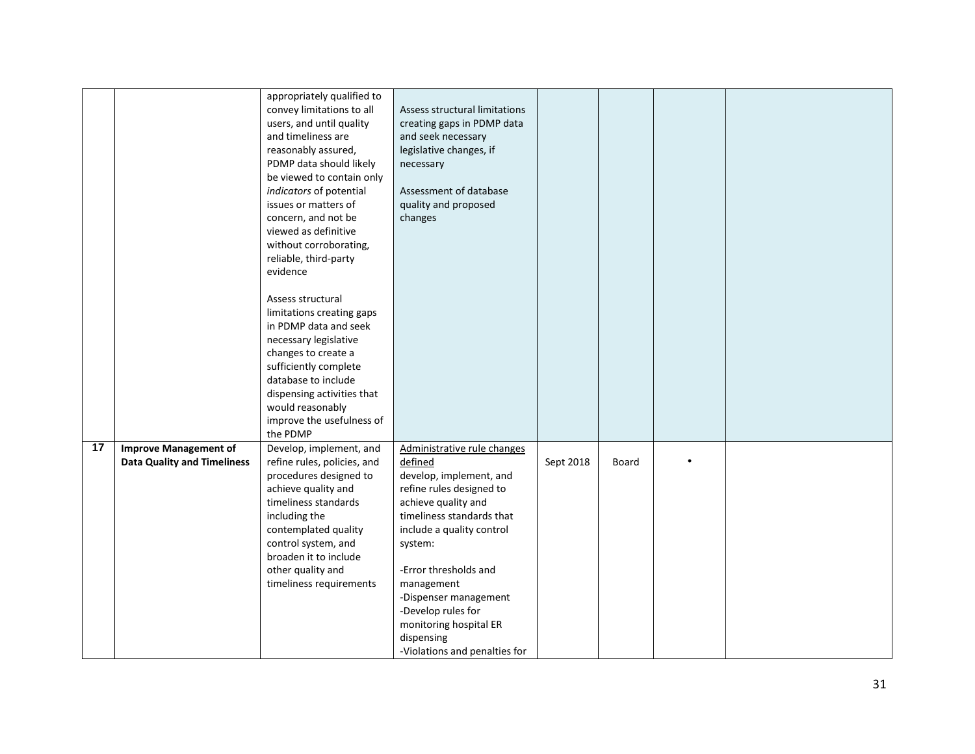|    |                                    | appropriately qualified to<br>convey limitations to all<br>users, and until quality<br>and timeliness are<br>reasonably assured,<br>PDMP data should likely<br>be viewed to contain only<br>indicators of potential<br>issues or matters of<br>concern, and not be<br>viewed as definitive<br>without corroborating,<br>reliable, third-party<br>evidence<br>Assess structural<br>limitations creating gaps<br>in PDMP data and seek<br>necessary legislative<br>changes to create a<br>sufficiently complete<br>database to include<br>dispensing activities that<br>would reasonably<br>improve the usefulness of<br>the PDMP | Assess structural limitations<br>creating gaps in PDMP data<br>and seek necessary<br>legislative changes, if<br>necessary<br>Assessment of database<br>quality and proposed<br>changes |           |       |  |
|----|------------------------------------|---------------------------------------------------------------------------------------------------------------------------------------------------------------------------------------------------------------------------------------------------------------------------------------------------------------------------------------------------------------------------------------------------------------------------------------------------------------------------------------------------------------------------------------------------------------------------------------------------------------------------------|----------------------------------------------------------------------------------------------------------------------------------------------------------------------------------------|-----------|-------|--|
|    |                                    |                                                                                                                                                                                                                                                                                                                                                                                                                                                                                                                                                                                                                                 |                                                                                                                                                                                        |           |       |  |
| 17 | <b>Improve Management of</b>       | Develop, implement, and                                                                                                                                                                                                                                                                                                                                                                                                                                                                                                                                                                                                         | Administrative rule changes                                                                                                                                                            |           |       |  |
|    | <b>Data Quality and Timeliness</b> | refine rules, policies, and                                                                                                                                                                                                                                                                                                                                                                                                                                                                                                                                                                                                     | defined                                                                                                                                                                                | Sept 2018 | Board |  |
|    |                                    | procedures designed to                                                                                                                                                                                                                                                                                                                                                                                                                                                                                                                                                                                                          | develop, implement, and                                                                                                                                                                |           |       |  |
|    |                                    | achieve quality and                                                                                                                                                                                                                                                                                                                                                                                                                                                                                                                                                                                                             | refine rules designed to                                                                                                                                                               |           |       |  |
|    |                                    | timeliness standards                                                                                                                                                                                                                                                                                                                                                                                                                                                                                                                                                                                                            | achieve quality and                                                                                                                                                                    |           |       |  |
|    |                                    | including the                                                                                                                                                                                                                                                                                                                                                                                                                                                                                                                                                                                                                   | timeliness standards that                                                                                                                                                              |           |       |  |
|    |                                    | contemplated quality                                                                                                                                                                                                                                                                                                                                                                                                                                                                                                                                                                                                            | include a quality control                                                                                                                                                              |           |       |  |
|    |                                    | control system, and<br>broaden it to include                                                                                                                                                                                                                                                                                                                                                                                                                                                                                                                                                                                    | system:                                                                                                                                                                                |           |       |  |
|    |                                    | other quality and                                                                                                                                                                                                                                                                                                                                                                                                                                                                                                                                                                                                               | -Error thresholds and                                                                                                                                                                  |           |       |  |
|    |                                    | timeliness requirements                                                                                                                                                                                                                                                                                                                                                                                                                                                                                                                                                                                                         | management                                                                                                                                                                             |           |       |  |
|    |                                    |                                                                                                                                                                                                                                                                                                                                                                                                                                                                                                                                                                                                                                 | -Dispenser management                                                                                                                                                                  |           |       |  |
|    |                                    |                                                                                                                                                                                                                                                                                                                                                                                                                                                                                                                                                                                                                                 | -Develop rules for                                                                                                                                                                     |           |       |  |
|    |                                    |                                                                                                                                                                                                                                                                                                                                                                                                                                                                                                                                                                                                                                 | monitoring hospital ER                                                                                                                                                                 |           |       |  |
|    |                                    |                                                                                                                                                                                                                                                                                                                                                                                                                                                                                                                                                                                                                                 | dispensing                                                                                                                                                                             |           |       |  |
|    |                                    |                                                                                                                                                                                                                                                                                                                                                                                                                                                                                                                                                                                                                                 | -Violations and penalties for                                                                                                                                                          |           |       |  |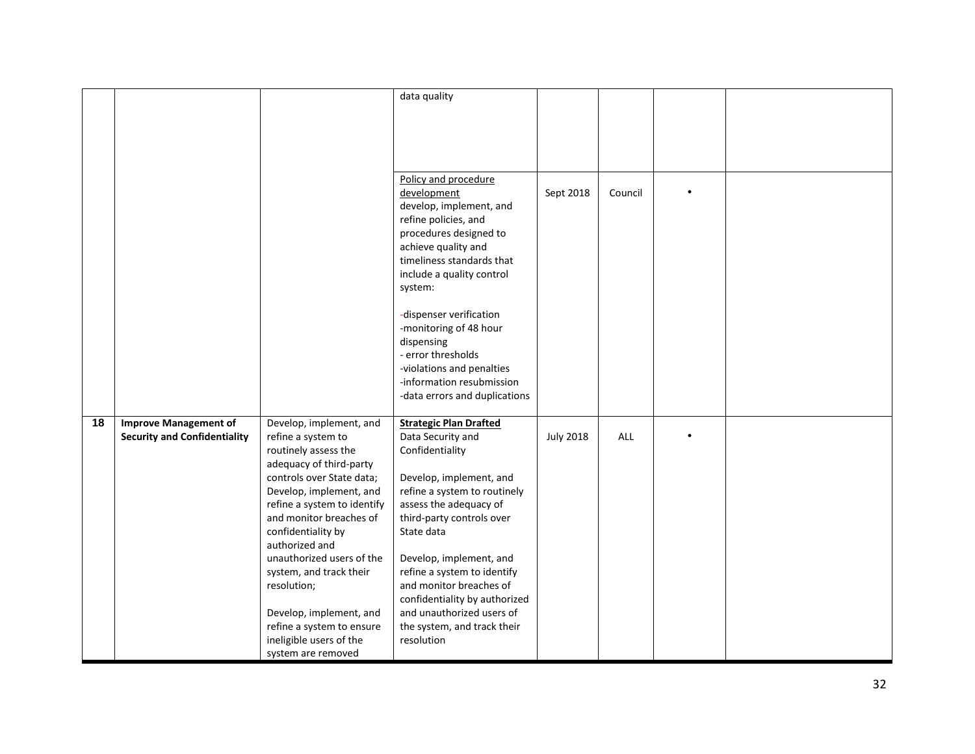|    |                                     |                                                        | data quality                                             |                  |            |  |
|----|-------------------------------------|--------------------------------------------------------|----------------------------------------------------------|------------------|------------|--|
|    |                                     |                                                        |                                                          |                  |            |  |
|    |                                     |                                                        |                                                          |                  |            |  |
|    |                                     |                                                        |                                                          |                  |            |  |
|    |                                     |                                                        |                                                          |                  |            |  |
|    |                                     |                                                        | Policy and procedure                                     |                  |            |  |
|    |                                     |                                                        | development                                              | Sept 2018        | Council    |  |
|    |                                     |                                                        | develop, implement, and                                  |                  |            |  |
|    |                                     |                                                        | refine policies, and<br>procedures designed to           |                  |            |  |
|    |                                     |                                                        | achieve quality and                                      |                  |            |  |
|    |                                     |                                                        | timeliness standards that                                |                  |            |  |
|    |                                     |                                                        | include a quality control                                |                  |            |  |
|    |                                     |                                                        | system:                                                  |                  |            |  |
|    |                                     |                                                        | -dispenser verification                                  |                  |            |  |
|    |                                     |                                                        | -monitoring of 48 hour                                   |                  |            |  |
|    |                                     |                                                        | dispensing                                               |                  |            |  |
|    |                                     |                                                        | - error thresholds                                       |                  |            |  |
|    |                                     |                                                        | -violations and penalties<br>-information resubmission   |                  |            |  |
|    |                                     |                                                        | -data errors and duplications                            |                  |            |  |
|    |                                     |                                                        |                                                          |                  |            |  |
| 18 | <b>Improve Management of</b>        | Develop, implement, and                                | <b>Strategic Plan Drafted</b>                            |                  |            |  |
|    | <b>Security and Confidentiality</b> | refine a system to<br>routinely assess the             | Data Security and<br>Confidentiality                     | <b>July 2018</b> | <b>ALL</b> |  |
|    |                                     | adequacy of third-party                                |                                                          |                  |            |  |
|    |                                     | controls over State data;                              | Develop, implement, and                                  |                  |            |  |
|    |                                     | Develop, implement, and                                | refine a system to routinely                             |                  |            |  |
|    |                                     | refine a system to identify<br>and monitor breaches of | assess the adequacy of                                   |                  |            |  |
|    |                                     | confidentiality by                                     | third-party controls over<br>State data                  |                  |            |  |
|    |                                     | authorized and                                         |                                                          |                  |            |  |
|    |                                     | unauthorized users of the                              | Develop, implement, and                                  |                  |            |  |
|    |                                     | system, and track their                                | refine a system to identify                              |                  |            |  |
|    |                                     | resolution;                                            | and monitor breaches of<br>confidentiality by authorized |                  |            |  |
|    |                                     | Develop, implement, and                                | and unauthorized users of                                |                  |            |  |
|    |                                     | refine a system to ensure                              | the system, and track their                              |                  |            |  |
|    |                                     | ineligible users of the                                | resolution                                               |                  |            |  |
|    |                                     | system are removed                                     |                                                          |                  |            |  |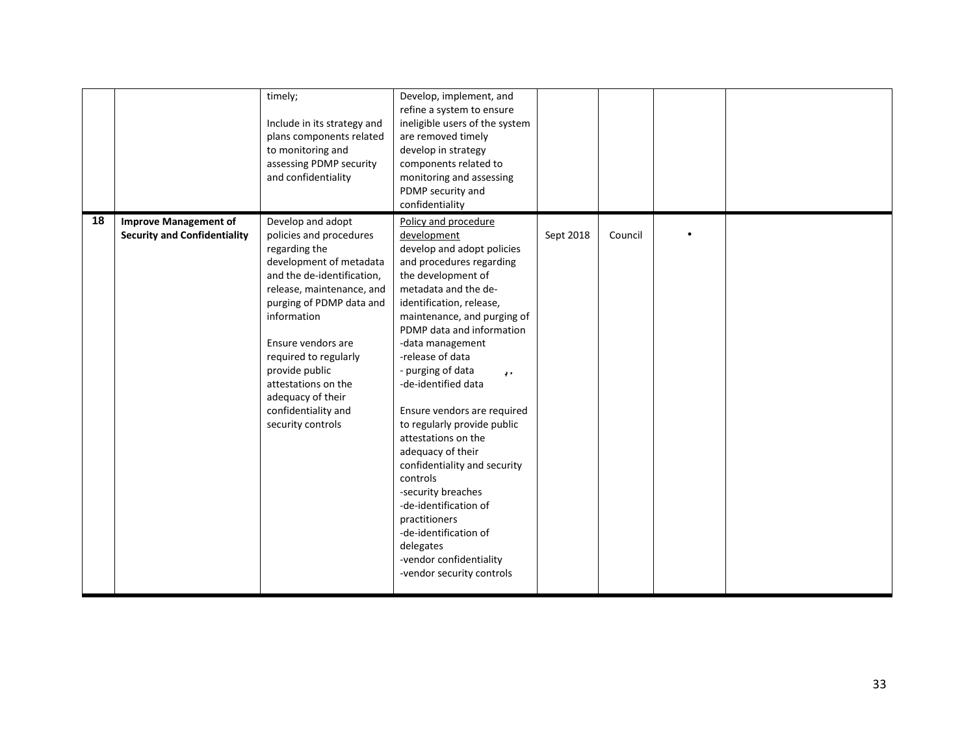|    |                                                                     | timely;<br>Include in its strategy and<br>plans components related<br>to monitoring and<br>assessing PDMP security<br>and confidentiality                                                                                                                                                                                                               | Develop, implement, and<br>refine a system to ensure<br>ineligible users of the system<br>are removed timely<br>develop in strategy<br>components related to<br>monitoring and assessing<br>PDMP security and<br>confidentiality                                                                                                                                                                                                                                                                                                                                                                                                                              |           |         |  |
|----|---------------------------------------------------------------------|---------------------------------------------------------------------------------------------------------------------------------------------------------------------------------------------------------------------------------------------------------------------------------------------------------------------------------------------------------|---------------------------------------------------------------------------------------------------------------------------------------------------------------------------------------------------------------------------------------------------------------------------------------------------------------------------------------------------------------------------------------------------------------------------------------------------------------------------------------------------------------------------------------------------------------------------------------------------------------------------------------------------------------|-----------|---------|--|
| 18 | <b>Improve Management of</b><br><b>Security and Confidentiality</b> | Develop and adopt<br>policies and procedures<br>regarding the<br>development of metadata<br>and the de-identification,<br>release, maintenance, and<br>purging of PDMP data and<br>information<br>Ensure vendors are<br>required to regularly<br>provide public<br>attestations on the<br>adequacy of their<br>confidentiality and<br>security controls | Policy and procedure<br>development<br>develop and adopt policies<br>and procedures regarding<br>the development of<br>metadata and the de-<br>identification, release,<br>maintenance, and purging of<br>PDMP data and information<br>-data management<br>-release of data<br>- purging of data<br>$\mathbf{z}$ .<br>-de-identified data<br>Ensure vendors are required<br>to regularly provide public<br>attestations on the<br>adequacy of their<br>confidentiality and security<br>controls<br>-security breaches<br>-de-identification of<br>practitioners<br>-de-identification of<br>delegates<br>-vendor confidentiality<br>-vendor security controls | Sept 2018 | Council |  |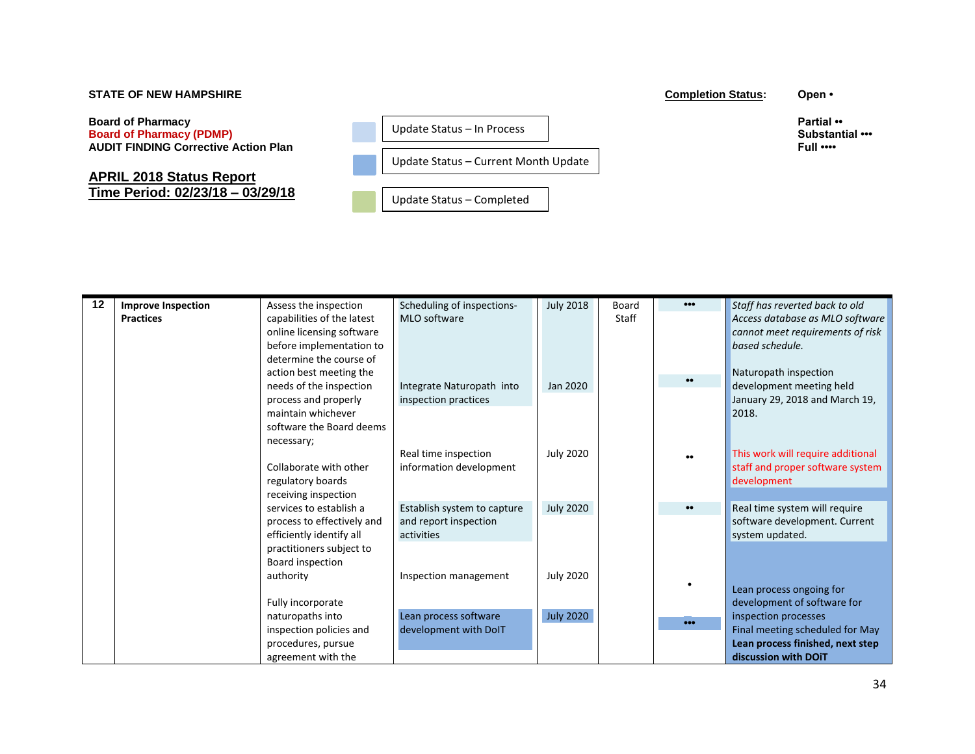## **STATE OF NEW HAMPSHIRE** Open • **Completion Status:** Open •

**Board of Pharmacy** (PDMP) <br> **Board of Pharmacy (PDMP)** <br> **Board of Pharmacy (PDMP)** <br> **Board of Pharmacy (PDMP)** <br> **Board of Pharmacy (PDMP)** <br> **Board of Pharmacy (PDMP) Board of Pharmacy (PDMP) Substantial •••** AUDIT FINDING Corrective Action Plan **Full ••••** Full •••• **Full ••••** Full •••• Full •••

## **APRIL 2018 Status Report Time Period: 02/23/18 – 03/29/18**

Update Status – In Process

Update Status – Current Month Update

Update Status – Completed

| 12 | <b>Improve Inspection</b> | Assess the inspection      | Scheduling of inspections-  | <b>July 2018</b> | <b>Board</b> |                         | Staff has reverted back to old    |
|----|---------------------------|----------------------------|-----------------------------|------------------|--------------|-------------------------|-----------------------------------|
|    | <b>Practices</b>          | capabilities of the latest | MLO software                |                  | <b>Staff</b> |                         | Access database as MLO software   |
|    |                           | online licensing software  |                             |                  |              |                         | cannot meet requirements of risk  |
|    |                           | before implementation to   |                             |                  |              |                         | based schedule.                   |
|    |                           | determine the course of    |                             |                  |              |                         |                                   |
|    |                           | action best meeting the    |                             |                  |              | $\bullet\bullet$        | Naturopath inspection             |
|    |                           | needs of the inspection    | Integrate Naturopath into   | Jan 2020         |              |                         | development meeting held          |
|    |                           | process and properly       | inspection practices        |                  |              |                         | January 29, 2018 and March 19,    |
|    |                           | maintain whichever         |                             |                  |              |                         | 2018.                             |
|    |                           | software the Board deems   |                             |                  |              |                         |                                   |
|    |                           | necessary;                 |                             |                  |              |                         |                                   |
|    |                           |                            | Real time inspection        | <b>July 2020</b> |              |                         | This work will require additional |
|    |                           | Collaborate with other     | information development     |                  |              |                         | staff and proper software system  |
|    |                           | regulatory boards          |                             |                  |              |                         | development                       |
|    |                           | receiving inspection       |                             |                  |              |                         |                                   |
|    |                           | services to establish a    | Establish system to capture | <b>July 2020</b> |              | $\bullet\bullet$        | Real time system will require     |
|    |                           | process to effectively and | and report inspection       |                  |              |                         | software development. Current     |
|    |                           | efficiently identify all   | activities                  |                  |              |                         | system updated.                   |
|    |                           | practitioners subject to   |                             |                  |              |                         |                                   |
|    |                           | Board inspection           |                             |                  |              |                         |                                   |
|    |                           | authority                  | Inspection management       | <b>July 2020</b> |              |                         |                                   |
|    |                           |                            |                             |                  |              |                         | Lean process ongoing for          |
|    |                           | Fully incorporate          |                             |                  |              |                         | development of software for       |
|    |                           | naturopaths into           | Lean process software       | <b>July 2020</b> |              | $\bullet\bullet\bullet$ | inspection processes              |
|    |                           | inspection policies and    | development with DoIT       |                  |              |                         | Final meeting scheduled for May   |
|    |                           | procedures, pursue         |                             |                  |              |                         | Lean process finished, next step  |
|    |                           | agreement with the         |                             |                  |              |                         | discussion with DOIT              |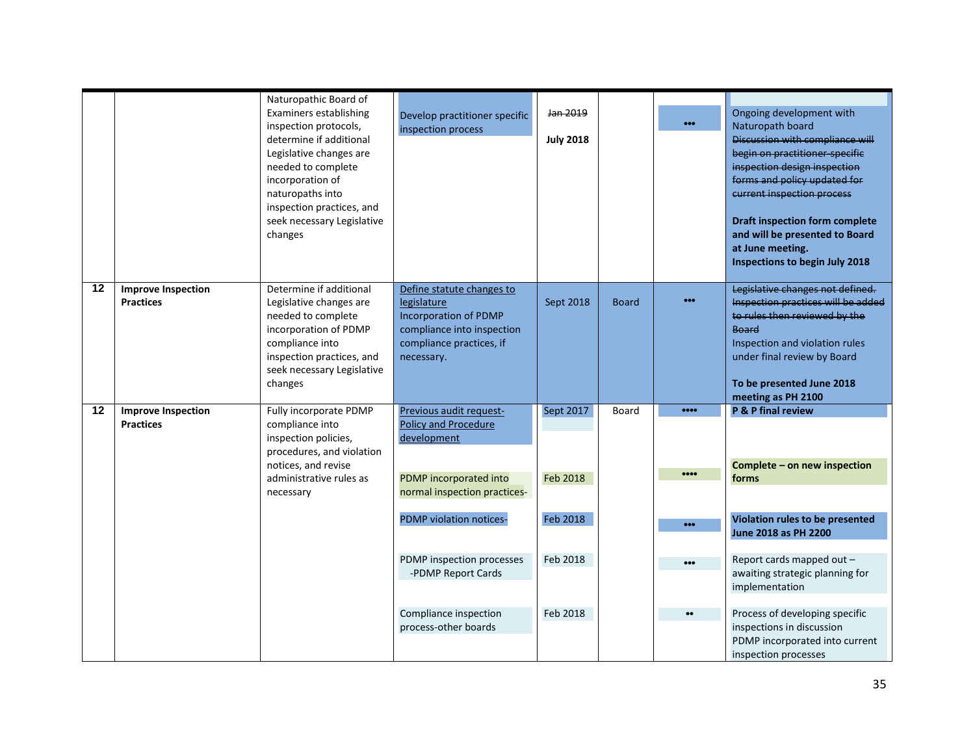|                                               | Naturopathic Board of<br><b>Examiners establishing</b><br>inspection protocols,<br>determine if additional<br>Legislative changes are<br>needed to complete<br>incorporation of<br>naturopaths into<br>inspection practices, and<br>seek necessary Legislative<br>changes | Develop practitioner specific<br>inspection process                                                                                                                                                                                                     | Jan 2019<br><b>July 2018</b>                              |              | $\bullet\bullet\bullet$                                                                | Ongoing development with<br>Naturopath board<br><b>Discussion with compliance will</b><br>begin on practitioner-specific<br>inspection design inspection<br>forms and policy updated for<br>current inspection process<br><b>Draft inspection form complete</b><br>and will be presented to Board<br>at June meeting.<br><b>Inspections to begin July 2018</b> |
|-----------------------------------------------|---------------------------------------------------------------------------------------------------------------------------------------------------------------------------------------------------------------------------------------------------------------------------|---------------------------------------------------------------------------------------------------------------------------------------------------------------------------------------------------------------------------------------------------------|-----------------------------------------------------------|--------------|----------------------------------------------------------------------------------------|----------------------------------------------------------------------------------------------------------------------------------------------------------------------------------------------------------------------------------------------------------------------------------------------------------------------------------------------------------------|
| <b>Improve Inspection</b><br><b>Practices</b> | Determine if additional<br>Legislative changes are<br>needed to complete<br>incorporation of PDMP<br>compliance into<br>inspection practices, and<br>seek necessary Legislative<br>changes                                                                                | Define statute changes to<br>legislature<br>Incorporation of PDMP<br>compliance into inspection<br>compliance practices, if<br>necessary.                                                                                                               | Sept 2018                                                 | <b>Board</b> | $\bullet\bullet\bullet$                                                                | Legislative changes not defined.<br>Inspection practices will be added<br>to rules then reviewed by the<br>Board<br>Inspection and violation rules<br>under final review by Board<br>To be presented June 2018<br>meeting as PH 2100                                                                                                                           |
| <b>Improve Inspection</b><br><b>Practices</b> | Fully incorporate PDMP<br>compliance into<br>inspection policies,<br>procedures, and violation<br>notices, and revise<br>administrative rules as<br>necessary                                                                                                             | Previous audit request-<br>Policy and Procedure<br>development<br>PDMP incorporated into<br>normal inspection practices-<br>PDMP violation notices-<br>PDMP inspection processes<br>-PDMP Report Cards<br>Compliance inspection<br>process-other boards | Sept 2017<br>Feb 2018<br>Feb 2018<br>Feb 2018<br>Feb 2018 | Board        | 0000<br>0000<br>$\bullet\bullet\bullet$<br>$\bullet\bullet\bullet$<br>$\bullet\bullet$ | P & P final review<br>Complete - on new inspection<br>forms<br>Violation rules to be presented<br>June 2018 as PH 2200<br>Report cards mapped out -<br>awaiting strategic planning for<br>implementation<br>Process of developing specific<br>inspections in discussion<br>PDMP incorporated into current                                                      |
|                                               |                                                                                                                                                                                                                                                                           |                                                                                                                                                                                                                                                         |                                                           |              |                                                                                        |                                                                                                                                                                                                                                                                                                                                                                |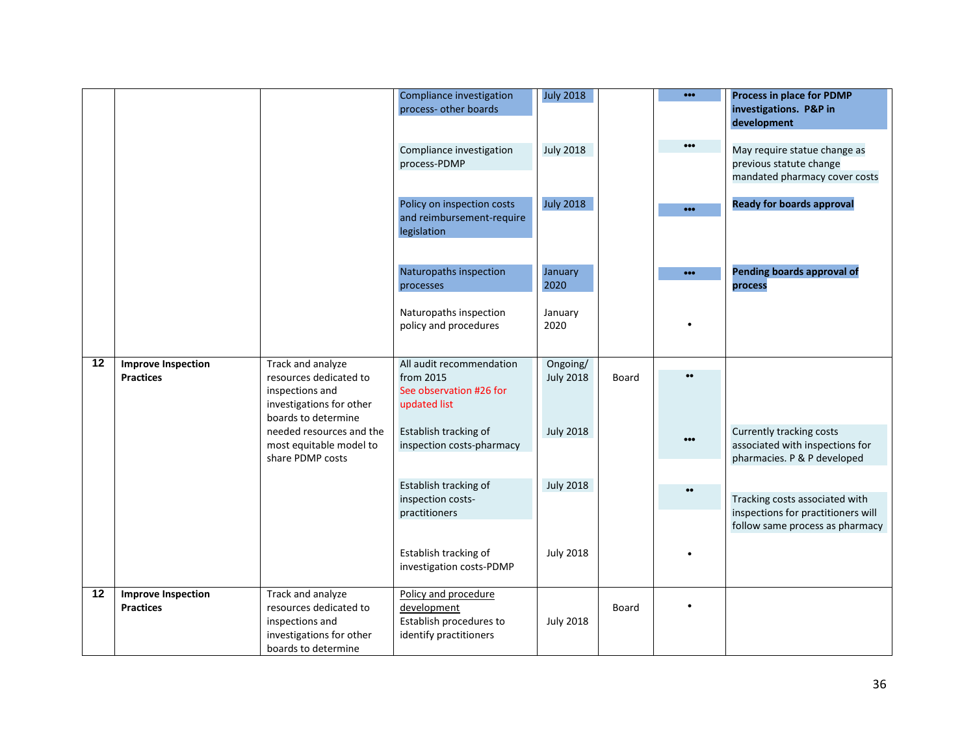|    |                                               |                                             | Compliance investigation                          | <b>July 2018</b>             |       | $\bullet\bullet\bullet$ | Process in place for PDMP          |
|----|-----------------------------------------------|---------------------------------------------|---------------------------------------------------|------------------------------|-------|-------------------------|------------------------------------|
|    |                                               |                                             | process- other boards                             |                              |       |                         | investigations. P&P in             |
|    |                                               |                                             |                                                   |                              |       |                         | development                        |
|    |                                               |                                             | Compliance investigation                          | <b>July 2018</b>             |       | $\bullet\bullet\bullet$ | May require statue change as       |
|    |                                               |                                             | process-PDMP                                      |                              |       |                         | previous statute change            |
|    |                                               |                                             |                                                   |                              |       |                         | mandated pharmacy cover costs      |
|    |                                               |                                             |                                                   |                              |       |                         |                                    |
|    |                                               |                                             | Policy on inspection costs                        | <b>July 2018</b>             |       | $\bullet\bullet\bullet$ | <b>Ready for boards approval</b>   |
|    |                                               |                                             | and reimbursement-require<br>legislation          |                              |       |                         |                                    |
|    |                                               |                                             |                                                   |                              |       |                         |                                    |
|    |                                               |                                             |                                                   |                              |       |                         |                                    |
|    |                                               |                                             | Naturopaths inspection                            | January                      |       | $\bullet\bullet\bullet$ | Pending boards approval of         |
|    |                                               |                                             | processes                                         | 2020                         |       |                         | process                            |
|    |                                               |                                             | Naturopaths inspection                            | January                      |       |                         |                                    |
|    |                                               |                                             | policy and procedures                             | 2020                         |       |                         |                                    |
|    |                                               |                                             |                                                   |                              |       |                         |                                    |
|    |                                               |                                             |                                                   |                              |       |                         |                                    |
| 12 | <b>Improve Inspection</b><br><b>Practices</b> | Track and analyze<br>resources dedicated to | All audit recommendation<br>from 2015             | Ongoing/<br><b>July 2018</b> | Board | $\bullet\bullet$        |                                    |
|    |                                               | inspections and                             | See observation #26 for                           |                              |       |                         |                                    |
|    |                                               | investigations for other                    | updated list                                      |                              |       |                         |                                    |
|    |                                               | boards to determine                         |                                                   |                              |       |                         |                                    |
|    |                                               | needed resources and the                    | Establish tracking of                             | <b>July 2018</b>             |       | $\bullet\bullet\bullet$ | Currently tracking costs           |
|    |                                               | most equitable model to                     | inspection costs-pharmacy                         |                              |       |                         | associated with inspections for    |
|    |                                               | share PDMP costs                            |                                                   |                              |       |                         | pharmacies. P & P developed        |
|    |                                               |                                             | Establish tracking of                             | <b>July 2018</b>             |       |                         |                                    |
|    |                                               |                                             | inspection costs-                                 |                              |       | $\bullet\bullet$        | Tracking costs associated with     |
|    |                                               |                                             | practitioners                                     |                              |       |                         | inspections for practitioners will |
|    |                                               |                                             |                                                   |                              |       |                         | follow same process as pharmacy    |
|    |                                               |                                             | Establish tracking of                             | <b>July 2018</b>             |       |                         |                                    |
|    |                                               |                                             | investigation costs-PDMP                          |                              |       |                         |                                    |
|    |                                               |                                             |                                                   |                              |       |                         |                                    |
| 12 | <b>Improve Inspection</b>                     | Track and analyze                           | Policy and procedure                              |                              |       |                         |                                    |
|    | <b>Practices</b>                              | resources dedicated to                      | development                                       |                              | Board |                         |                                    |
|    |                                               | inspections and<br>investigations for other | Establish procedures to<br>identify practitioners | <b>July 2018</b>             |       |                         |                                    |
|    |                                               | boards to determine                         |                                                   |                              |       |                         |                                    |
|    |                                               |                                             |                                                   |                              |       |                         |                                    |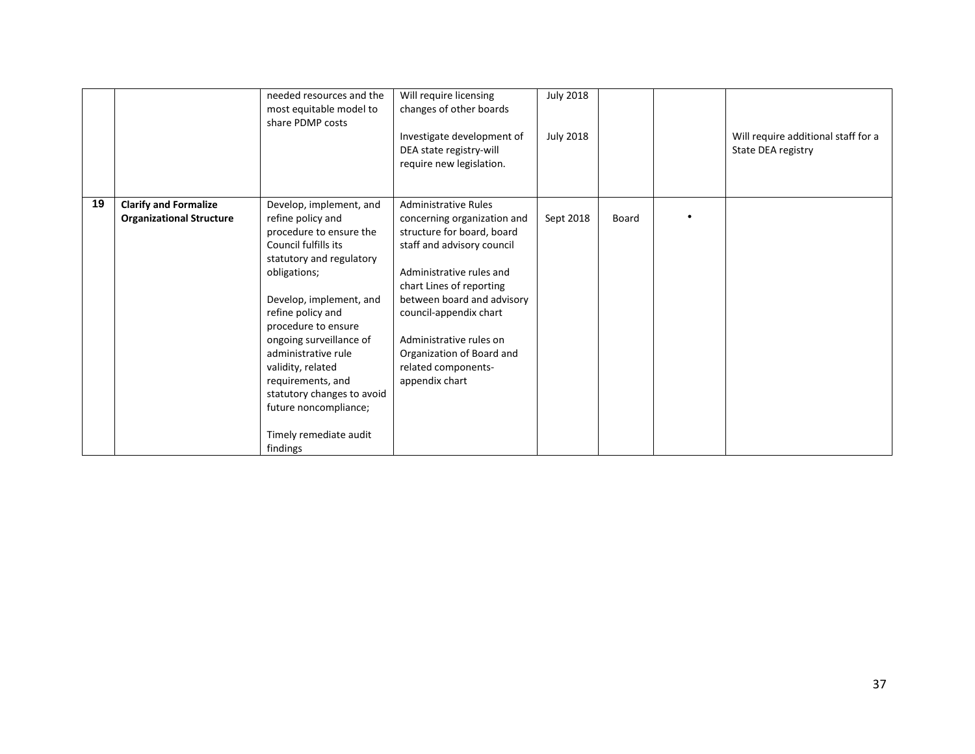|    |                                                                 | needed resources and the<br>most equitable model to<br>share PDMP costs                                                                                                                                                                                                                                                                                                                                     | Will require licensing<br>changes of other boards<br>Investigate development of<br>DEA state registry-will<br>require new legislation.                                                                                                                                                                                                  | <b>July 2018</b><br><b>July 2018</b> |       | Will require additional staff for a<br>State DEA registry |
|----|-----------------------------------------------------------------|-------------------------------------------------------------------------------------------------------------------------------------------------------------------------------------------------------------------------------------------------------------------------------------------------------------------------------------------------------------------------------------------------------------|-----------------------------------------------------------------------------------------------------------------------------------------------------------------------------------------------------------------------------------------------------------------------------------------------------------------------------------------|--------------------------------------|-------|-----------------------------------------------------------|
| 19 | <b>Clarify and Formalize</b><br><b>Organizational Structure</b> | Develop, implement, and<br>refine policy and<br>procedure to ensure the<br>Council fulfills its<br>statutory and regulatory<br>obligations;<br>Develop, implement, and<br>refine policy and<br>procedure to ensure<br>ongoing surveillance of<br>administrative rule<br>validity, related<br>requirements, and<br>statutory changes to avoid<br>future noncompliance;<br>Timely remediate audit<br>findings | <b>Administrative Rules</b><br>concerning organization and<br>structure for board, board<br>staff and advisory council<br>Administrative rules and<br>chart Lines of reporting<br>between board and advisory<br>council-appendix chart<br>Administrative rules on<br>Organization of Board and<br>related components-<br>appendix chart | Sept 2018                            | Board |                                                           |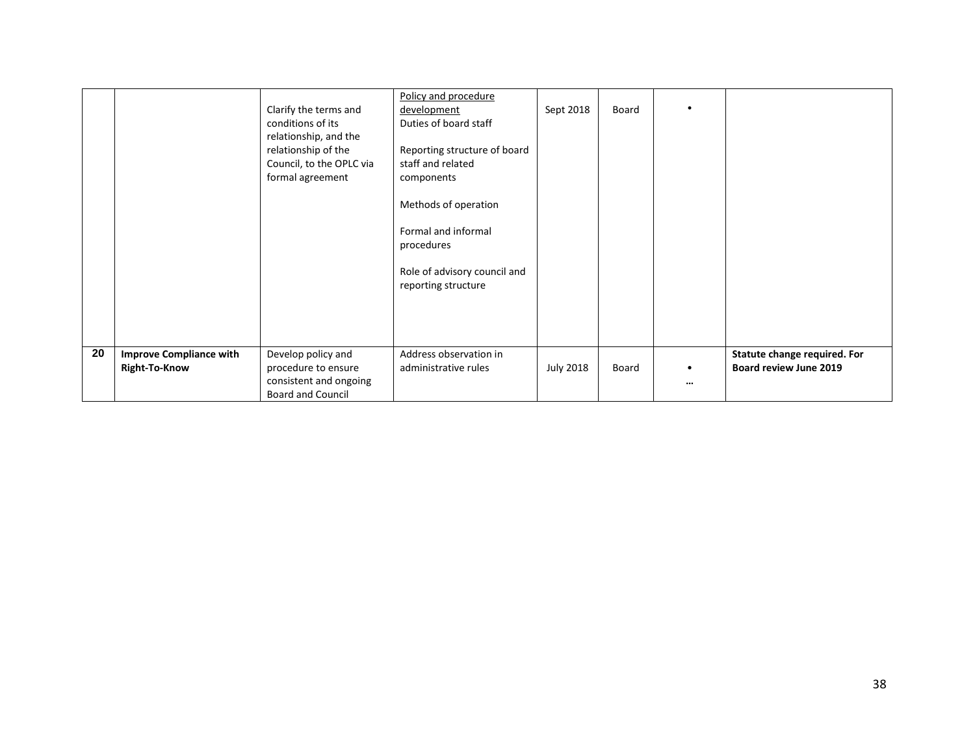|    |                                                        | Clarify the terms and<br>conditions of its<br>relationship, and the<br>relationship of the<br>Council, to the OPLC via<br>formal agreement | Policy and procedure<br>development<br>Duties of board staff<br>Reporting structure of board<br>staff and related<br>components<br>Methods of operation<br>Formal and informal<br>procedures<br>Role of advisory council and<br>reporting structure | Sept 2018        | Board |          |                                                               |
|----|--------------------------------------------------------|--------------------------------------------------------------------------------------------------------------------------------------------|-----------------------------------------------------------------------------------------------------------------------------------------------------------------------------------------------------------------------------------------------------|------------------|-------|----------|---------------------------------------------------------------|
| 20 | <b>Improve Compliance with</b><br><b>Right-To-Know</b> | Develop policy and<br>procedure to ensure<br>consistent and ongoing<br><b>Board and Council</b>                                            | Address observation in<br>administrative rules                                                                                                                                                                                                      | <b>July 2018</b> | Board | $\cdots$ | Statute change required. For<br><b>Board review June 2019</b> |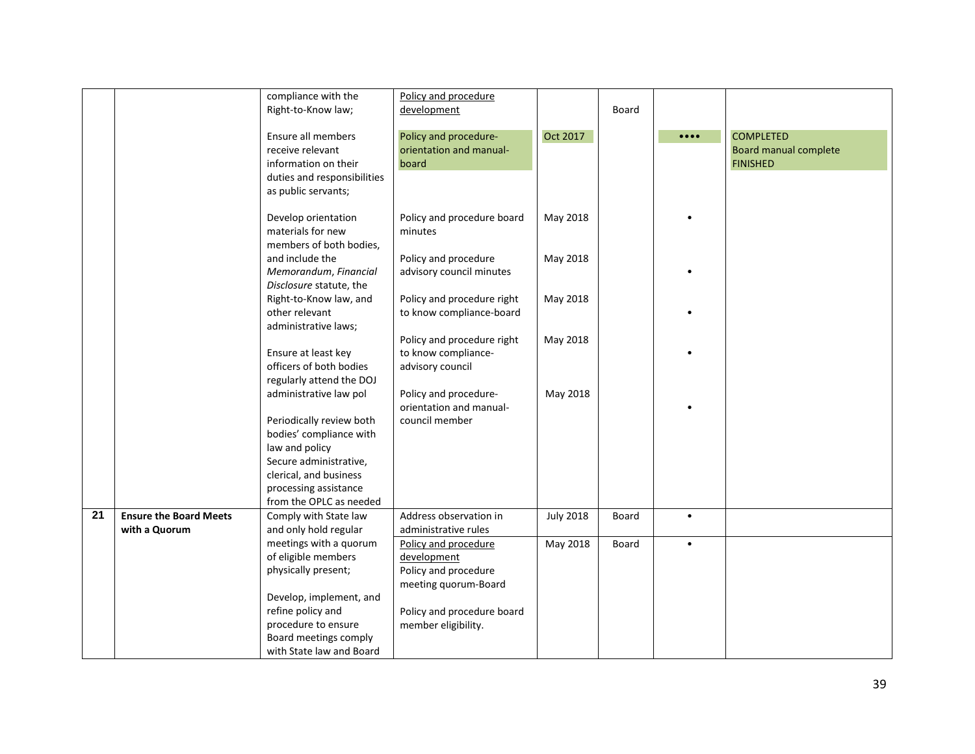|    |                               | compliance with the         | Policy and procedure       |                  |       |                                |                              |
|----|-------------------------------|-----------------------------|----------------------------|------------------|-------|--------------------------------|------------------------------|
|    |                               | Right-to-Know law;          | development                |                  | Board |                                |                              |
|    |                               |                             |                            |                  |       |                                |                              |
|    |                               | Ensure all members          | Policy and procedure-      | Oct 2017         |       | $\bullet\bullet\bullet\bullet$ | <b>COMPLETED</b>             |
|    |                               | receive relevant            | orientation and manual-    |                  |       |                                | <b>Board manual complete</b> |
|    |                               | information on their        | board                      |                  |       |                                | <b>FINISHED</b>              |
|    |                               |                             |                            |                  |       |                                |                              |
|    |                               | duties and responsibilities |                            |                  |       |                                |                              |
|    |                               | as public servants;         |                            |                  |       |                                |                              |
|    |                               | Develop orientation         | Policy and procedure board | May 2018         |       |                                |                              |
|    |                               | materials for new           | minutes                    |                  |       |                                |                              |
|    |                               | members of both bodies,     |                            |                  |       |                                |                              |
|    |                               | and include the             | Policy and procedure       | May 2018         |       |                                |                              |
|    |                               | Memorandum, Financial       | advisory council minutes   |                  |       |                                |                              |
|    |                               | Disclosure statute, the     |                            |                  |       |                                |                              |
|    |                               | Right-to-Know law, and      | Policy and procedure right | May 2018         |       |                                |                              |
|    |                               | other relevant              | to know compliance-board   |                  |       |                                |                              |
|    |                               | administrative laws;        |                            |                  |       |                                |                              |
|    |                               |                             | Policy and procedure right | May 2018         |       |                                |                              |
|    |                               | Ensure at least key         | to know compliance-        |                  |       |                                |                              |
|    |                               | officers of both bodies     | advisory council           |                  |       |                                |                              |
|    |                               | regularly attend the DOJ    |                            |                  |       |                                |                              |
|    |                               | administrative law pol      | Policy and procedure-      | May 2018         |       |                                |                              |
|    |                               |                             | orientation and manual-    |                  |       |                                |                              |
|    |                               | Periodically review both    | council member             |                  |       |                                |                              |
|    |                               | bodies' compliance with     |                            |                  |       |                                |                              |
|    |                               | law and policy              |                            |                  |       |                                |                              |
|    |                               | Secure administrative,      |                            |                  |       |                                |                              |
|    |                               | clerical, and business      |                            |                  |       |                                |                              |
|    |                               | processing assistance       |                            |                  |       |                                |                              |
|    |                               | from the OPLC as needed     |                            |                  |       |                                |                              |
| 21 | <b>Ensure the Board Meets</b> | Comply with State law       | Address observation in     | <b>July 2018</b> | Board | $\bullet$                      |                              |
|    | with a Quorum                 | and only hold regular       | administrative rules       |                  |       |                                |                              |
|    |                               | meetings with a quorum      | Policy and procedure       | May 2018         | Board | $\bullet$                      |                              |
|    |                               | of eligible members         | development                |                  |       |                                |                              |
|    |                               | physically present;         | Policy and procedure       |                  |       |                                |                              |
|    |                               |                             | meeting quorum-Board       |                  |       |                                |                              |
|    |                               | Develop, implement, and     |                            |                  |       |                                |                              |
|    |                               | refine policy and           | Policy and procedure board |                  |       |                                |                              |
|    |                               | procedure to ensure         | member eligibility.        |                  |       |                                |                              |
|    |                               | Board meetings comply       |                            |                  |       |                                |                              |
|    |                               | with State law and Board    |                            |                  |       |                                |                              |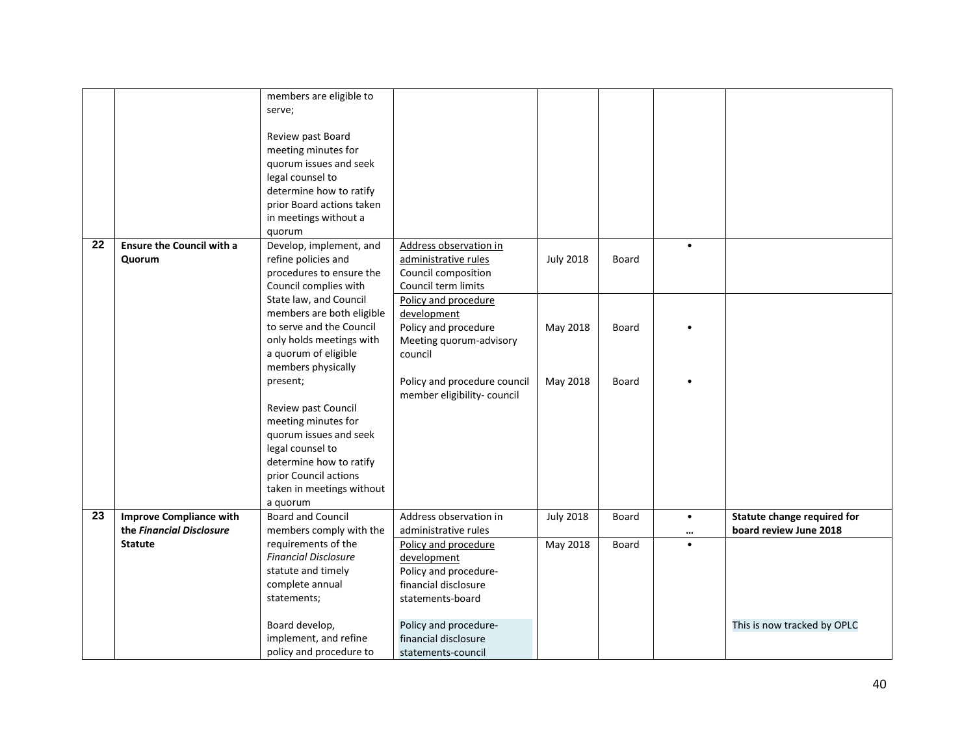|    |                                                            | members are eligible to<br>serve;<br>Review past Board<br>meeting minutes for<br>quorum issues and seek<br>legal counsel to<br>determine how to ratify<br>prior Board actions taken<br>in meetings without a<br>quorum |                                                                                                          |                  |       |                       |                                                              |
|----|------------------------------------------------------------|------------------------------------------------------------------------------------------------------------------------------------------------------------------------------------------------------------------------|----------------------------------------------------------------------------------------------------------|------------------|-------|-----------------------|--------------------------------------------------------------|
| 22 | <b>Ensure the Council with a</b><br>Quorum                 | Develop, implement, and<br>refine policies and<br>procedures to ensure the<br>Council complies with                                                                                                                    | Address observation in<br>administrative rules<br>Council composition<br>Council term limits             | <b>July 2018</b> | Board | $\bullet$             |                                                              |
|    |                                                            | State law, and Council<br>members are both eligible<br>to serve and the Council<br>only holds meetings with<br>a quorum of eligible<br>members physically                                                              | Policy and procedure<br>development<br>Policy and procedure<br>Meeting quorum-advisory<br>council        | May 2018         | Board |                       |                                                              |
|    |                                                            | present;<br>Review past Council<br>meeting minutes for<br>quorum issues and seek<br>legal counsel to<br>determine how to ratify<br>prior Council actions<br>taken in meetings without<br>a quorum                      | Policy and procedure council<br>member eligibility- council                                              | May 2018         | Board |                       |                                                              |
| 23 | <b>Improve Compliance with</b><br>the Financial Disclosure | <b>Board and Council</b><br>members comply with the                                                                                                                                                                    | Address observation in<br>administrative rules                                                           | <b>July 2018</b> | Board | $\bullet$             | <b>Statute change required for</b><br>board review June 2018 |
|    | <b>Statute</b>                                             | requirements of the<br><b>Financial Disclosure</b><br>statute and timely<br>complete annual<br>statements;                                                                                                             | Policy and procedure<br>development<br>Policy and procedure-<br>financial disclosure<br>statements-board | May 2018         | Board | $\cdots$<br>$\bullet$ |                                                              |
|    |                                                            | Board develop,<br>implement, and refine<br>policy and procedure to                                                                                                                                                     | Policy and procedure-<br>financial disclosure<br>statements-council                                      |                  |       |                       | This is now tracked by OPLC                                  |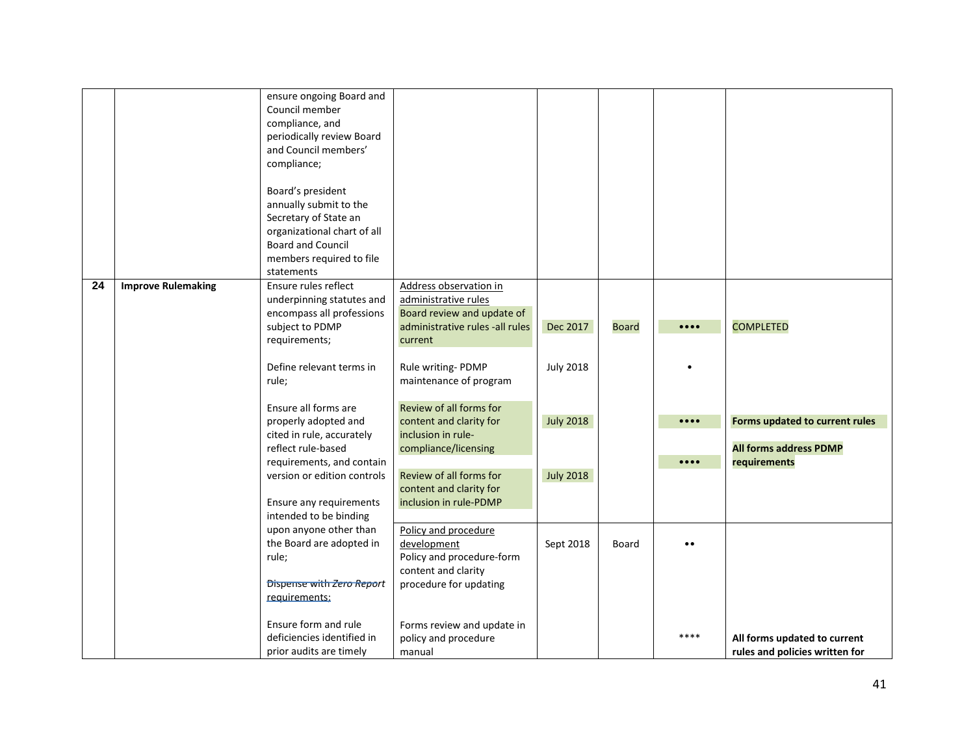|    |                           | ensure ongoing Board and<br>Council member<br>compliance, and<br>periodically review Board<br>and Council members'<br>compliance;<br>Board's president<br>annually submit to the<br>Secretary of State an<br>organizational chart of all<br><b>Board and Council</b><br>members required to file<br>statements |                                                                                                                                                                                   |                                      |              |                                                                  |                                                                                 |
|----|---------------------------|----------------------------------------------------------------------------------------------------------------------------------------------------------------------------------------------------------------------------------------------------------------------------------------------------------------|-----------------------------------------------------------------------------------------------------------------------------------------------------------------------------------|--------------------------------------|--------------|------------------------------------------------------------------|---------------------------------------------------------------------------------|
| 24 | <b>Improve Rulemaking</b> | Ensure rules reflect<br>underpinning statutes and<br>encompass all professions<br>subject to PDMP<br>requirements;<br>Define relevant terms in<br>rule;                                                                                                                                                        | Address observation in<br>administrative rules<br>Board review and update of<br>administrative rules -all rules<br>current<br>Rule writing-PDMP<br>maintenance of program         | Dec 2017<br><b>July 2018</b>         | <b>Board</b> | $\bullet\bullet\bullet\bullet$                                   | <b>COMPLETED</b>                                                                |
|    |                           | Ensure all forms are<br>properly adopted and<br>cited in rule, accurately<br>reflect rule-based<br>requirements, and contain<br>version or edition controls<br>Ensure any requirements<br>intended to be binding                                                                                               | Review of all forms for<br>content and clarity for<br>inclusion in rule-<br>compliance/licensing<br>Review of all forms for<br>content and clarity for<br>inclusion in rule-PDMP  | <b>July 2018</b><br><b>July 2018</b> |              | $\bullet\bullet\bullet\bullet$<br>$\bullet\bullet\bullet\bullet$ | Forms updated to current rules<br><b>All forms address PDMP</b><br>requirements |
|    |                           | upon anyone other than<br>the Board are adopted in<br>rule;<br>Dispense with Zero Report<br>requirements;<br>Ensure form and rule<br>deficiencies identified in<br>prior audits are timely                                                                                                                     | Policy and procedure<br>development<br>Policy and procedure-form<br>content and clarity<br>procedure for updating<br>Forms review and update in<br>policy and procedure<br>manual | Sept 2018                            | Board        | $\bullet$<br>****                                                | All forms updated to current<br>rules and policies written for                  |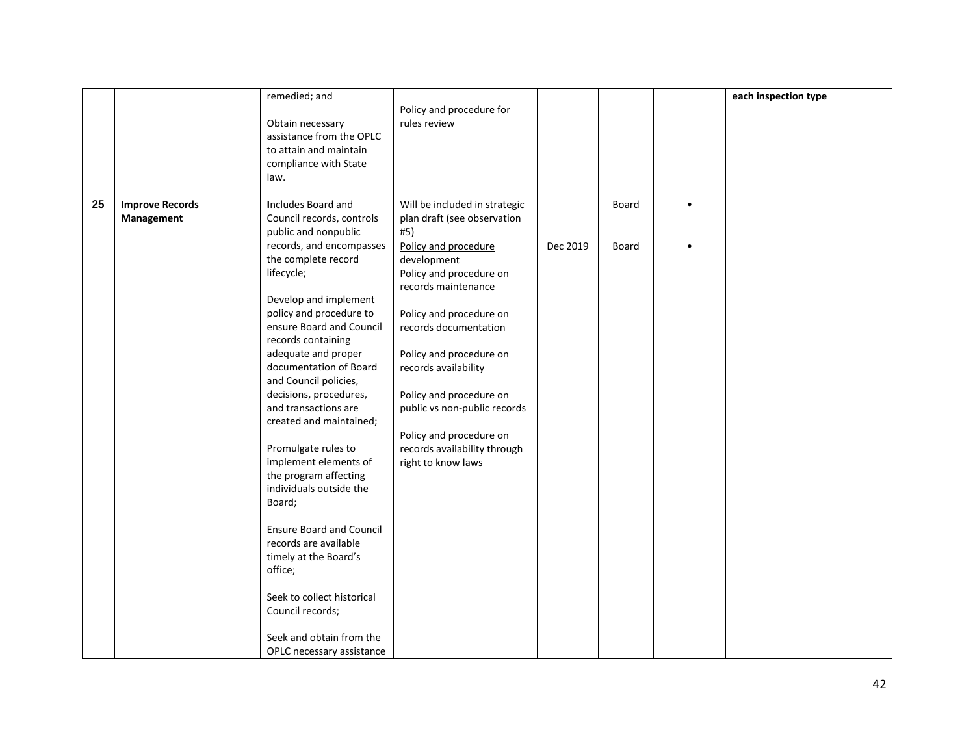|    |                                      | remedied; and<br>Obtain necessary<br>assistance from the OPLC<br>to attain and maintain<br>compliance with State<br>law.                                                                                                                                                                                                                                                                                                                                                                                                                                                                                                                                                                          | Policy and procedure for<br>rules review                                                                                                                                                                                                                                                                                                                                                                        |          |                |                        | each inspection type |
|----|--------------------------------------|---------------------------------------------------------------------------------------------------------------------------------------------------------------------------------------------------------------------------------------------------------------------------------------------------------------------------------------------------------------------------------------------------------------------------------------------------------------------------------------------------------------------------------------------------------------------------------------------------------------------------------------------------------------------------------------------------|-----------------------------------------------------------------------------------------------------------------------------------------------------------------------------------------------------------------------------------------------------------------------------------------------------------------------------------------------------------------------------------------------------------------|----------|----------------|------------------------|----------------------|
| 25 | <b>Improve Records</b><br>Management | Includes Board and<br>Council records, controls<br>public and nonpublic<br>records, and encompasses<br>the complete record<br>lifecycle;<br>Develop and implement<br>policy and procedure to<br>ensure Board and Council<br>records containing<br>adequate and proper<br>documentation of Board<br>and Council policies,<br>decisions, procedures,<br>and transactions are<br>created and maintained;<br>Promulgate rules to<br>implement elements of<br>the program affecting<br>individuals outside the<br>Board;<br><b>Ensure Board and Council</b><br>records are available<br>timely at the Board's<br>office;<br>Seek to collect historical<br>Council records;<br>Seek and obtain from the | Will be included in strategic<br>plan draft (see observation<br>#5)<br>Policy and procedure<br>development<br>Policy and procedure on<br>records maintenance<br>Policy and procedure on<br>records documentation<br>Policy and procedure on<br>records availability<br>Policy and procedure on<br>public vs non-public records<br>Policy and procedure on<br>records availability through<br>right to know laws | Dec 2019 | Board<br>Board | $\bullet$<br>$\bullet$ |                      |
|    |                                      | OPLC necessary assistance                                                                                                                                                                                                                                                                                                                                                                                                                                                                                                                                                                                                                                                                         |                                                                                                                                                                                                                                                                                                                                                                                                                 |          |                |                        |                      |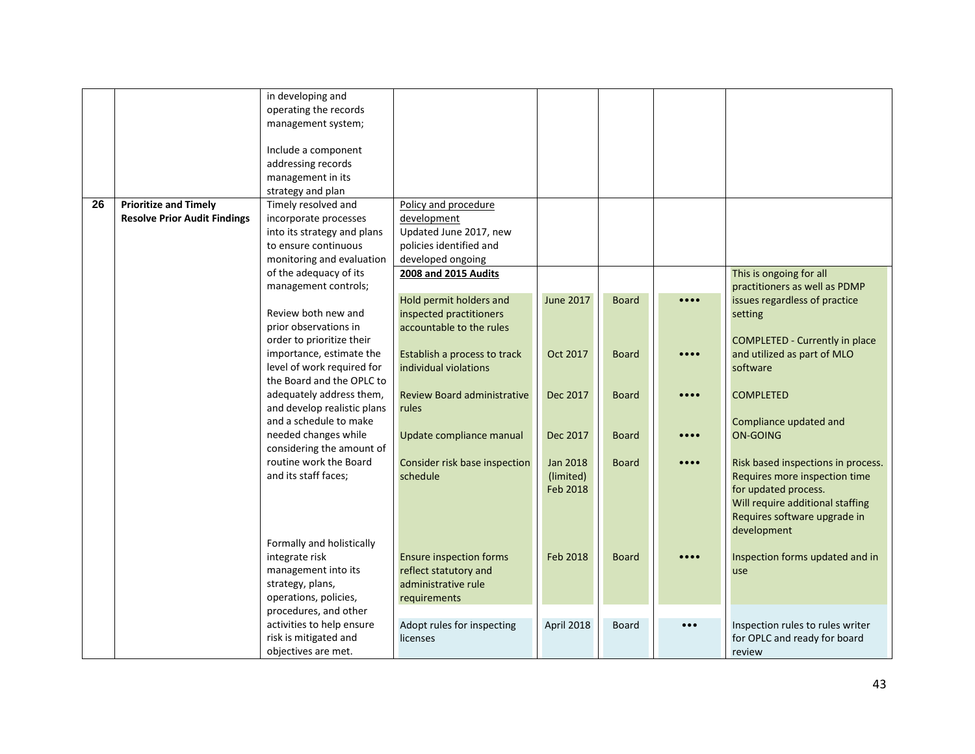| $\overline{26}$ | <b>Prioritize and Timely</b><br><b>Resolve Prior Audit Findings</b> | in developing and<br>operating the records<br>management system;<br>Include a component<br>addressing records<br>management in its<br>strategy and plan<br>Timely resolved and<br>incorporate processes<br>into its strategy and plans<br>to ensure continuous<br>monitoring and evaluation<br>of the adequacy of its | Policy and procedure<br>development<br>Updated June 2017, new<br>policies identified and<br>developed ongoing<br>2008 and 2015 Audits |                                          |              |                                | This is ongoing for all                                                                                                                                                        |
|-----------------|---------------------------------------------------------------------|-----------------------------------------------------------------------------------------------------------------------------------------------------------------------------------------------------------------------------------------------------------------------------------------------------------------------|---------------------------------------------------------------------------------------------------------------------------------------|------------------------------------------|--------------|--------------------------------|--------------------------------------------------------------------------------------------------------------------------------------------------------------------------------|
|                 |                                                                     | management controls;<br>Review both new and                                                                                                                                                                                                                                                                           | Hold permit holders and<br>inspected practitioners                                                                                    | <b>June 2017</b>                         | <b>Board</b> | $\bullet\bullet\bullet\bullet$ | practitioners as well as PDMP<br>issues regardless of practice<br>setting                                                                                                      |
|                 |                                                                     | prior observations in<br>order to prioritize their<br>importance, estimate the<br>level of work required for<br>the Board and the OPLC to                                                                                                                                                                             | accountable to the rules<br>Establish a process to track<br>individual violations                                                     | Oct 2017                                 | <b>Board</b> | $\bullet\bullet\bullet\bullet$ | <b>COMPLETED - Currently in place</b><br>and utilized as part of MLO<br>software                                                                                               |
|                 |                                                                     | adequately address them,<br>and develop realistic plans<br>and a schedule to make                                                                                                                                                                                                                                     | <b>Review Board administrative</b><br>rules                                                                                           | Dec 2017                                 | <b>Board</b> |                                | <b>COMPLETED</b><br>Compliance updated and                                                                                                                                     |
|                 |                                                                     | needed changes while<br>considering the amount of                                                                                                                                                                                                                                                                     | Update compliance manual                                                                                                              | Dec 2017                                 | <b>Board</b> | $\bullet\bullet\bullet\bullet$ | <b>ON-GOING</b>                                                                                                                                                                |
|                 |                                                                     | routine work the Board<br>and its staff faces;                                                                                                                                                                                                                                                                        | Consider risk base inspection<br>schedule                                                                                             | <b>Jan 2018</b><br>(limited)<br>Feb 2018 | <b>Board</b> | $\bullet\bullet\bullet\bullet$ | Risk based inspections in process.<br>Requires more inspection time<br>for updated process.<br>Will require additional staffing<br>Requires software upgrade in<br>development |
|                 |                                                                     | Formally and holistically<br>integrate risk<br>management into its<br>strategy, plans,<br>operations, policies,                                                                                                                                                                                                       | <b>Ensure inspection forms</b><br>reflect statutory and<br>administrative rule<br>requirements                                        | Feb 2018                                 | <b>Board</b> |                                | Inspection forms updated and in<br>use                                                                                                                                         |
|                 |                                                                     | procedures, and other<br>activities to help ensure<br>risk is mitigated and<br>objectives are met.                                                                                                                                                                                                                    | Adopt rules for inspecting<br>licenses                                                                                                | April 2018                               | <b>Board</b> | $\bullet\bullet\bullet$        | Inspection rules to rules writer<br>for OPLC and ready for board<br>review                                                                                                     |